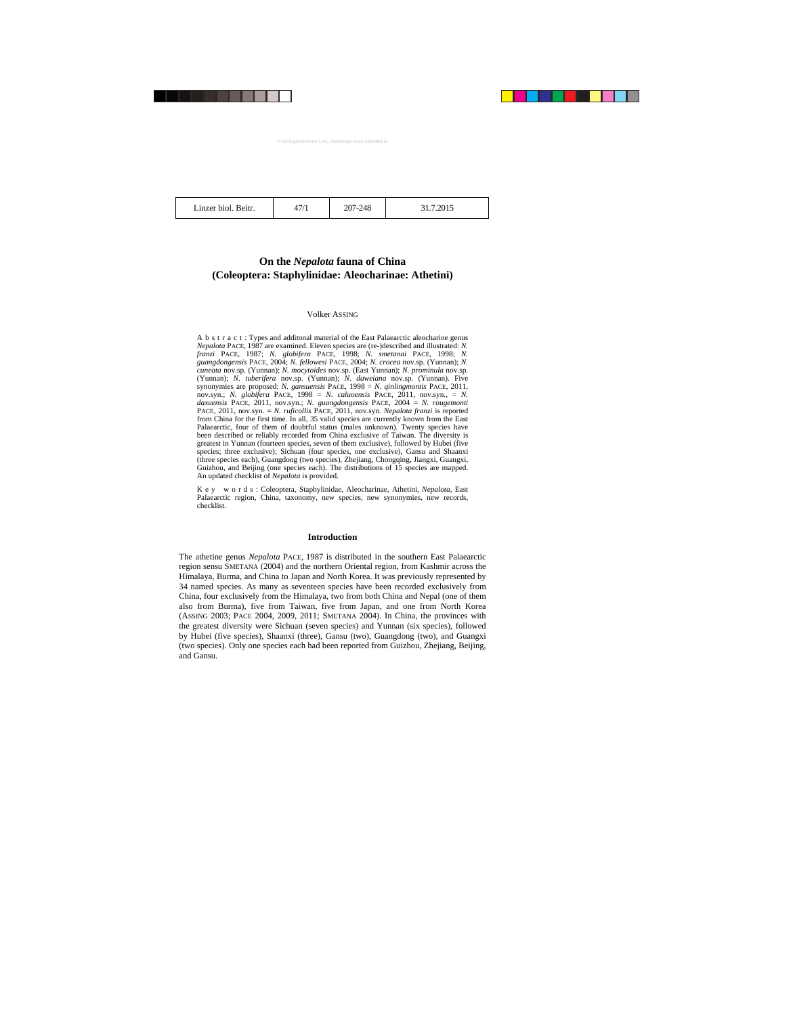| Linzer biol. Beitr. | 7/1 | 207-248 | 31.7.2015 |
|---------------------|-----|---------|-----------|
|---------------------|-----|---------|-----------|

## **On the** *Nepalota* **fauna of China (Coleoptera: Staphylinidae: Aleocharinae: Athetini)**

#### Volker ASSING

A b s t r a c t : Types and additonal material of the East Palaearctic aleocharine genus *Nepalota* PACE, 1987 are examined. Eleven species are (re-)described and illustrated: *N. franzi* PACE, 1987; *N. globifera* PACE, 1998; *N. smetanai* PACE, 1998; *N. guangdongensis* PACE, 2004; *N. fellowesi* PACE, 2004; *N. crocea* nov.sp. (Yunnan); *N. cuneata* nov.sp. (Yunnan); *N. mocytoides* nov.sp. (East Yunnan); *N. prominula* nov.sp. (Yunnan); *N. tuberifera* nov.sp. (Yunnan); *N. daweiana* nov.sp. (Yunnan). Five synonymies are proposed: *N. gansuensis* PACE, 1998 = *N. qinlingmontis* PACE, 2011, nov.syn.; *N. globifera* PACE, 1998 = *N. caluoensis* PACE, 2011, nov.syn., = *N. daxuensis* PACE, 2011, nov.syn.; *N. guangdongensis* PACE, 2004 = *N. rougemonti* PACE, 2011, nov.syn. = *N. ruficollis* PACE, 2011, nov.syn. *Nepalota franzi* is reported from China for the first time. In all, 35 valid species are currently known from the East Palaearctic, four of them of doubtful status (males unknown). Twenty species have been described or reliably recorded from China exclusive of Taiwan. The diversity is greatest in Yunnan (fourteen species, seven of them exclusive), followed by Hubei (five species; three exclusive); Sichuan (four species, one exclusive), Gansu and Shaanxi (three species each), Guangdong (two species), Zhejiang, Chongqing, Jiangxi, Guangxi, Guizhou, and Beijing (one species each). The distributions of 15 species are mapped. An updated checklist of *Nepalota* is provided.

K e y w o r d s : Coleoptera, Staphylinidae, Aleocharinae, Athetini, *Nepalota,* East Palaearctic region, China, taxonomy, new species, new synonymies, new records, checklist.

## **Introduction**

The athetine genus *Nepalota* PACE, 1987 is distributed in the southern East Palaearctic region sensu SMETANA (2004) and the northern Oriental region, from Kashmir across the Himalaya, Burma, and China to Japan and North Korea. It was previously represented by 34 named species. As many as seventeen species have been recorded exclusively from China, four exclusively from the Himalaya, two from both China and Nepal (one of them also from Burma), five from Taiwan, five from Japan, and one from North Korea (ASSING 2003; PACE 2004, 2009, 2011; SMETANA 2004). In China, the provinces with the greatest diversity were Sichuan (seven species) and Yunnan (six species), followed by Hubei (five species), Shaanxi (three), Gansu (two), Guangdong (two), and Guangxi (two species). Only one species each had been reported from Guizhou, Zhejiang, Beijing, and Gansu.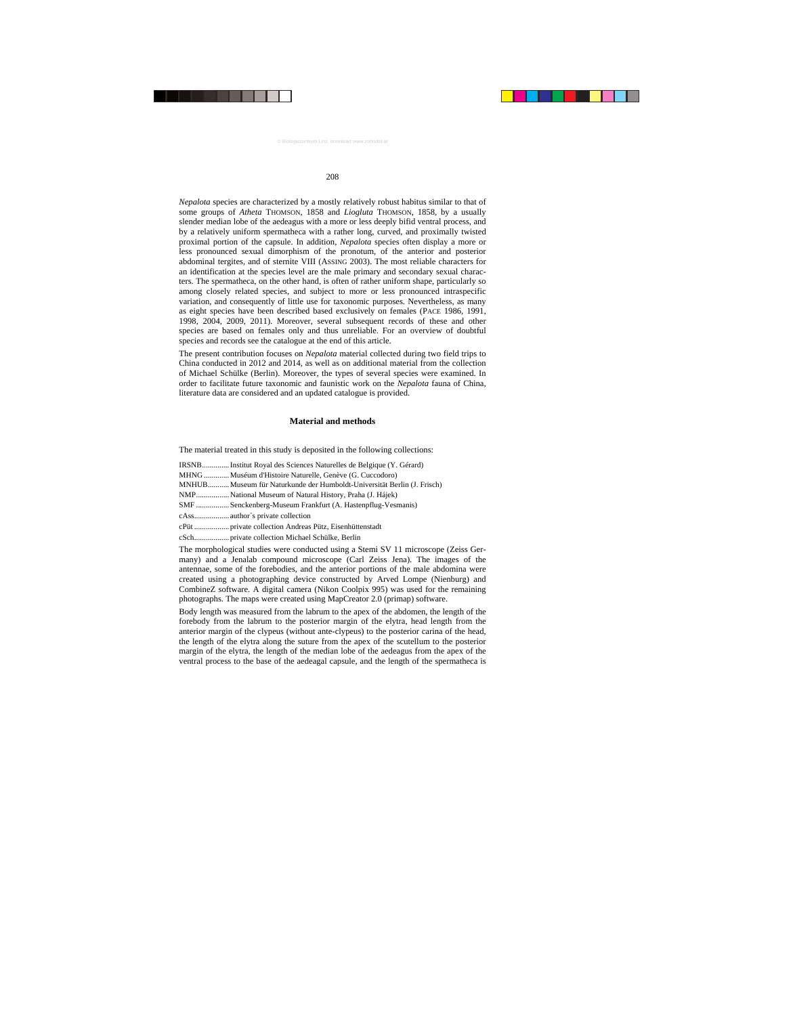*Nepalota* species are characterized by a mostly relatively robust habitus similar to that of some groups of *Atheta* THOMSON, 1858 and *Liogluta* THOMSON, 1858, by a usually slender median lobe of the aedeagus with a more or less deeply bifid ventral process, and by a relatively uniform spermatheca with a rather long, curved, and proximally twisted proximal portion of the capsule. In addition, *Nepalota* species often display a more or less pronounced sexual dimorphism of the pronotum, of the anterior and posterior abdominal tergites, and of sternite VIII (ASSING 2003). The most reliable characters for an identification at the species level are the male primary and secondary sexual characters. The spermatheca, on the other hand, is often of rather uniform shape, particularly so among closely related species, and subject to more or less pronounced intraspecific variation, and consequently of little use for taxonomic purposes. Nevertheless, as many as eight species have been described based exclusively on females (PACE 1986, 1991, 1998, 2004, 2009, 2011). Moreover, several subsequent records of these and other species are based on females only and thus unreliable. For an overview of doubtful species and records see the catalogue at the end of this article.

The present contribution focuses on *Nepalota* material collected during two field trips to China conducted in 2012 and 2014, as well as on additional material from the collection of Michael Schülke (Berlin). Moreover, the types of several species were examined. In order to facilitate future taxonomic and faunistic work on the *Nepalota* fauna of China, literature data are considered and an updated catalogue is provided.

## **Material and methods**

The material treated in this study is deposited in the following collections:

| IRSNB Institut Royal des Sciences Naturelles de Belgique (Y. Gérard)    |
|-------------------------------------------------------------------------|
| MHNG  Muséum d'Histoire Naturelle, Genève (G. Cuccodoro)                |
| MNHUB Museum für Naturkunde der Humboldt-Universität Berlin (J. Frisch) |
| NMPNational Museum of Natural History, Praha (J. Hájek)                 |
| SMF  Senckenberg-Museum Frankfurt (A. Hastenpflug-Vesmanis)             |
|                                                                         |
|                                                                         |
|                                                                         |

The morphological studies were conducted using a Stemi SV 11 microscope (Zeiss Germany) and a Jenalab compound microscope (Carl Zeiss Jena). The images of the antennae, some of the forebodies, and the anterior portions of the male abdomina were created using a photographing device constructed by Arved Lompe (Nienburg) and CombineZ software. A digital camera (Nikon Coolpix 995) was used for the remaining photographs. The maps were created using MapCreator 2.0 (primap) software.

Body length was measured from the labrum to the apex of the abdomen, the length of the forebody from the labrum to the posterior margin of the elytra, head length from the anterior margin of the clypeus (without ante-clypeus) to the posterior carina of the head, the length of the elytra along the suture from the apex of the scutellum to the posterior margin of the elytra, the length of the median lobe of the aedeagus from the apex of the ventral process to the base of the aedeagal capsule, and the length of the spermatheca is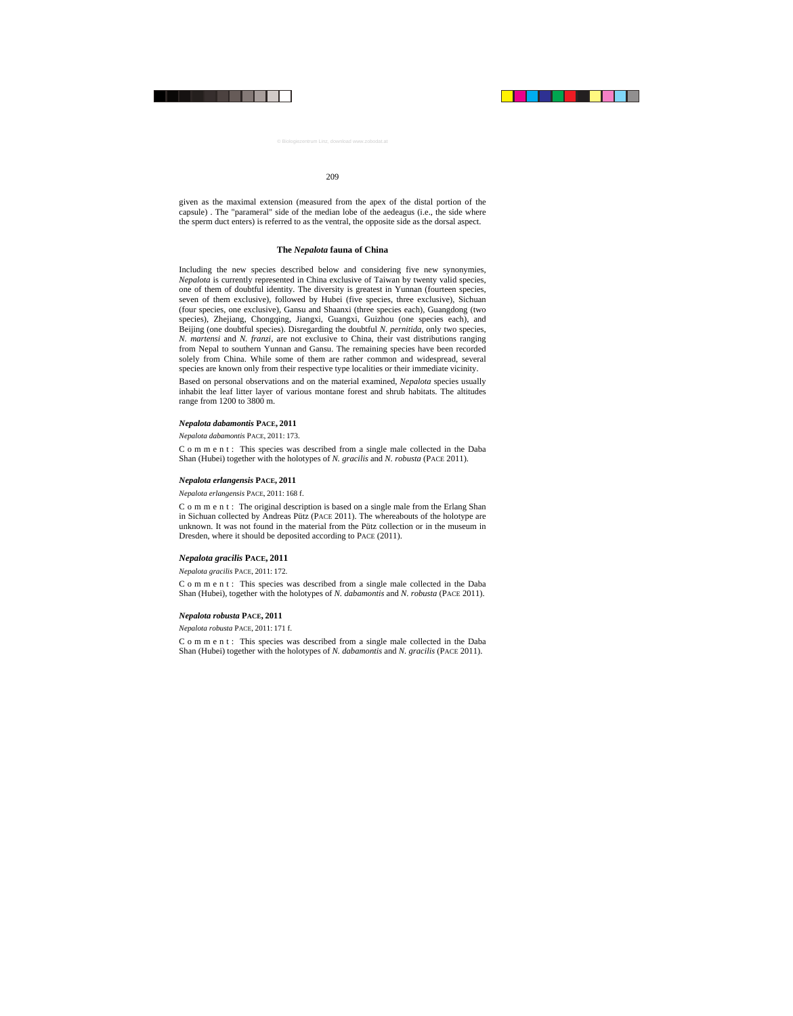given as the maximal extension (measured from the apex of the distal portion of the capsule) . The "parameral" side of the median lobe of the aedeagus (i.e., the side where the sperm duct enters) is referred to as the ventral, the opposite side as the dorsal aspect.

## **The** *Nepalota* **fauna of China**

Including the new species described below and considering five new synonymies, *Nepalota* is currently represented in China exclusive of Taiwan by twenty valid species, one of them of doubtful identity. The diversity is greatest in Yunnan (fourteen species, seven of them exclusive), followed by Hubei (five species, three exclusive), Sichuan (four species, one exclusive), Gansu and Shaanxi (three species each), Guangdong (two species), Zhejiang, Chongqing, Jiangxi, Guangxi, Guizhou (one species each), and Beijing (one doubtful species). Disregarding the doubtful *N. pernitida*, only two species, *N. martensi* and *N. franzi*, are not exclusive to China, their vast distributions ranging from Nepal to southern Yunnan and Gansu. The remaining species have been recorded solely from China. While some of them are rather common and widespread, several species are known only from their respective type localities or their immediate vicinity.

Based on personal observations and on the material examined, *Nepalota* species usually inhabit the leaf litter layer of various montane forest and shrub habitats. The altitudes range from 1200 to 3800 m.

#### *Nepalota dabamontis* **PACE, 2011**

*Nepalota dabamontis* PACE, 2011: 173.

C o m m e n t : This species was described from a single male collected in the Daba Shan (Hubei) together with the holotypes of *N. gracilis* and *N. robusta* (PACE 2011).

#### *Nepalota erlangensis* **PACE, 2011**

#### *Nepalota erlangensis* PACE, 2011: 168 f.

C o m m e n t : The original description is based on a single male from the Erlang Shan in Sichuan collected by Andreas Pütz (PACE 2011). The whereabouts of the holotype are unknown. It was not found in the material from the Pütz collection or in the museum in Dresden, where it should be deposited according to PACE (2011).

## *Nepalota gracilis* **PACE, 2011**

*Nepalota gracilis* PACE, 2011: 172.

C o m m e n t : This species was described from a single male collected in the Daba Shan (Hubei), together with the holotypes of *N. dabamontis* and *N. robusta* (PACE 2011).

## *Nepalota robusta* **PACE, 2011**

*Nepalota robusta* PACE, 2011: 171 f.

C o m m e n t : This species was described from a single male collected in the Daba Shan (Hubei) together with the holotypes of *N. dabamontis* and *N. gracilis* (PACE 2011).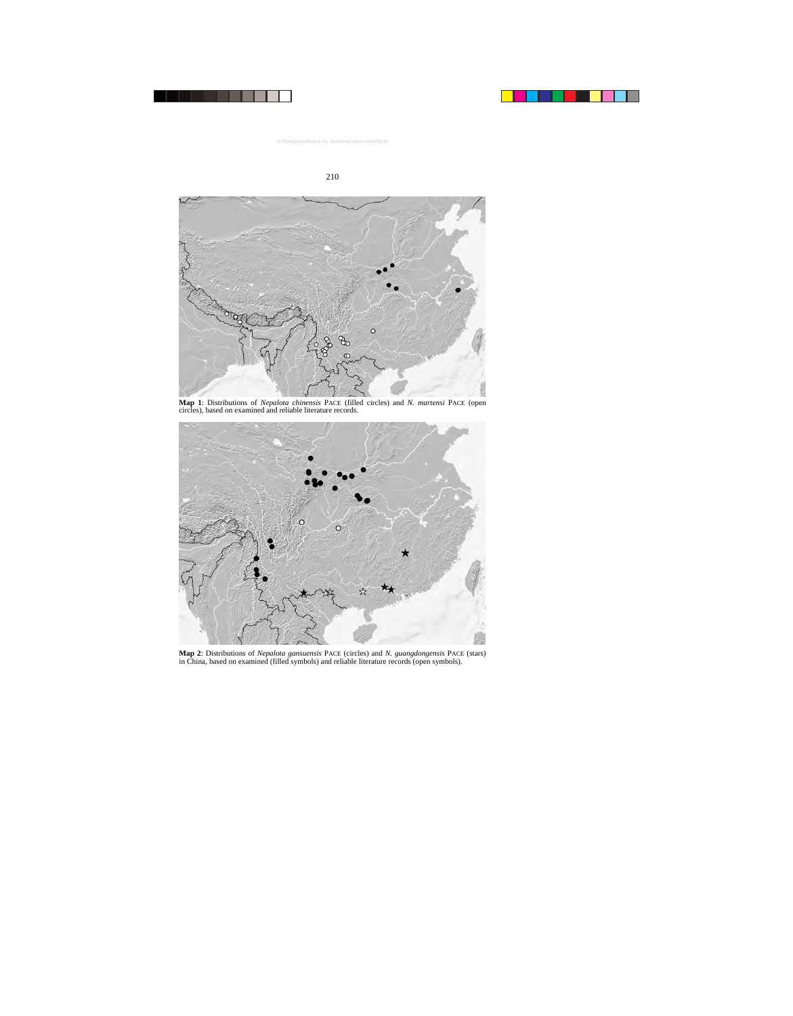

**Map 1**: Distributions of *Nepalota chinensis* PACE (filled circles) and *N. martensi* PACE (open circles), based on examined and reliable literature records.



**Map 2**: Distributions of *Nepalota gansuensis* PACE (circles) and *N. guangdongensis* PACE (stars) in China, based on examined (filled symbols) and reliable literature records (open symbols).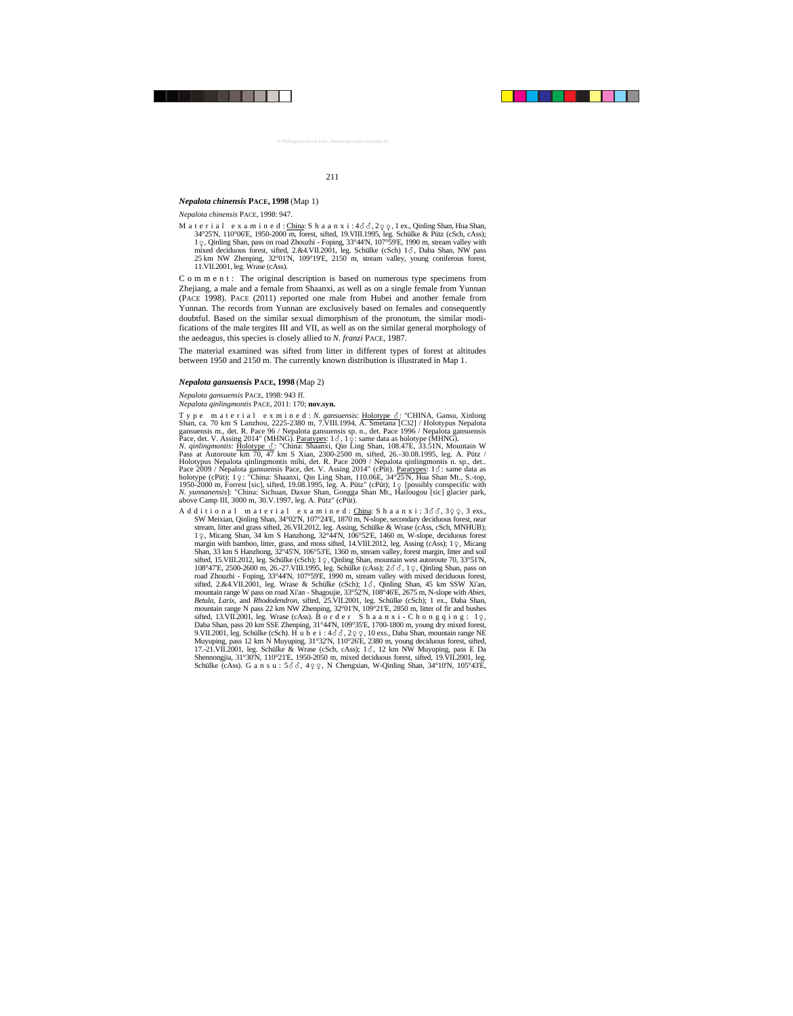## *Nepalota chinensis* **PACE, 1998** (Map 1)

*Nepalota chinensis* PACE, 1998: 947.

M a t e r i a l e x a m i n e d : China: S h a a n x i :  $4\delta\delta$ ,  $2q\varphi$ , l ex., Qinling Shan, Hua Shan,  $34^{\circ}25'N$ ,  $110^{\circ}06'E$ ,  $1950-2000$  m, forest, sifted,  $19.$ VIII.1995, leg. Schülke & Pütz (cSch, cAss);  $1\degree$ , Oinling Shan, pass on road Zhouzhi - Foping,  $33\degree 44'N$ ,  $107\degree 59'E$ , 1990 m, stream valley with mixed deciduous forest, sifted, 2.&4.VII.2001, leg. Schülke (cSch) 13, Daba Shan, NW pass 25 km NW Zhenping, 32°01'N, 109°19'E, 2150 m, stream valley, young coniferous forest, 11.VII.2001, leg. Wrase (cAss).

C o m m e n t : The original description is based on numerous type specimens from Zhejiang, a male and a female from Shaanxi, as well as on a single female from Yunnan (PACE 1998). PACE (2011) reported one male from Hubei and another female from Yunnan. The records from Yunnan are exclusively based on females and consequently doubtful. Based on the similar sexual dimorphism of the pronotum, the similar modifications of the male tergites III and VII, as well as on the similar general morphology of the aedeagus, this species is closely allied to *N. franzi* PACE, 1987.

The material examined was sifted from litter in different types of forest at altitudes between 1950 and 2150 m. The currently known distribution is illustrated in Map 1.

#### *Nepalota gansuensis* **PACE, 1998** (Map 2)

#### *Nepalota gansuensis* PACE, 1998: 943 ff.

*Nepalota qinlingmontis* PACE, 2011: 170; **nov.syn.**

Type material exmined: *N. gansuensis*: Holotype &: "CHINA, Gansu, Xinlong Shan, ca. 70 km S Lanzhou, 2225-2380 m, 7.VIII.1994, A. Smetana [C32] / Holotypus Nepalota gansuensis m., det. R. Pace 96 / Nepalota gansuensis sp. n., det. Pace 1996 / Nepalota gansuensis Pace, det. V. Assing 2014" (MHNG). <u>Paratypes</u>: 1 *δ*, 1 o : same data as holotype (MHNG).<br>*N. qinlingmontis*: <u>Holotype δ</u>: "China: Shaanxi, Qin Ling Shan, 108.47E, 33.51N, Mountain W Pass at Autoroute km 70, 47 km S Xian, 2300-2500 m, sifted, 26.-30.08.1995, leg. A. Pütz / Holotypus Nepalota qinlingmontis mihi, det. R. Pace 2009 / Nepalota qinlingmontis n. sp., det.. Pace 2009 / Nepalota gansuensis Pace, det. V. Assing 2014" (cPüt). Paratypes: 1  $\delta$ : same data as holotype (cPüt); 1: "China: Shaanxi, Qin Ling Shan, 110.06E, 34°25'N, Hua Shan Mt., S.-top, 1950-2000 m, Forrest [sic], sifted, 19.08.1995, leg. A. Pütz" (cPüt);  $1\varphi$  [possibly conspecific with *N. yunnanensis*]: "China: Sichuan, Daxue Shan, Gongga Shan Mt., Hailougou [sic] glacier park, above Camp III, 3000 m, 30.V.1997, leg. A. Pütz" (cPüt).

A d d i t i o n a l m a t e r i a l e x a m i n e d :  $\frac{\text{China:}}{\text{Final:}}$  S h a a n x i :  $3\delta\delta$ ,  $3\varphi\varphi$ , 3 exs., SW Meixian, Qinling Shan, 34°02'N, 107°24'E, 1870 m, N-slope, secondary deciduous forest, near stream, litter and grass sifted, 26.VII.2012, leg. Assing, Schülke & Wrase (cAss, cSch, MNHUB); 1, Micang Shan, 34 km S Hanzhong, 32°44'N, 106°52'E, 1460 m, W-slope, deciduous forest margin with bamboo, litter, grass, and moss sifted,  $14$ . VIII.2012, leg. Assing (cAss); 1 $\varphi$ , Micang Shan, 33 km S Hanzhong, 32°45'N, 106°53'E, 1360 m, stream valley, forest margin, litter and soil sifted, 15.VIII.2012, leg. Schülke (cSch); 1 $\varphi$ , Qinling Shan, mountain west autoroute 70, 33°51'N, 108°47'E, 2500-2600 m, 26.-27. VIII.1995, leg. Schülke (cAss); 2 $\sigma$ , 3, 1 $\sigma$ , Qinling Shan, pass on road Zhouzhi - Foping, 33°44'N, 107°59'E, 1990 m, stream valley with mixed deciduous forest, sifted, 2.&4.VII.2001, leg. Wrase & Schülke (cSch);  $1\delta$ , Qinling Shan, 45 km SSW Xi'an, mountain range W pass on road Xi'an - Shagoujie, 33°52'N, 108°46'E, 2675 m, N-slope with *Abies*, *Betula*, *Larix*, and *Rhododendron*, sifted, 25.VII.2001, leg. Schülke (cSch); 1 ex., Daba Shan, mountain range N pass 22 km NW Zhenping, 32°01'N, 109°21'E, 2850 m, litter of fir and bushes sifted, 13.VII.2001, leg. Wrase (cAss). B o r d e r S h a a n x i - C h o n g q i n g :  $1\circ$ . Daba Shan, pass 20 km SSE Zhenping, 31°44'N, 109°35'E, 1700-1800 m, young dry mixed forest, 9.VII.2001, leg. Schülke (cSch). H u b e i :  $4\delta\delta$ ,  $2q\varphi$ , 10 exs., Daba Shan, mountain range NE Muyuping, pass 12 km N Muyuping, 31°32'N, 110°26'E, 2380 m, young deciduous forest, sifted, 17.-21.VII.2001, leg. Schülke & Wrase (cSch, cAss);  $1\delta$ , 12 km NW Muyuping, pass E Da Shennongjia, 31°30'N, 110°21'E, 1950-2050 m, mixed deciduous forest, sifted, 19.VII.2001, leg. Schülke (cAss). G a n s u :  $5\delta\delta$ ,  $4\varphi\varphi$ , N Chengxian, W-Qinling Shan,  $34^{\circ}10\text{N}$ ,  $105^{\circ}43\text{E}$ ,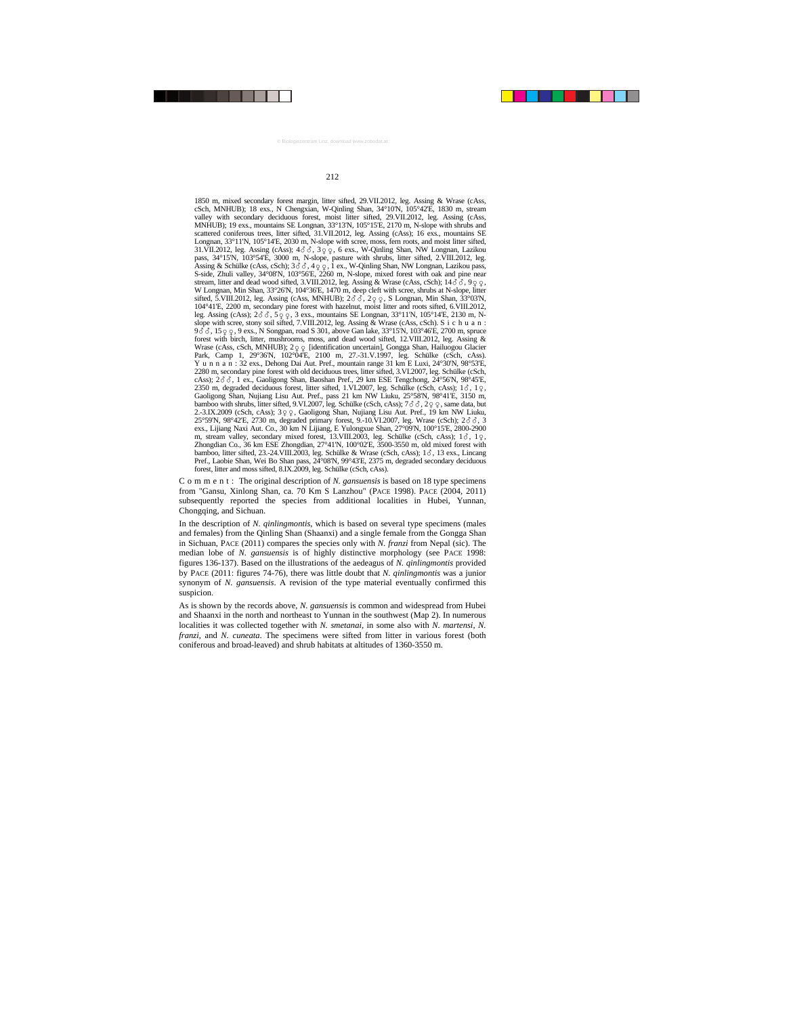1850 m, mixed secondary forest margin, litter sifted, 29.VII.2012, leg. Assing & Wrase (cAss, cSch, MNHUB); 18 exs., N Chengxian, W-Qinling Shan, 34°10'N, 105°42'E, 1830 m, stream valley with secondary deciduous forest, moist litter sifted, 29.VII.2012, leg. Assing (cAss, MNHUB); 19 exs., mountains SE Longnan, 33°13'N, 105°15'E, 2170 m, N-slope with shrubs and scattered coniferous trees, litter sifted, 31.VII.2012, leg. Assing (cAss); 16 exs., mountains SE Longnan, 33°11'N, 105°14'E, 2030 m, N-slope with scree, moss, fern roots, and moist litter sifted, 31.VII.2012, leg. Assing  $(c\text{Ass})$ ;  $4\overrightarrow{\delta}$ ,  $3\overrightarrow{\phi}$ ,  $6$  exs., W-Qinling Shan, NW Longnan, Lazikou pass, 34°15'N, 103°54'E, 3000 m, N-slope, pasture with shrubs, litter sifted, 2.VIII.2012, leg. Assing & Schülke (cAss, cSch); 3  $\delta$   $\delta$ , 4  $\varphi$ , 1 ex., W-Qinling Shan, NW Longnan, Lazikou pass,<br>S-side, Zhuli valley, 34°08'N, 103°56'E, 2260 m, N-slope, mixed forest with oak and pine near stream, litter and dead wood sifted, 3.VIII.2012, leg. Assing & Wrase (cAss, cSch);  $14\delta\delta$ ,  $9\delta\phi$ , W Longnan, Min Shan, 33°26'N, 104°36'E, 1470 m, deep cleft with scree, shrubs at N-slope, litter sifted, 5.VIII.2012, leg. Assing (cAss, MNHUB);  $2\delta\delta$ ,  $2\varphi\varphi$ , S Longnan, Min Shan, 33°03'N, 104°41'E, 2200 m, secondary pine forest with hazelnut, moist litter and roots sifted, 6.VIII.2012, leg. Assing (cAss);  $2\delta\delta$ ,  $59.9$ ,  $3.8$  exs., mountains SE Longnan,  $33^{\circ}11'N$ ,  $105^{\circ}14'E$ ,  $2130$  m, Nslope with scree, stony soil sifted, 7.VIII.2012, leg. Assing & Wrase (cAss, cSch). S i c h u a n : 9  $\delta$   $\delta$ , 15  $\varphi$   $\varphi$ , 9 exs., N Songpan, road S 301, above Gan lake, 33°15'N, 103°46'E, 2700 m, spruce forest with birch, litter, mushrooms, moss, and dead wood sifted, 12.VIII.2012, leg. Assing & Wrase (cAss, cSch, MNHUB);  $2 \varphi \varphi$  [identification uncertain], Gongga Shan, Hailuogou Glacier Park, Camp 1, 29°36'N, 102°04'E, 2100 m, 27.-31.V.1997, leg. Schülke (cSch, cAss). Y u n n a n : 32 exs., Dehong Dai Aut. Pref., mountain range 31 km E Luxi, 24°30'N, 98°53'E, 2280 m, secondary pine forest with old deciduous trees, litter sifted, 3.VI.2007, leg. Schülke (cSch, cAss);  $2\delta\delta$ , 1 ex., Gaoligong Shan, Baoshan Pref., 29 km ESE Tengchong,  $24^{\circ}56$ N,  $98^{\circ}45$ E, 2350 m, degraded deciduous forest, litter sifted,  $1.VI.2007$ , leg. Schülke (cSch, cAss);  $1\delta$ ,  $1\delta$ ,  $1\gamma$ , Gaoligong Shan, Nujiang Lisu Aut. Pref., pass 21 km NW Liuku, 25°58'N, 98°41'E, 3150 m, bamboo with shrubs, litter sifted, 9.VI.2007, leg. Schülke (cSch, cAss);  $7\delta\delta$ ,  $2q\delta$ , same data, but 2.-3.IX.2009 (cSch, cAss);  $3\circ\circ$ , Gaoligong Shan, Nujiang Lisu Aut. Pref., 19 km NW Liuku, 25°59'N, 98°42'E, 2730 m, degraded primary forest, 9.-10.VI.2007, leg. Wrase (cSch);  $2\delta\delta$ , 3 exs., Lijiang Naxi Aut. Co., 30 km N Lijiang, E Yulongxue Shan, 27°09'N, 100°15'E, 2800-2900 m, stream valley, secondary mixed forest,  $13.$ VIII.2003, leg. Schülke (cSch, cAss);  $1\delta$ ,  $1\delta$ ,  $1\delta$ ,  $1\delta$ ,  $1\delta$ ,  $1\delta$ ,  $1\delta$ ,  $1\delta$ ,  $1\delta$ ,  $1\delta$ ,  $1\delta$ ,  $1\delta$ ,  $1\delta$ ,  $1\delta$ ,  $1\delta$ ,  $1\delta$ ,  $1\delta$ ,  $1\delta$ ,  $1\delta$ ,  $1\$ Zhongdian Co., 36 km ESE Zhongdian, 27°41'N, 100°02'E, 3500-3550 m, old mixed forest with bamboo, litter sifted, 23.-24.VIII.2003, leg. Schülke & Wrase (cSch, cAss); 13, 13 exs., Lincang Pref., Laobie Shan, Wei Bo Shan pass, 24°08'N, 99°43'E, 2375 m, degraded secondary deciduous forest, litter and moss sifted, 8.IX.2009, leg. Schülke (cSch, cAss).

C o m m e n t : The original description of *N. gansuensis* is based on 18 type specimens from "Gansu, Xinlong Shan, ca. 70 Km S Lanzhou" (PACE 1998). PACE (2004, 2011) subsequently reported the species from additional localities in Hubei, Yunnan, Chongqing, and Sichuan.

In the description of *N. qinlingmontis*, which is based on several type specimens (males and females) from the Qinling Shan (Shaanxi) and a single female from the Gongga Shan in Sichuan, PACE (2011) compares the species only with *N. franzi* from Nepal (sic). The median lobe of *N. gansuensis* is of highly distinctive morphology (see PACE 1998: figures 136-137). Based on the illustrations of the aedeagus of *N. qinlingmontis* provided by PACE (2011: figures 74-76), there was little doubt that *N. qinlingmontis* was a junior synonym of *N. gansuensis*. A revision of the type material eventually confirmed this suspicion.

As is shown by the records above, *N. gansuensis* is common and widespread from Hubei and Shaanxi in the north and northeast to Yunnan in the southwest (Map 2). In numerous localities it was collected together with *N. smetanai*, in some also with *N. martensi*, *N. franzi*, and *N. cuneata*. The specimens were sifted from litter in various forest (both coniferous and broad-leaved) and shrub habitats at altitudes of 1360-3550 m.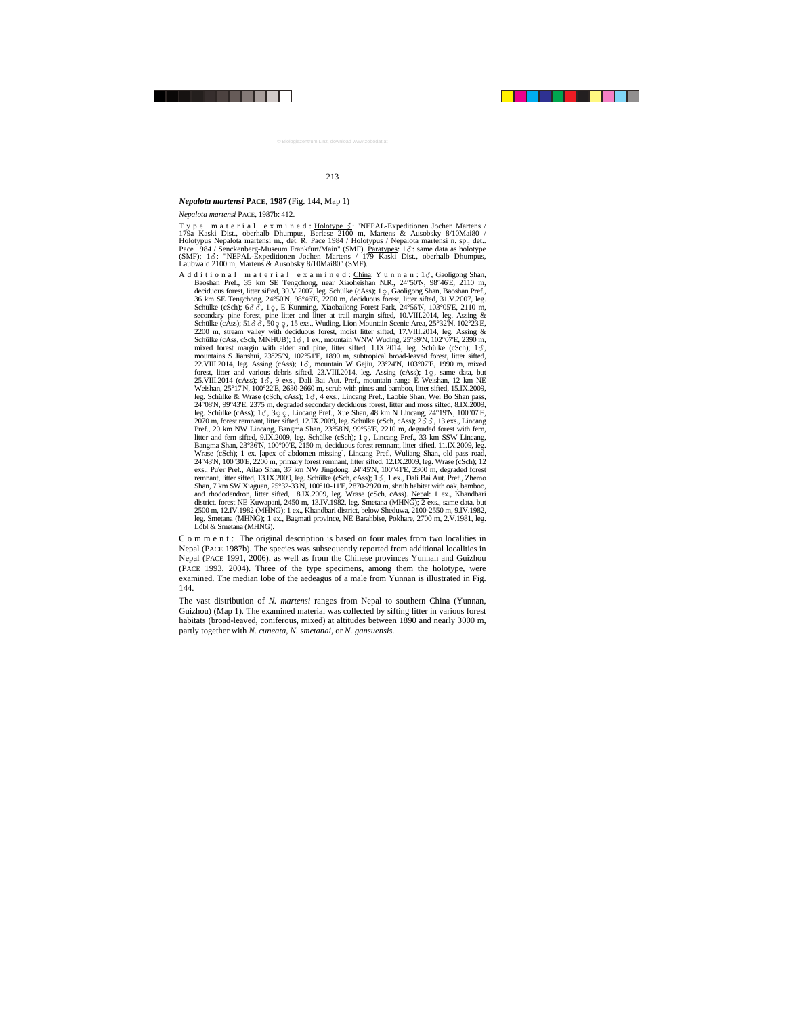## *Nepalota martensi* **PACE, 1987** (Fig. 144, Map 1)

*Nepalota martensi* PACE, 1987b: 412.

Type material exmined: Holotype  $\delta$ : "NEPAL-Expeditionen Jochen Martens / 179a Kaski Dist., oberhalb Dhumpus, Berlese 2100 m, Martens & Ausobsky 8/10Mai80 / Holotypus Nepalota martensi m., det. R. Pace 1984 / Holotypus / Nepalota martensi n. sp., det.. Pace 1984 / Senckenberg-Museum Frankfurt/Main" (SMF). Paratypes: 1&: same data as holotype (SMF); 13: "NEPAL-Expeditionen Jochen Martens / 179 Kaski Dist., oberhalb Dhumpus, Laubwald 2100 m, Martens & Ausobsky 8/10Mai80" (SMF).

A d d i t i o n a l m a t e r i a l e x a m i n e d : <u>China</u>: Y u n n a n : 1  $\delta$ , Gaoligong Shan, Baoshan Pref., 35 km SE Tengchong, near Xiaoheishan N.R., 24°50'N, 98°46'E, 2110 m, deciduous forest, litter sifted, 30.V.2007, leg. Schülke (cAss); 1  $\varphi$ , Gaoligong Shan, Baoshan Pref., 36 km SE Tengchong, 24°50'N, 98°46'E, 2200 m, deciduous forest, litter sifted, 31.V.2007, leg. Schülke (cSch);  $6\delta\delta$ ,  $1\delta$ , E Kunming, Xiaobailong Forest Park,  $24\delta\delta/N$ ,  $103\delta$  E,  $2110$  m, secondary pine forest, pine litter and litter at trail margin sifted, 10.VIII.2014, leg. Assing & Schülke (cAss);  $51\delta$ ,  $3.50\delta$ ,  $9.15$  exs., Wuding, Lion Mountain Scenic Area,  $25^{\circ}32^{\prime}N$ ,  $102^{\circ}23^{\prime}E$ , 2200 m, stream valley with deciduous forest, moist litter sifted, 17.VIII.2014, leg. Assing & Schülke (cAss, cSch, MNHUB);  $1\delta$ , 1 ex., mountain WNW Wuding, 25°39'N, 102°07'E, 2390 m, mixed forest margin with alder and pine, litter sifted,  $1.1X.2014$ , leg. Schülke (cSch);  $1\delta$ , mountains S Jianshui, 23°25'N, 102°51'E, 1890 m, subtropical broad-leaved forest, litter sifted, 22.VIII.2014, leg. Assing (cAss); 1 c3, mountain W Gejiu, 23°24'N, 103°07'E, 1990 m, mixed forest, litter and various debris sifted,  $23.\text{VIII}.2014$ , leg. Assing (cAss); 1 $\varphi$ , same data, but 25.VIII.2014 (cAss); 1 §, 9 exs., Dali Bai Aut. Pref., mountain range E Weishan, 12 km NE Weishan, 25°17'N, 100°22'E, 2630-2660 m, scrub with pines and bamboo, litter sifted, 15.IX.2009, leg. Schülke & Wrase (cSch, cAss); 1  $\delta$ , 4 exs., Lincang Pref., Laobie Shan, Wei Bo Shan pass, 24°08'N, 99°43'E, 2375 m, degraded secondary deciduous forest, litter and moss sifted, 8.IX.2009, leg. Schülke (cAss);  $1\delta$ ,  $3\varphi$   $\varphi$ , Lincang Pref., Xue Shan, 48 km N Lincang,  $24^{\circ}19$ N,  $100^{\circ}07$ E, 2070 m, forest remnant, litter sifted,  $12.IX.2009$ , leg. Schülke (cSch, cAss);  $2\delta\delta$ , 13 exs., Lincang Pref., 20 km NW Lincang, Bangma Shan, 23°58'N, 99°55'E, 2210 m, degraded forest with fern, litter and fern sifted, 9.IX.2009, leg. Schülke (cSch);  $1\degree$ , Lincang Pref., 33 km SSW Lincang, Bangma Shan, 23°36'N, 100°00'E, 2150 m, deciduous forest remnant, litter sifted, 11.IX.2009, leg. Wrase (cSch); 1 ex. [apex of abdomen missing], Lincang Pref., Wuliang Shan, old pass road, 24°43'N, 100°30'E, 2200 m, primary forest remnant, litter sifted, 12.IX.2009, leg. Wrase (cSch); 12 exs., Pu'er Pref., Ailao Shan, 37 km NW Jingdong, 24°45'N, 100°41'E, 2300 m, degraded forest remnant, litter sifted, 13.IX.2009, leg. Schülke (cSch, cAss); 1  $\delta$ , 1 ex., Dali Bai Aut. Pref., Zhemo Shan, 7 km SW Xiaguan, 25°32-33'N, 100°10-11'E, 2870-2970 m, shrub habitat with oak, bamboo, and rhododendron, litter sifted, 18.IX.2009, leg. Wrase (cSch, cAss). Nepal: 1 ex., Khandbari district, forest NE Kuwapani, 2450 m, 13.IV.1982, leg. Smetana (MHNG); 2 exs., same data, but 2500 m, 12.IV.1982 (MHNG); 1 ex., Khandbari district, below Sheduwa, 2100-2550 m, 9.IV.1982, leg. Smetana (MHNG); 1 ex., Bagmati province, NE Barahbise, Pokhare, 2700 m, 2.V.1981, leg. Löbl & Smetana (MHNG).

C o m m e n t : The original description is based on four males from two localities in Nepal (PACE 1987b). The species was subsequently reported from additional localities in Nepal (PACE 1991, 2006), as well as from the Chinese provinces Yunnan and Guizhou (PACE 1993, 2004). Three of the type specimens, among them the holotype, were examined. The median lobe of the aedeagus of a male from Yunnan is illustrated in Fig. 144.

The vast distribution of *N. martensi* ranges from Nepal to southern China (Yunnan, Guizhou) (Map 1). The examined material was collected by sifting litter in various forest habitats (broad-leaved, coniferous, mixed) at altitudes between 1890 and nearly 3000 m, partly together with *N. cuneata*, *N. smetanai*, or *N. gansuensis*.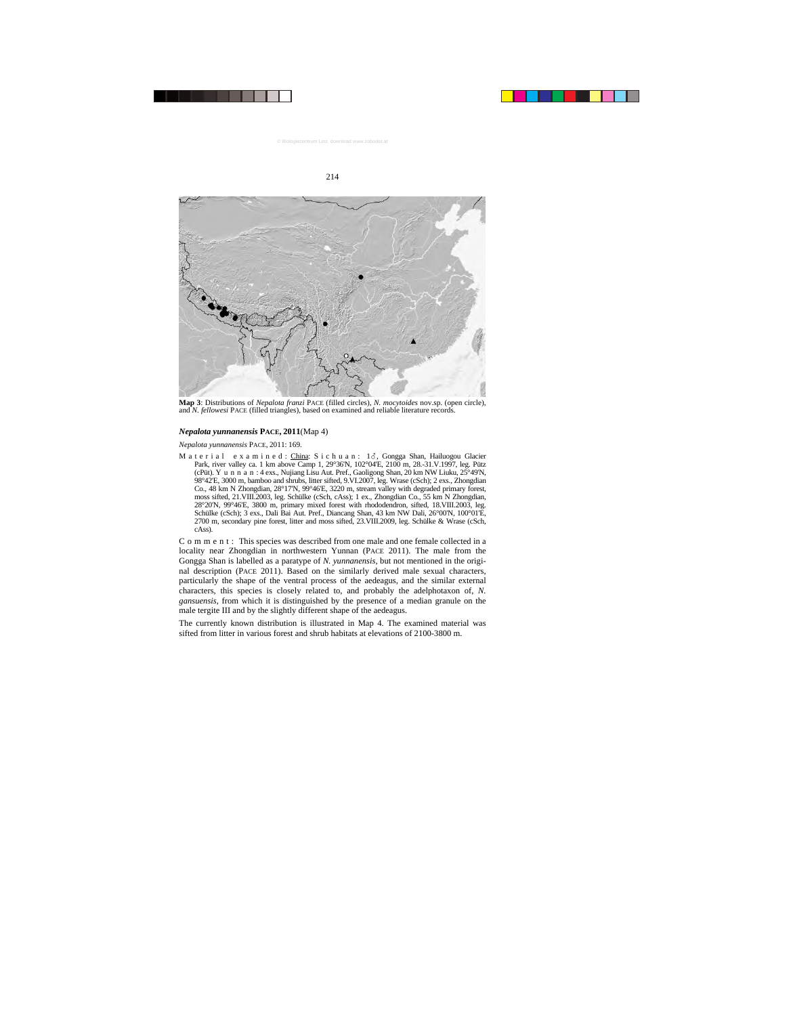

**Map 3**: Distributions of *Nepalota franzi* PACE (filled circles), *N. mocytoides* nov.sp. (open circle), and *N. fellowesi* PACE (filled triangles), based on examined and reliable literature records.

#### *Nepalota yunnanensis* **PACE, 2011**(Map 4)

*Nepalota yunnanensis* PACE, 2011: 169.

M a t e r i a l = e x a m i n e d : <u>China</u>: S i c h u a n : 1♂, Gongga Shan, Hailuogou Glacier Park, river valley ca. 1 km above Camp 1, 29°36'N, 102°04'E, 2100 m, 28.-31.V.1997, leg. Pütz (cPüt). Y u n n a n : 4 exs., Nujiang Lisu Aut. Pref., Gaoligong Shan, 20 km NW Liuku, 25°49'N, 98°42'E, 3000 m, bamboo and shrubs, litter sifted, 9.VI.2007, leg. Wrase (cSch); 2 exs., Zhongdian Co., 48 km N Zhongdian, 28°17'N, 99°46'E, 3220 m, stream valley with degraded primary forest, moss sifted, 21.VIII.2003, leg. Schülke (cSch, cAss); 1 ex., Zhongdian Co., 55 km N Zhongdian, 28°20'N, 99°46'E, 3800 m, primary mixed forest with rhododendron, sifted, 18.VIII.2003, leg. Schülke (cSch); 3 exs., Dali Bai Aut. Pref., Diancang Shan, 43 km NW Dali, 26°00'N, 100°01'E, 2700 m, secondary pine forest, litter and moss sifted, 23.VIII.2009, leg. Schülke & Wrase (cSch, cAss).

C o m m e n t : This species was described from one male and one female collected in a locality near Zhongdian in northwestern Yunnan (PACE 2011). The male from the Gongga Shan is labelled as a paratype of *N. yunnanensis*, but not mentioned in the original description (PACE 2011). Based on the similarly derived male sexual characters, particularly the shape of the ventral process of the aedeagus, and the similar external characters, this species is closely related to, and probably the adelphotaxon of, *N. gansuensis*, from which it is distinguished by the presence of a median granule on the male tergite III and by the slightly different shape of the aedeagus.

The currently known distribution is illustrated in Map 4. The examined material was sifted from litter in various forest and shrub habitats at elevations of 2100-3800 m.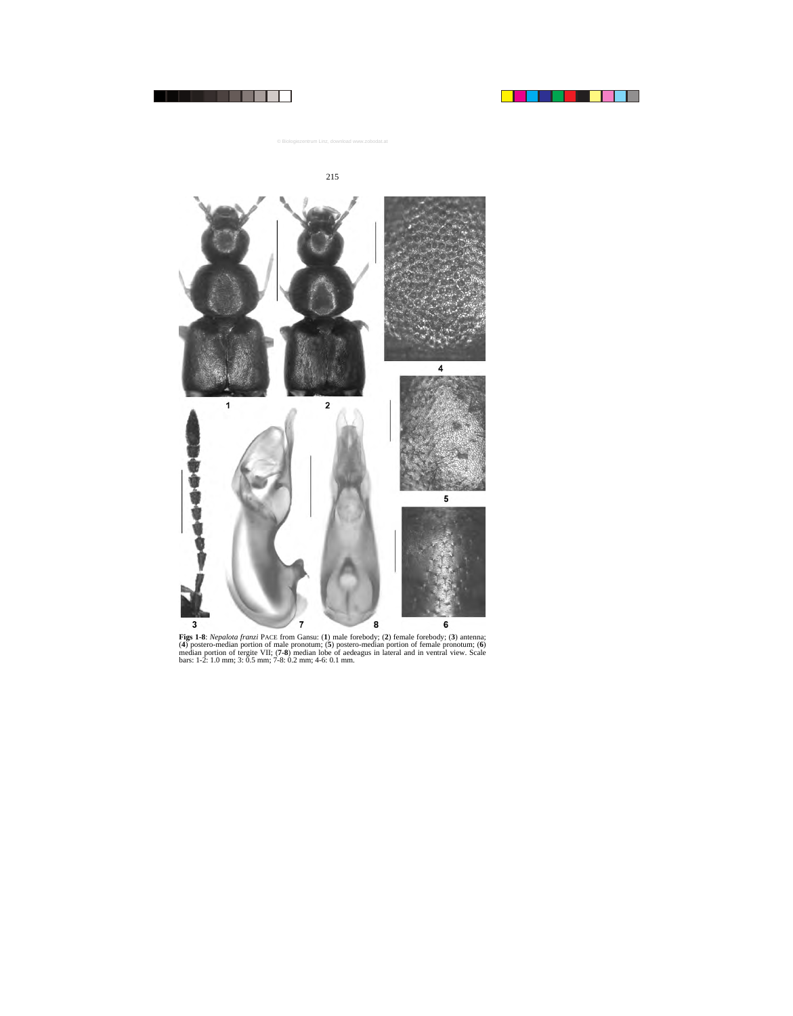



**Figs 1-8**: *Nepalota franzi* PACE from Gansu: (**1**) male forebody; (**2**) female forebody; (**3**) antenna; (**4**) postero-median portion of male pronotum; (**5**) postero-median portion of female pronotum; (**6**) median portion of tergite VII; (**7-8**) median lobe of aedeagus in lateral and in ventral view. Scale bars: 1-2: 1.0 mm; 3: 0.5 mm; 7-8: 0.2 mm; 4-6: 0.1 mm.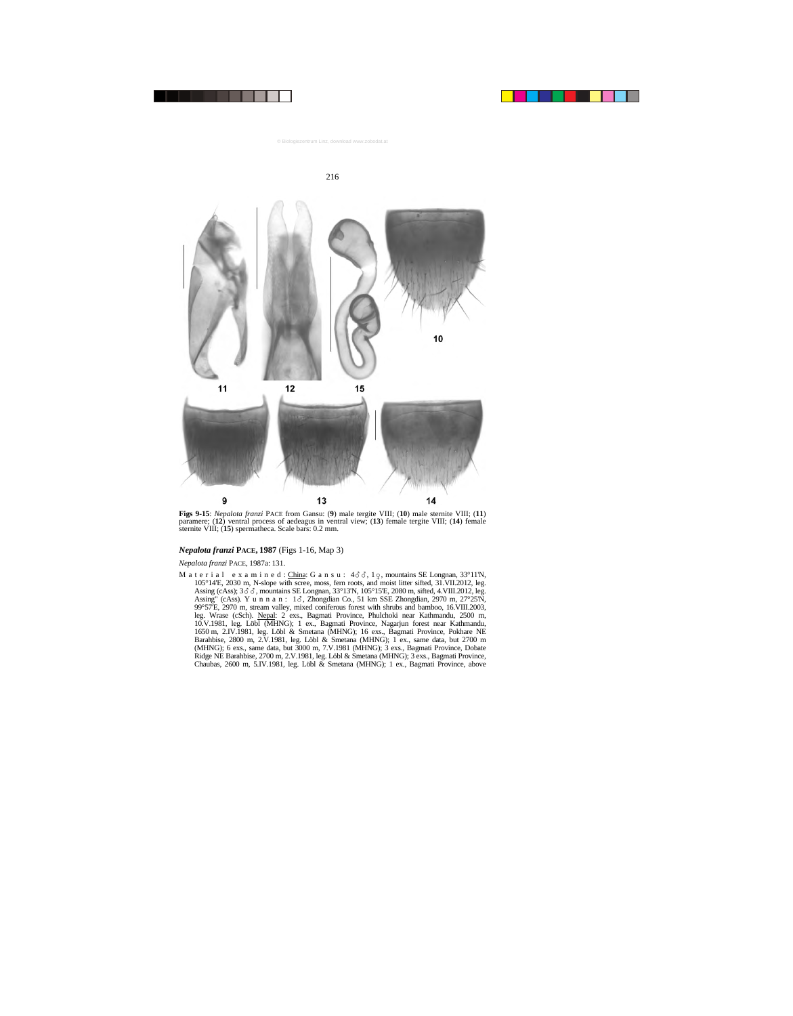



**Figs 9-15**: *Nepalota franzi* PACE from Gansu: (**9**) male tergite VIII; (**10**) male sternite VIII; (**11**) paramere; (**12**) ventral process of aedeagus in ventral view; (**13**) female tergite VIII; (**14**) female sternite VIII; (**15**) spermatheca. Scale bars: 0.2 mm.

## *Nepalota franzi* **PACE, 1987** (Figs 1-16, Map 3)

#### *Nepalota franzi* PACE, 1987a: 131.

M a t e r i a l e x a m i n e d : China: G a n s u :  $4\delta\delta$ ,  $1\varphi$ , mountains SE Longnan, 33°11'N, 105°14'E, 2030 m, N-slope with scree, moss, fern roots, and moist litter sifted, 31.VII.2012, leg. Assing (cAss);  $3\delta\delta$ , mountains SE Longnan,  $33^{\circ}13'N$ ,  $105^{\circ}15'E$ , 2080 m, sifted, 4.VIII.2012, leg. Assing" (cAss). Y u n n a n :  $1\delta$ , Zhongdian Co., 51 km SSE Zhongdian, 2970 m, 27°25'N, 99°57'E, 2970 m, stream valley, mixed coniferous forest with shrubs and bamboo, 16.VIII.2003, leg. Wrase (cSch). Nepal: 2 exs., Bagmati Province, Phulchoki near Kathmandu, 2500 m, 10.V.1981, leg. Löbl (MHNG); 1 ex., Bagmati Province, Nagarjun forest near Kathmandu, 1650 m, 2.IV.1981, leg. Löbl & Smetana (MHNG); 16 exs., Bagmati Province, Pokhare NE Barahbise, 2800 m, 2.V.1981, leg. Löbl & Smetana (MHNG); 1 ex., same data, but 2700 m (MHNG); 6 exs., same data, but 3000 m, 7.V.1981 (MHNG); 3 exs., Bagmati Province, Dobate Ridge NE Barahbise, 2700 m, 2.V.1981, leg. Löbl & Smetana (MHNG); 3 exs., Bagmati Province, Chaubas, 2600 m, 5.IV.1981, leg. Löbl & Smetana (MHNG); 1 ex., Bagmati Province, above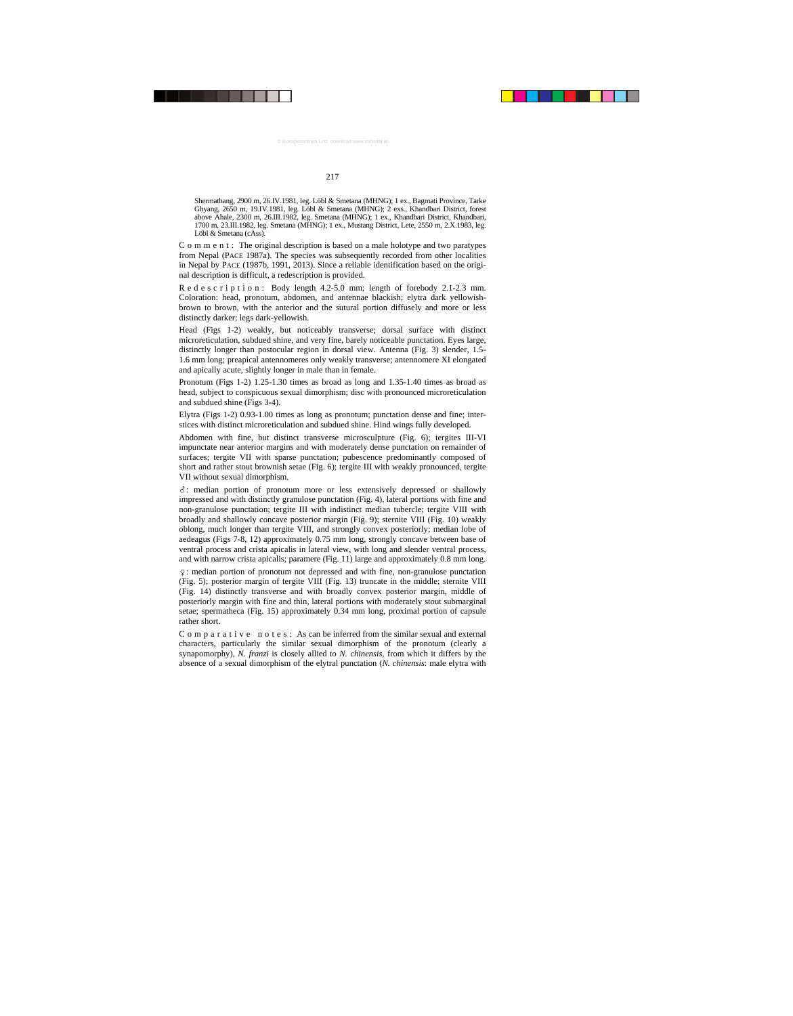Shermathang, 2900 m, 26.IV.1981, leg. Löbl & Smetana (MHNG); 1 ex., Bagmati Province, Tarke Ghyang, 2650 m, 19.IV.1981, leg. Löbl & Smetana (MHNG); 2 exs., Khandbari District, forest above Ahale, 2300 m, 26.III.1982, leg. Smetana (MHNG); 1 ex., Khandbari District, Khandbari, 1700 m, 23.III.1982, leg. Smetana (MHNG); 1 ex., Mustang District, Lete, 2550 m, 2.X.1983, leg. Löbl & Smetana (cAss).

C o m m e n t : The original description is based on a male holotype and two paratypes from Nepal (PACE 1987a). The species was subsequently recorded from other localities in Nepal by PACE (1987b, 1991, 2013). Since a reliable identification based on the original description is difficult, a redescription is provided.

R e d e s c r i p t i o n : Body length 4.2-5.0 mm; length of forebody 2.1-2.3 mm. Coloration: head, pronotum, abdomen, and antennae blackish; elytra dark yellowishbrown to brown, with the anterior and the sutural portion diffusely and more or less distinctly darker; legs dark-yellowish.

Head (Figs 1-2) weakly, but noticeably transverse; dorsal surface with distinct microreticulation, subdued shine, and very fine, barely noticeable punctation. Eyes large, distinctly longer than postocular region in dorsal view. Antenna (Fig. 3) slender, 1.5- 1.6 mm long; preapical antennomeres only weakly transverse; antennomere XI elongated and apically acute, slightly longer in male than in female.

Pronotum (Figs 1-2) 1.25-1.30 times as broad as long and 1.35-1.40 times as broad as head, subject to conspicuous sexual dimorphism; disc with pronounced microreticulation and subdued shine (Figs 3-4).

Elytra (Figs 1-2) 0.93-1.00 times as long as pronotum; punctation dense and fine; interstices with distinct microreticulation and subdued shine. Hind wings fully developed.

Abdomen with fine, but distinct transverse microsculpture (Fig. 6); tergites III-VI impunctate near anterior margins and with moderately dense punctation on remainder of surfaces; tergite VII with sparse punctation; pubescence predominantly composed of short and rather stout brownish setae (Fig. 6); tergite III with weakly pronounced, tergite VII without sexual dimorphism.

-: median portion of pronotum more or less extensively depressed or shallowly impressed and with distinctly granulose punctation (Fig. 4), lateral portions with fine and non-granulose punctation; tergite III with indistinct median tubercle; tergite VIII with broadly and shallowly concave posterior margin (Fig. 9); sternite VIII (Fig. 10) weakly oblong, much longer than tergite VIII, and strongly convex posteriorly; median lobe of aedeagus (Figs 7-8, 12) approximately 0.75 mm long, strongly concave between base of ventral process and crista apicalis in lateral view, with long and slender ventral process, and with narrow crista apicalis; paramere (Fig. 11) large and approximately 0.8 mm long.

: median portion of pronotum not depressed and with fine, non-granulose punctation (Fig. 5); posterior margin of tergite VIII (Fig. 13) truncate in the middle; sternite VIII (Fig. 14) distinctly transverse and with broadly convex posterior margin, middle of posteriorly margin with fine and thin, lateral portions with moderately stout submarginal setae; spermatheca (Fig. 15) approximately 0.34 mm long, proximal portion of capsule rather short.

C o m p a r a t i v e n o t e s : As can be inferred from the similar sexual and external characters, particularly the similar sexual dimorphism of the pronotum (clearly a synapomorphy), *N. franzi* is closely allied to *N. chinensis*, from which it differs by the absence of a sexual dimorphism of the elytral punctation (*N. chinensis*: male elytra with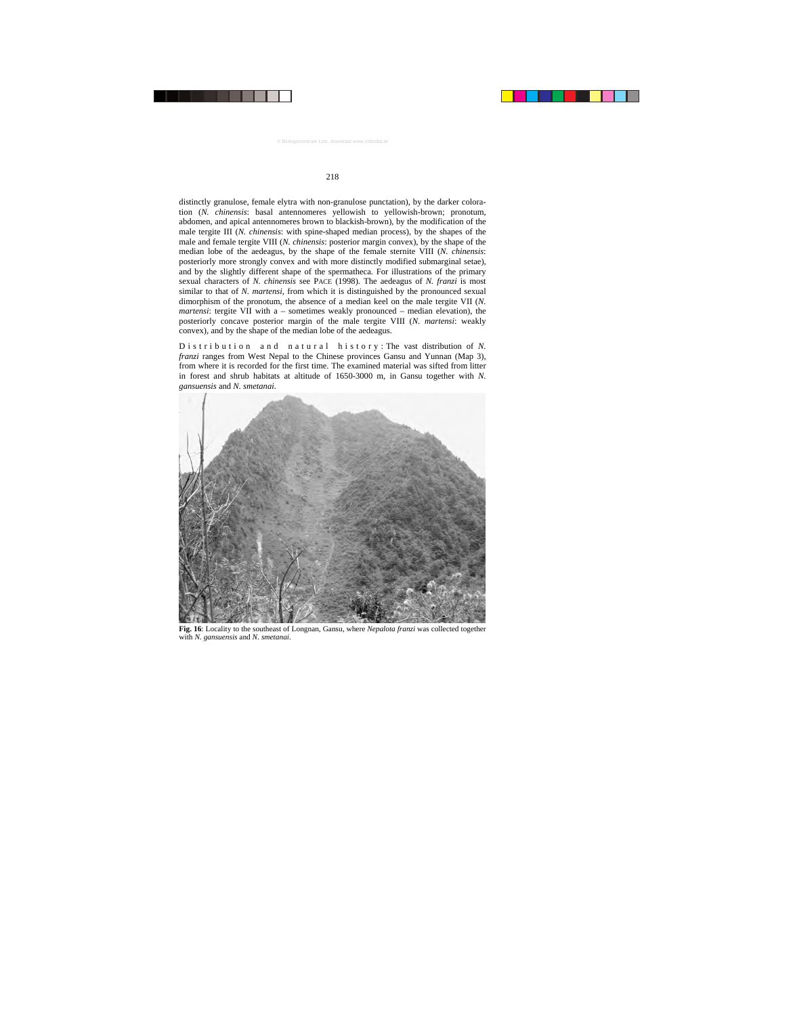distinctly granulose, female elytra with non-granulose punctation), by the darker coloration (*N. chinensis*: basal antennomeres yellowish to yellowish-brown; pronotum, abdomen, and apical antennomeres brown to blackish-brown), by the modification of the male tergite III (*N. chinensis*: with spine-shaped median process), by the shapes of the male and female tergite VIII (*N. chinensis*: posterior margin convex), by the shape of the median lobe of the aedeagus, by the shape of the female sternite VIII (*N. chinensis*: posteriorly more strongly convex and with more distinctly modified submarginal setae), and by the slightly different shape of the spermatheca. For illustrations of the primary sexual characters of *N. chinensis* see PACE (1998). The aedeagus of *N. franzi* is most similar to that of *N. martensi*, from which it is distinguished by the pronounced sexual dimorphism of the pronotum, the absence of a median keel on the male tergite VII (*N. martensi*: tergite VII with a – sometimes weakly pronounced – median elevation), the posteriorly concave posterior margin of the male tergite VIII (*N. martensi*: weakly convex), and by the shape of the median lobe of the aedeagus.

D is tribution and natural history: The vast distribution of N. *franzi* ranges from West Nepal to the Chinese provinces Gansu and Yunnan (Map 3), from where it is recorded for the first time. The examined material was sifted from litter in forest and shrub habitats at altitude of 1650-3000 m, in Gansu together with *N. gansuensis* and *N. smetanai*.



**Fig. 16**: Locality to the southeast of Longnan, Gansu, where *Nepalota franzi* was collected together with *N. gansuensis* and *N. smetanai*.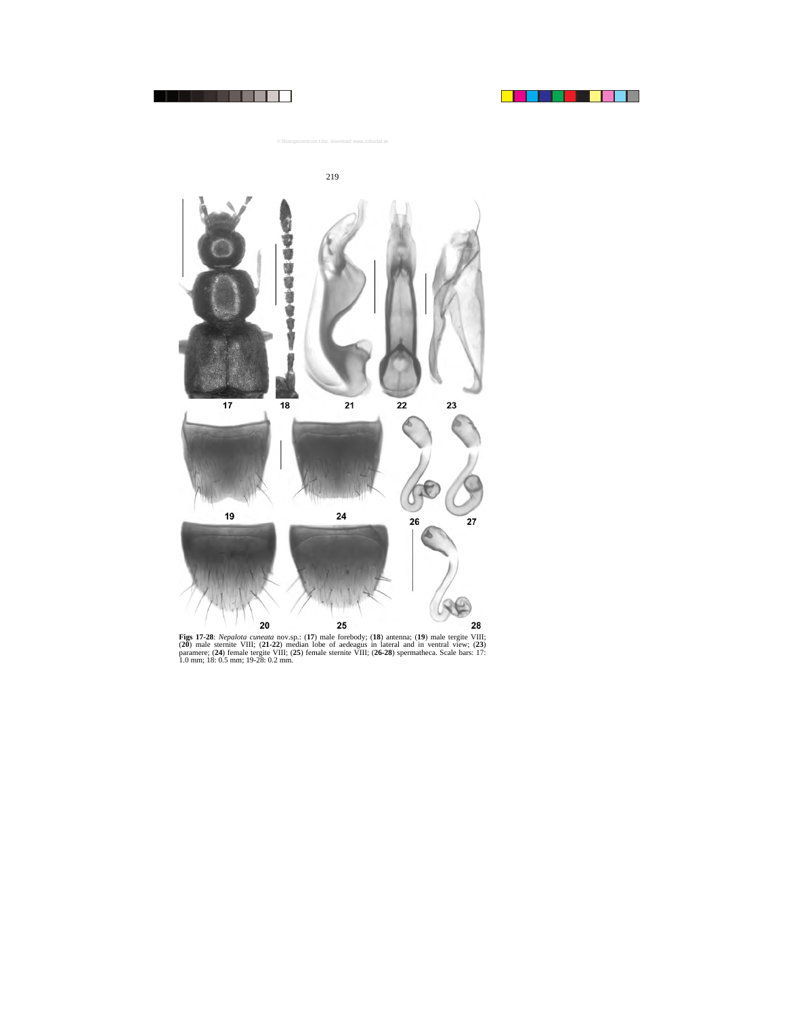



**Figs 17-28**: *Nepalota cuneata* nov.sp.: (**17**) male forebody; (**18**) antenna; (**19**) male tergite VIII; (**20**) male sternite VIII; (**21-22**) median lobe of aedeagus in lateral and in ventral view; (**23**) paramere; (**24**) female tergite VIII; (**25**) female sternite VIII; (**26-28**) spermatheca. Scale bars: 17: 1.0 mm; 18: 0.5 mm; 19-28: 0.2 mm.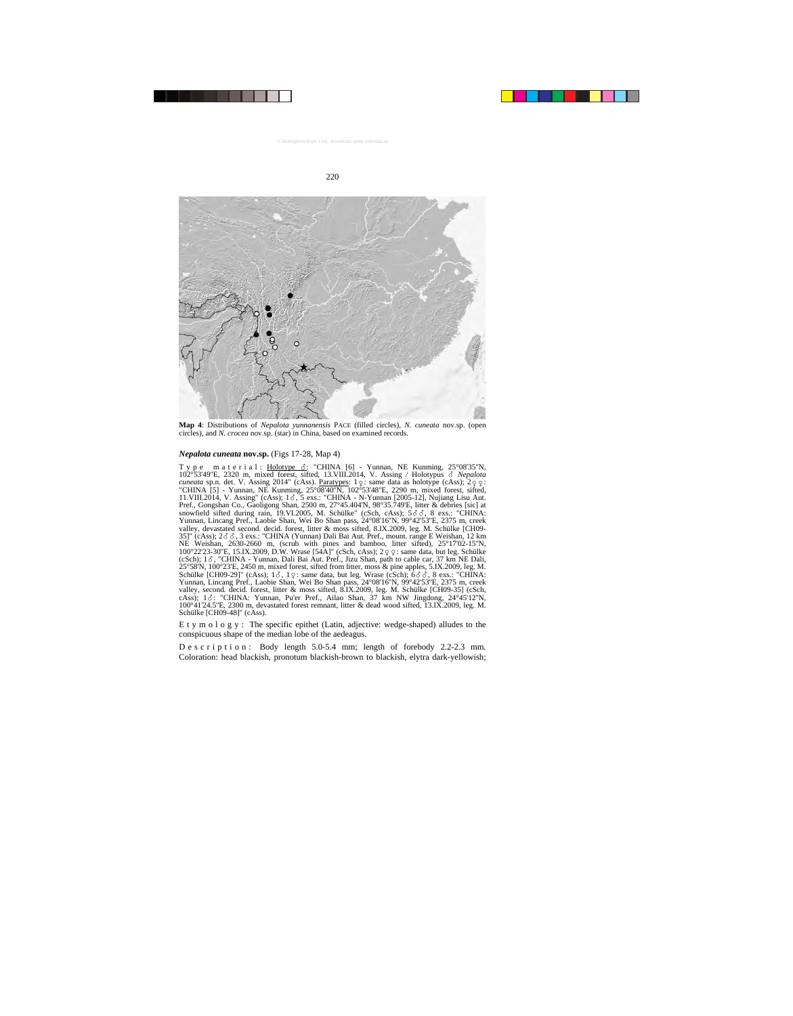

**Map 4**: Distributions of *Nepalota yunnanensis* PACE (filled circles), *N. cuneata* nov.sp. (open circles), and *N. crocea* nov.sp. (star) in China, based on examined records.

#### *Nepalota cuneata* **nov.sp.** (Figs 17-28, Map 4)

Type material: <u>Holotype 3</u>: "CHINA [6] - Yunnan, NE Kunming, 25°08'35"N, 102°53'49''E, 2320 m, mixed forest, sifted, 13.VIII.2014, V. Assing / Holotypus - *Nepalota*  cuneata sp.n. det. V. Assing 2014" (cAss). Paratypes: 1 Q: same data as holotype (cAss); 2 Q Q: <br>"CHINA [5] - Yunnan, NE Kunming, 25°08'40"N, 102°53'48"E, 2290 m, mixed forest, sifted, 11.VIII.2014, V. Assing" (cAss);  $1\delta$ , 5 exs.: "CHINA - N-Yunnan [2005-12], Nujiang Lisu Aut. Pref., Gongshan Co., Gaoligong Shan, 2500 m, 27°45.404'N, 98°35.749'E, litter & debries [sic] at snowfield sifted during rain, 19.VI.2005, M. Schülke" (cSch, cAss);  $5\delta\delta$ , 8 exs.: "CHINA: Yunnan, Lincang Pref., Laobie Shan, Wei Bo Shan pass, 24°08'16''N, 99°42'53''E, 2375 m, creek valley, devastated second. decid. forest, litter & moss sifted, 8.IX.2009, leg. M. Schülke [CH09- 35]" (cAss);  $2\delta\delta$ , 3 exs.: "CHINA (Yunnan) Dali Bai Aut. Pref., mount. range E Weishan, 12 km NE Weishan, 2630-2660 m, (scrub with pines and bamboo, litter sifted), 25°17'02-15''N, 100°22'23-30''E, 15.IX.2009, D.W. Wrase [54A]" (cSch, cAss); 2 $\varphi$  c : same data, but leg. Schülke (cSch); 13, "CHINA - Yunnan, Dali Bai Aut. Pref., Jizu Shan, path to cable car, 37 km NE Dali, 25°58'N, 100°23'E, 2450 m, mixed forest, sifted from litter, moss & pine apples, 5.IX.2009, leg. M. Schülke [CH09-29]" (cAss);  $1\delta$ ,  $1\varphi$ : same data, but leg. Wrase (cSch);  $6\delta\delta$ , 8 exs.: "CHINA: Yunnan, Lincang Pref., Laobie Shan, Wei Bo Shan pass, 24°08'16''N, 99°42'53''E, 2375 m, creek valley, second. decid. forest, litter & moss sifted, 8.IX.2009, leg. M. Schülke [CH09-35] (cSch, cAss); 13: "CHINA: Yunnan, Pu'er Pref., Ailao Shan, 37 km NW Jingdong, 24°45'12"N, 100°41'24.5''E, 2300 m, devastated forest remnant, litter & dead wood sifted, 13.IX.2009, leg. M. Schülke [CH09-48]" (cAss).

E t y m o l o g y : The specific epithet (Latin, adjective: wedge-shaped) alludes to the conspicuous shape of the median lobe of the aedeagus.

D e s c r i p t i o n : Body length 5.0-5.4 mm; length of forebody 2.2-2.3 mm. Coloration: head blackish, pronotum blackish-brown to blackish, elytra dark-yellowish;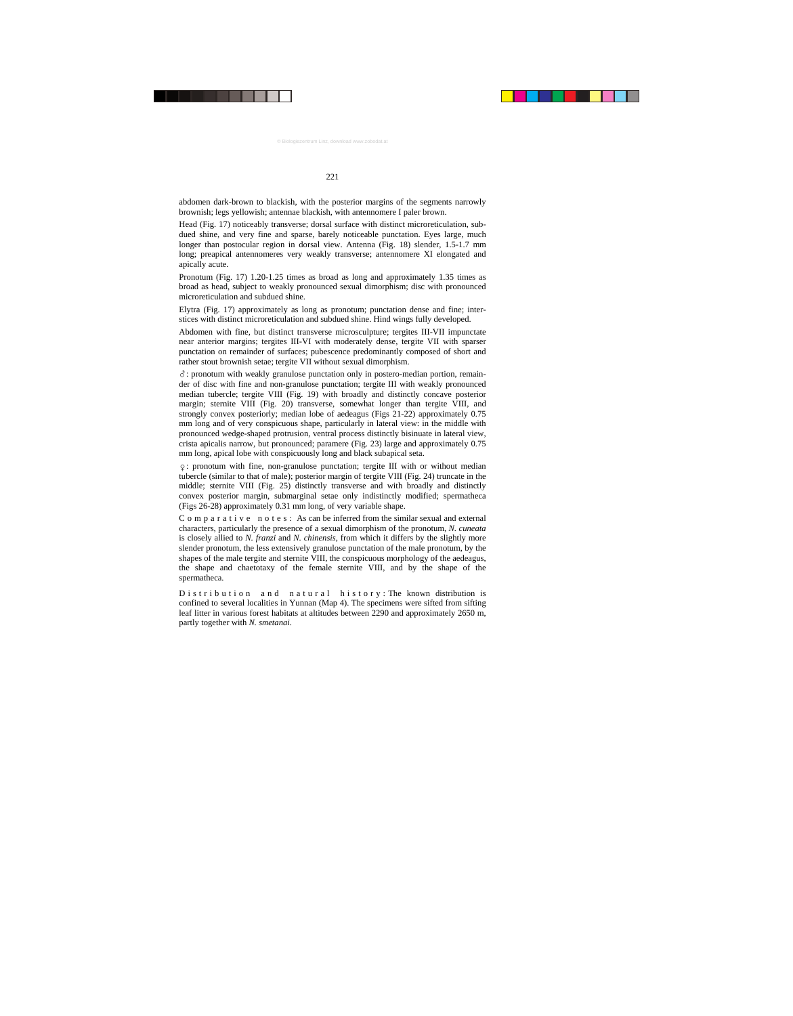abdomen dark-brown to blackish, with the posterior margins of the segments narrowly brownish; legs yellowish; antennae blackish, with antennomere I paler brown.

Head (Fig. 17) noticeably transverse; dorsal surface with distinct microreticulation, subdued shine, and very fine and sparse, barely noticeable punctation. Eyes large, much longer than postocular region in dorsal view. Antenna (Fig. 18) slender, 1.5-1.7 mm long; preapical antennomeres very weakly transverse; antennomere XI elongated and apically acute.

Pronotum (Fig. 17) 1.20-1.25 times as broad as long and approximately 1.35 times as broad as head, subject to weakly pronounced sexual dimorphism; disc with pronounced microreticulation and subdued shine.

Elytra (Fig. 17) approximately as long as pronotum; punctation dense and fine; interstices with distinct microreticulation and subdued shine. Hind wings fully developed.

Abdomen with fine, but distinct transverse microsculpture; tergites III-VII impunctate near anterior margins; tergites III-VI with moderately dense, tergite VII with sparser punctation on remainder of surfaces; pubescence predominantly composed of short and rather stout brownish setae; tergite VII without sexual dimorphism.

-: pronotum with weakly granulose punctation only in postero-median portion, remainder of disc with fine and non-granulose punctation; tergite III with weakly pronounced median tubercle; tergite VIII (Fig. 19) with broadly and distinctly concave posterior margin; sternite VIII (Fig. 20) transverse, somewhat longer than tergite VIII, and strongly convex posteriorly; median lobe of aedeagus (Figs 21-22) approximately 0.75 mm long and of very conspicuous shape, particularly in lateral view: in the middle with pronounced wedge-shaped protrusion, ventral process distinctly bisinuate in lateral view, crista apicalis narrow, but pronounced; paramere (Fig. 23) large and approximately 0.75 mm long, apical lobe with conspicuously long and black subapical seta.

: pronotum with fine, non-granulose punctation; tergite III with or without median tubercle (similar to that of male); posterior margin of tergite VIII (Fig. 24) truncate in the middle; sternite VIII (Fig. 25) distinctly transverse and with broadly and distinctly convex posterior margin, submarginal setae only indistinctly modified; spermatheca (Figs 26-28) approximately 0.31 mm long, of very variable shape.

 $C$  o m p a r a t i v e n o t e s : As can be inferred from the similar sexual and external characters, particularly the presence of a sexual dimorphism of the pronotum, *N. cuneata* is closely allied to *N. franzi* and *N. chinensis*, from which it differs by the slightly more slender pronotum, the less extensively granulose punctation of the male pronotum, by the shapes of the male tergite and sternite VIII, the conspicuous morphology of the aedeagus, the shape and chaetotaxy of the female sternite VIII, and by the shape of the spermatheca.

D is tribution and natural history: The known distribution is confined to several localities in Yunnan (Map 4). The specimens were sifted from sifting leaf litter in various forest habitats at altitudes between 2290 and approximately 2650 m, partly together with *N. smetanai*.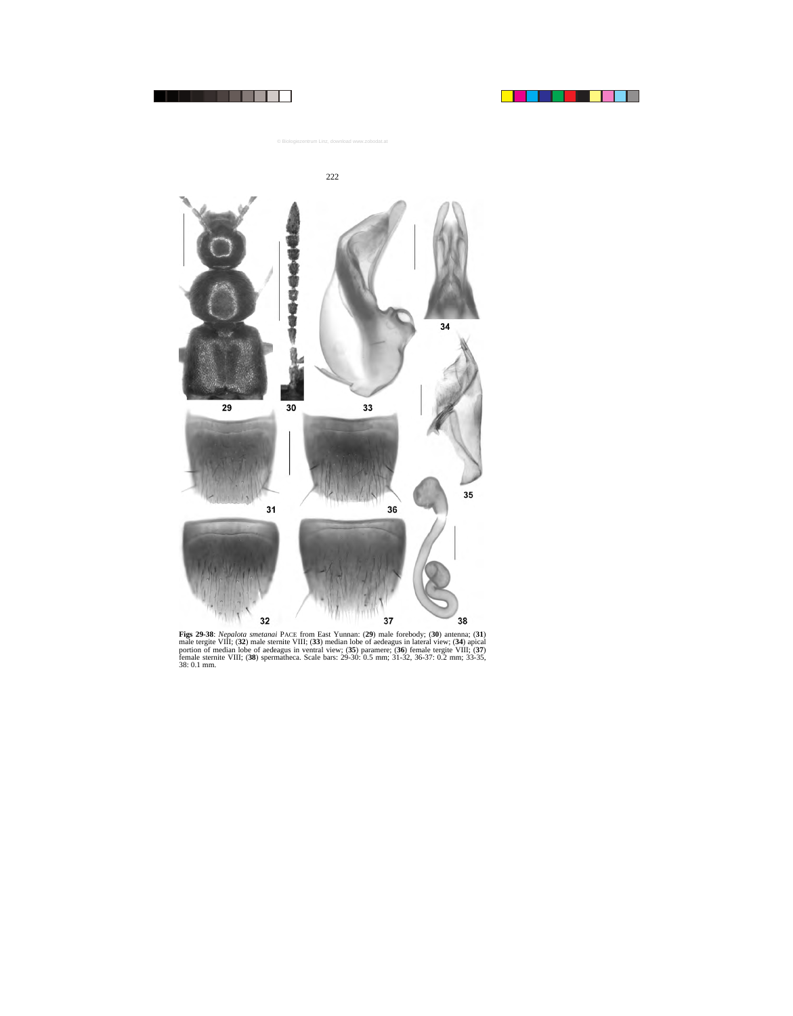

**Figs 29-38**: *Nepalota smetanai* PACE from East Yunnan: (**29**) male forebody; (**30**) antenna; (**31**) male tergite VIII; (**32**) male sternite VIII; (**33**) median lobe of aedeagus in lateral view; (**34**) apical portion of median lobe of aedeagus in ventral view; (**35**) paramere; (**36**) female tergite VIII; (**37**) female sternite VIII; (**38**) spermatheca. Scale bars: 29-30: 0.5 mm; 31-32, 36-37: 0.2 mm; 33-35, 38: 0.1 mm.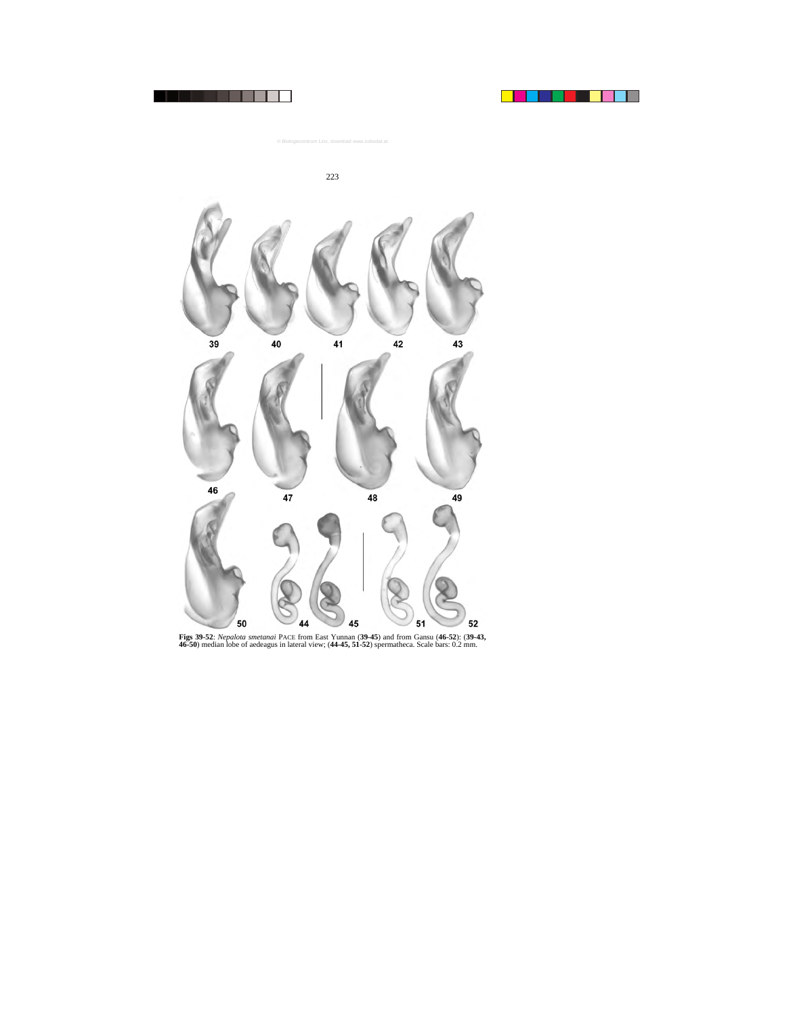



**Figs 39-52**: *Nepalota smetanai* PACE from East Yunnan (**39-45**) and from Gansu (**46-52**): (**39-43, 46-50**) median lobe of aedeagus in lateral view; (**44-45, 51-52**) spermatheca. Scale bars: 0.2 mm.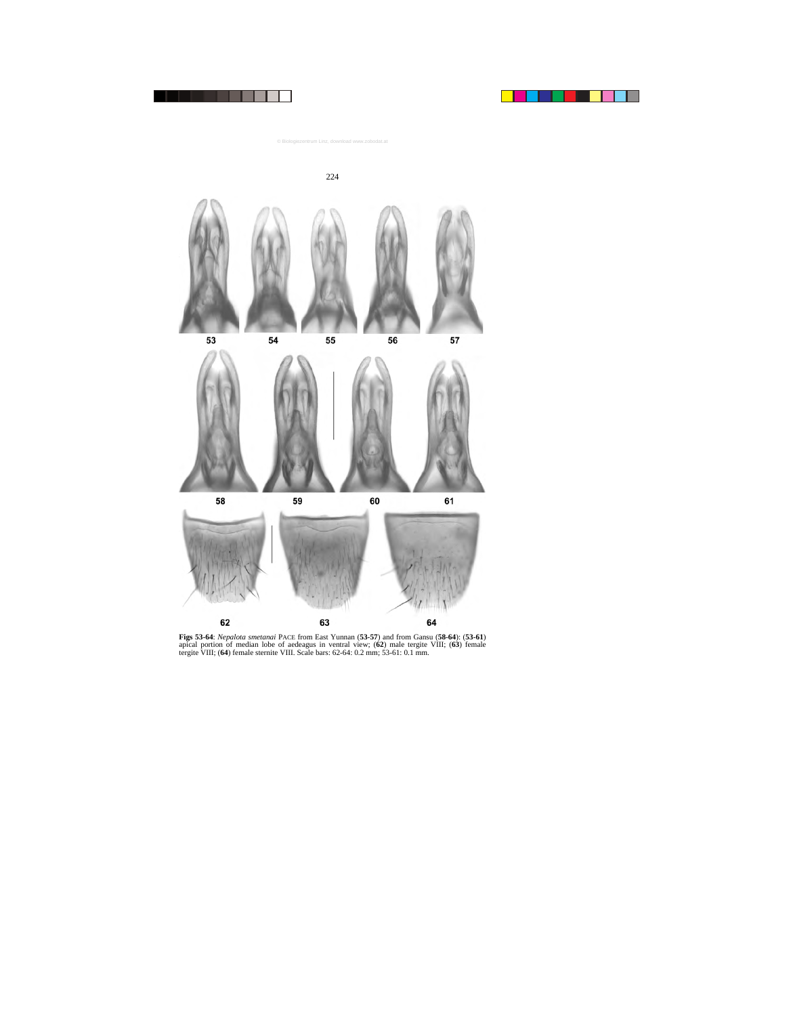







**Figs 53-64**: *Nepalota smetanai* PACE from East Yunnan (**53-57**) and from Gansu (**58-64**): (**53-61**) apical portion of median lobe of aedeagus in ventral view; (**62**) male tergite VIII; (**63**) female tergite VIII; (**64**) female sternite VIII. Scale bars: 62-64: 0.2 mm; 53-61: 0.1 mm.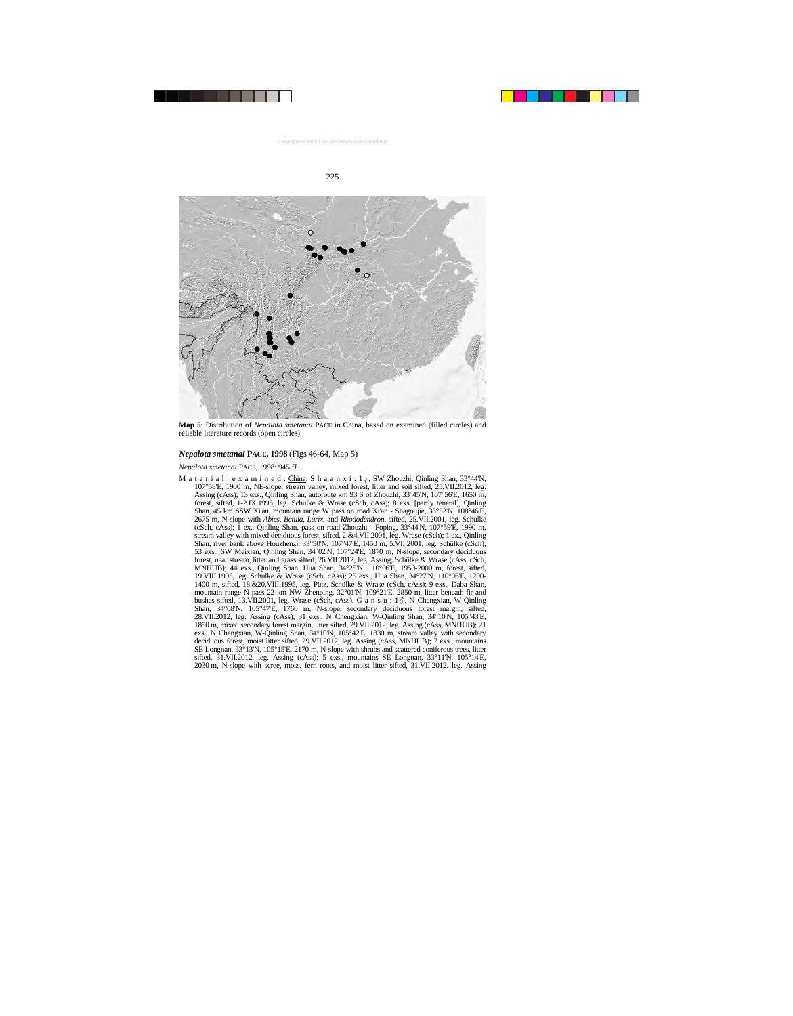

**Map 5**: Distribution of *Nepalota smetanai* PACE in China, based on examined (filled circles) and reliable literature records (open circles).

#### *Nepalota smetanai* **PACE, 1998** (Figs 46-64, Map 5)

## *Nepalota smetanai* PACE, 1998: 945 ff.

M a t e r i a l e x a m i n e d : China: S h a a n x i : 1 $\circ$ , SW Zhouzhi, Qinling Shan, 33°44'N, 107°58'E, 1900 m, NE-slope, stream valley, mixed forest, litter and soil sifted, 25.VII.2012, leg. Assing (cAss); 13 exs., Qinling Shan, autoroute km 93 S of Zhouzhi, 33°45'N, 107°56'E, 1650 m, forest, sifted, 1-2.IX.1995, leg. Schülke & Wrase (cSch, cAss); 8 exs. [partly teneral], Qinling Shan, 45 km SSW Xi'an, mountain range W pass on road Xi'an - Shagoujie, 33°52'N, 108°46'E, 2675 m, N-slope with *Abies*, *Betula*, *Larix*, and *Rhododendron*, sifted, 25.VII.2001, leg. Schülke (cSch, cAss); 1 ex., Qinling Shan, pass on road Zhouzhi - Foping, 33°44'N, 107°59'E, 1990 m, stream valley with mixed deciduous forest, sifted, 2.&4.VII.2001, leg. Wrase (cSch); 1 ex., Qinling Shan, river bank above Houzhenzi, 33°50'N, 107°47'E, 1450 m, 5.VII.2001, leg. Schülke (cSch); 53 exs., SW Meixian, Qinling Shan, 34°02'N, 107°24'E, 1870 m, N-slope, secondary deciduous forest, near stream, litter and grass sifted, 26.VII.2012, leg. Assing, Schülke & Wrase (cAss, cSch, MNHUB); 44 exs., Qinling Shan, Hua Shan, 34°25'N, 110°06'E, 1950-2000 m, forest, sifted, 19.VIII.1995, leg. Schülke & Wrase (cSch, cAss); 25 exs., Hua Shan, 34°27'N, 110°06'E, 1200- 1400 m, sifted, 18.&20.VIII.1995, leg. Pütz, Schülke & Wrase (cSch, cAss); 9 exs., Daba Shan, mountain range N pass 22 km NW Zhenping, 32°01'N, 109°21'E, 2850 m, litter beneath fir and bushes sifted, 13.VII.2001, leg. Wrase (cSch, cAss). G a n s u : 13, N Chengxian, W-Qinling Shan, 34°08'N, 105°47'E, 1760 m, N-slope, secondary deciduous forest margin, sifted, 28.VII.2012, leg. Assing (cAss); 31 exs., N Chengxian, W-Qinling Shan, 34°10'N, 105°43'E, 1850 m, mixed secondary forest margin, litter sifted, 29.VII.2012, leg. Assing (cAss, MNHUB); 21 exs., N Chengxian, W-Qinling Shan, 34°10'N, 105°42'E, 1830 m, stream valley with secondary deciduous forest, moist litter sifted, 29.VII.2012, leg. Assing (cAss, MNHUB); 7 exs., mountains SE Longnan, 33°13'N, 105°15'E, 2170 m, N-slope with shrubs and scattered coniferous trees, litter sifted, 31.VII.2012, leg. Assing (cAss); 5 exs., mountains SE Longnan, 33°11'N, 105°14'E, 2030 m, N-slope with scree, moss, fern roots, and moist litter sifted, 31.VII.2012, leg. Assing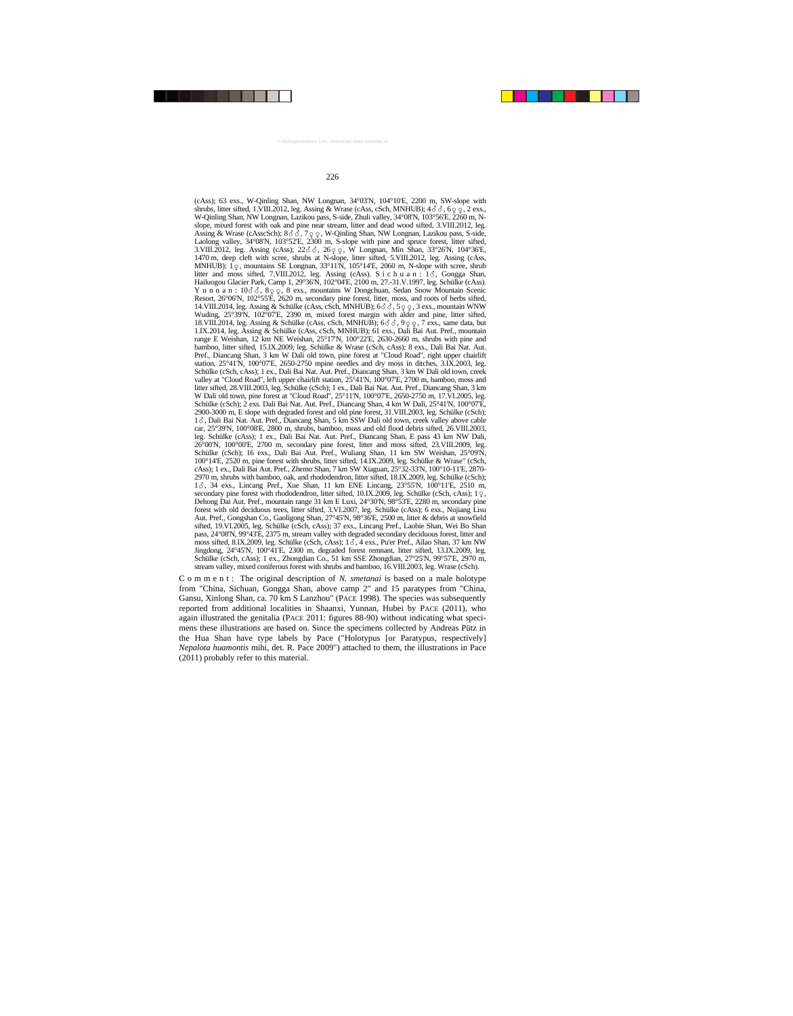(cAss); 63 exs., W-Qinling Shan, NW Longnan, 34°03'N, 104°10'E, 2200 m, SW-slope with shrubs, litter sifted, 1.VIII.2012, leg. Assing & Wrase (cAss, cSch, MNHUB);  $4\delta\delta$ ,  $6\varphi$   $\varphi$ ,  $2$  exs., W-Qinling Shan, NW Longnan, Lazikou pass, S-side, Zhuli valley, 34°08'N, 103°56'E, 2260 m, Nslope, mixed forest with oak and pine near stream, litter and dead wood sifted, 3.VIII.2012, leg. Assing & Wrase (cAsscSch);  $8\delta\delta$ ,  $7\varphi\varphi$ , W-Qinling Shan, NW Longnan, Lazikou pass, S-side, Laolong valley,  $34^{\circ}08'N$ ,  $103^{\circ}52'E$ ,  $2300$  m, S-slope with pine and spruce forest, litter sifted,  $3. VIII. 2012, leg. Assigng (cAss); 22\delta\delta, 26\varphi, W. Longnan, Min Shan, 33°26'N, 104°36'E, 177\% (cAss) (cAss) (cAss) (2012, 2012).$ 1470 m, deep cleft with scree, shrubs at N-slope, litter sifted, 5.VIII.2012, leg. Assing (cAss, MNHUB);  $1\degree$ , mountains SE Longnan,  $33^{\circ}11'N$ ,  $105^{\circ}14'E$ ,  $2060$  m, N-slope with scree, shrub litter and moss sifted, 7.VIII.2012, leg. Assing (cAss). S i c h u a n :  $1\delta$ , Gongga Shan, Hailuogou Glacier Park, Camp 1, 29°36'N, 102°04'E, 2100 m, 27.-31.V.1997, leg. Schülke (cAss). Y u n n a n : 10∂ ∂, 8 o o e s exs., mountains W Dongchuan, Sedan Snow Mountain Scenic<br>Resort, 26°06'N, 102°55'E, 2620 m, secondary pine forest, litter, moss, and roots of herbs sifted, 14. VIII. 2014, leg. Assing & Schülke (cAss, cSch, MNHUB);  $6\delta\delta$ ,  $5\varphi\varphi$ , 3 exs., mountain WNW Wuding, 25°39'N, 102°07'E, 2390 m, mixed forest margin with alder and pine, litter sifted, 18.VIII.2014, leg. Assing & Schülke (cAss, cSch, MNHUB);  $6\delta\delta$ ,  $9\varphi\varphi$ , 7 exs., same data, but 1.IX.2014, leg. Assing & Schülke (cAss, cSch, MNHUB); 61 exs., Dali Bai Aut. Pref., mountain range E Weishan, 12 km NE Weishan, 25°17'N, 100°22'E, 2630-2660 m, shrubs with pine and bamboo, litter sifted, 15.IX.2009, leg. Schülke & Wrase (cSch, cAss); 8 exs., Dali Bai Nat. Aut. Pref., Diancang Shan, 3 km W Dali old town, pine forest at "Cloud Road", right upper chairlift station,  $25^{\circ}41\text{N}$ ,  $100^{\circ}07\text{E}$ ,  $2650-2750$  mpine needles and dry moss in ditches,  $3.\overline{IX}$ ,  $2003$ , leg. Schülke (cSch, cAss); 1 ex., Dali Bai Nat. Aut. Pref., Diancang Shan, 3 km W Dali old town, creek valley at "Cloud Road", left upper chairlift station, 25°41'N, 100°07'E, 2700 m, bamboo, moss and litter sifted, 28.VIII.2003, leg. Schülke (cSch); 1 ex., Dali Bai Nat. Aut. Pref., Diancang Shan, 3 km W Dali old town, pine forest at "Cloud Road", 25°11'N, 100°07'E, 2650-2750 m, 17.VI.2005, leg. Schülke (cSch); 2 exs. Dali Bai Nat. Aut. Pref., Diancang Shan, 4 km W Dali, 25°41'N, 100°07'E, 2900-3000 m, E slope with degraded forest and old pine forest, 31.VIII.2003, leg. Schülke (cSch); 1 $\delta$ , Dali Bai Nat. Aut. Pref., Diancang Shan, 5 km SSW Dali old town, creek valley above cable car, 25°39'N, 100°08'E, 2800 m, shrubs, bamboo, moss and old flood debris sifted, 26.VIII.2003, leg. Schülke (cAss); 1 ex., Dali Bai Nat. Aut. Pref., Diancang Shan, E pass 43 km NW Dali, 26°00'N, 100°00'E, 2700 m, secondary pine forest, litter and moss sifted, 23.VIII.2009, leg. Schülke (cSch); 16 exs., Dali Bai Aut. Pref., Wuliang Shan, 11 km SW Weishan, 25°09'N, 100°14'E, 2520 m, pine forest with shrubs, litter sifted, 14.IX.2009, leg. Schülke & Wrase" (cSch, cAss); 1 ex., Dali Bai Aut. Pref., Zhemo Shan, 7 km SW Xiaguan, 25°32-33'N, 100°10-11'E, 2870- 2970 m, shrubs with bamboo, oak, and rhododendron, litter sifted, 18.IX.2009, leg. Schülke (cSch); 1 $\delta$ , 34 exs., Lincang Pref., Xue Shan, 11 km ENE Lincang, 23°55'N, 100°11'E, 2510 m, secondary pine forest with rhododendron, litter sifted,  $10.IX.2009$ , leg. Schülke (cSch, cAss);  $1\degree$ , Dehong Dai Aut. Pref., mountain range 31 km E Luxi, 24°30'N, 98°53'E, 2280 m, secondary pine forest with old deciduous trees, litter sifted, 3.VI.2007, leg. Schülke (cAss); 6 exs., Nujiang Lisu Aut. Pref., Gongshan Co., Gaoligong Shan, 27°45'N, 98°36'E, 2500 m, litter & debris at snowfield sifted, 19.VI.2005, leg. Schülke (cSch, cAss); 37 exs., Lincang Pref., Laobie Shan, Wei Bo Shan pass, 24°08'N, 99°43'E, 2375 m, stream valley with degraded secondary deciduous forest, litter and moss sifted, 8.IX.2009, leg. Schülke (cSch, cAss); 1  $\delta$ , 4 exs., Pu'er Pref., Ailao Shan, 37 km NW Jingdong, 24°45'N, 100°41'E, 2300 m, degraded forest remnant, litter sifted, 13.IX.2009, leg. Schülke (cSch, cAss); 1 ex., Zhongdian Co., 51 km SSE Zhongdian, 27°25'N, 99°57'E, 2970 m, stream valley, mixed coniferous forest with shrubs and bamboo, 16.VIII.2003, leg. Wrase (cSch).

C o m m e n t : The original description of *N. smetanai* is based on a male holotype from "China, Sichuan, Gongga Shan, above camp 2" and 15 paratypes from "China, Gansu, Xinlong Shan, ca. 70 km S Lanzhou" (PACE 1998). The species was subsequently reported from additional localities in Shaanxi, Yunnan, Hubei by PACE (2011), who again illustrated the genitalia (PACE 2011: figures 88-90) without indicating what specimens these illustrations are based on. Since the specimens collected by Andreas Pütz in the Hua Shan have type labels by Pace ("Holotypus [or Paratypus, respectively] *Nepalota huamontis* mihi, det. R. Pace 2009") attached to them, the illustrations in Pace (2011) probably refer to this material.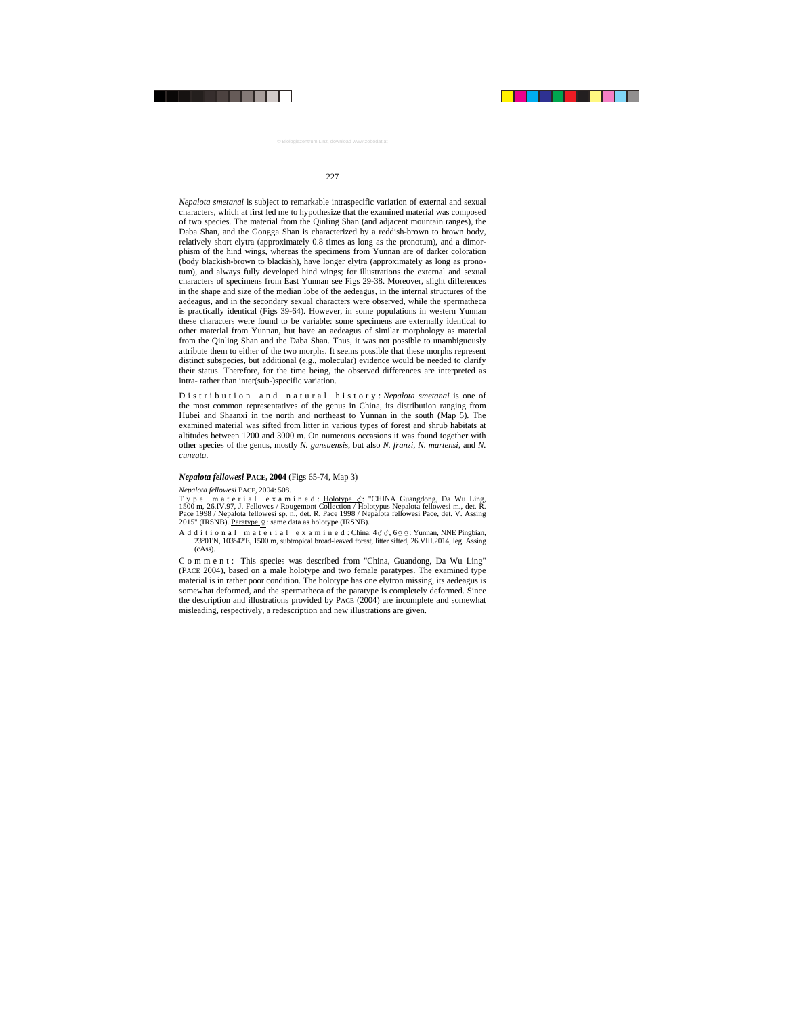*Nepalota smetanai* is subject to remarkable intraspecific variation of external and sexual characters, which at first led me to hypothesize that the examined material was composed of two species. The material from the Qinling Shan (and adjacent mountain ranges), the Daba Shan, and the Gongga Shan is characterized by a reddish-brown to brown body, relatively short elytra (approximately 0.8 times as long as the pronotum), and a dimorphism of the hind wings, whereas the specimens from Yunnan are of darker coloration (body blackish-brown to blackish), have longer elytra (approximately as long as pronotum), and always fully developed hind wings; for illustrations the external and sexual characters of specimens from East Yunnan see Figs 29-38. Moreover, slight differences in the shape and size of the median lobe of the aedeagus, in the internal structures of the aedeagus, and in the secondary sexual characters were observed, while the spermatheca is practically identical (Figs 39-64). However, in some populations in western Yunnan these characters were found to be variable: some specimens are externally identical to other material from Yunnan, but have an aedeagus of similar morphology as material from the Qinling Shan and the Daba Shan. Thus, it was not possible to unambiguously attribute them to either of the two morphs. It seems possible that these morphs represent distinct subspecies, but additional (e.g., molecular) evidence would be needed to clarify their status. Therefore, for the time being, the observed differences are interpreted as intra- rather than inter(sub-)specific variation.

Distribution and natural history: *Nepalota smetanai* is one of the most common representatives of the genus in China, its distribution ranging from Hubei and Shaanxi in the north and northeast to Yunnan in the south (Map 5). The examined material was sifted from litter in various types of forest and shrub habitats at altitudes between 1200 and 3000 m. On numerous occasions it was found together with other species of the genus, mostly *N. gansuensis*, but also *N. franzi*, *N. martensi*, and *N. cuneata*.

## *Nepalota fellowesi* **PACE, 2004** (Figs 65-74, Map 3)

## *Nepalota fellowesi* PACE, 2004: 508.

Type material examined: <u>Holotype 3</u>: "CHINA Guangdong, Da Wu Ling, 1500 m, 26.IV.97, J. Fellowes / Rougemont Collection / Holotypus Nepalota fellowesi m., det. R. Pace 1998 / Nepalota fellowesi sp. n., det. R. Pace 1998 / Nepalota fellowesi Pace, det. V. Assing 2015" (IRSNB). Paratype  $\varphi$ : same data as holotype (IRSNB).

A d d i t i o n a l m a t e r i a l e x a m i n e d :  $\frac{\text{China}}{\text{Again}}$ :  $4\delta\delta$ ,  $6\varphi\varphi$ : Yunnan, NNE Pingbian, 23°01'N, 103°42'E, 1500 m, subtropical broad-leaved forest, litter sifted, 26.VIII.2014, leg. Assing (cAss).

C o m m e n t : This species was described from "China, Guandong, Da Wu Ling" (PACE 2004), based on a male holotype and two female paratypes. The examined type material is in rather poor condition. The holotype has one elytron missing, its aedeagus is somewhat deformed, and the spermatheca of the paratype is completely deformed. Since the description and illustrations provided by PACE (2004) are incomplete and somewhat misleading, respectively, a redescription and new illustrations are given.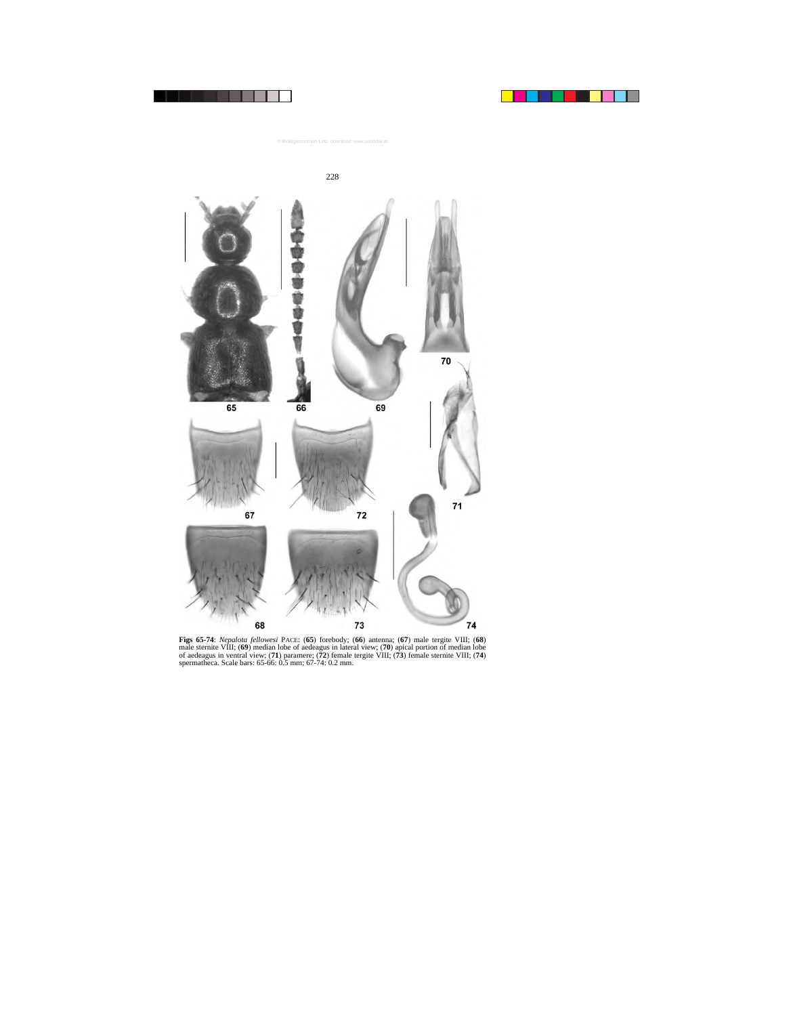

**Figs 65-74**: *Nepalota fellowesi* PACE: (**65**) forebody; (**66**) antenna; (**67**) male tergite VIII; (**68**) male sternite VIII; (**69**) median lobe of aedeagus in lateral view; (**70**) apical portion of median lobe of aedeagus in ventral view; (**71**) paramere; (**72**) female tergite VIII; (**73**) female sternite VIII; (**74**) spermatheca. Scale bars: 65-66: 0.5 mm; 67-74: 0.2 mm.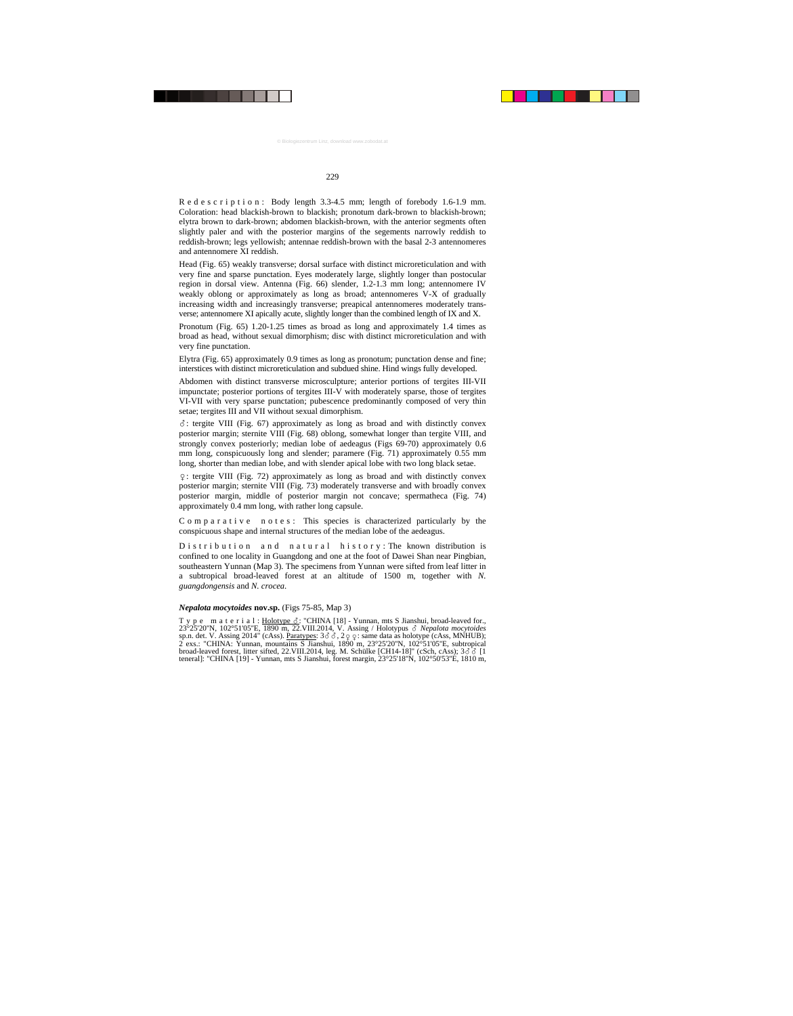R e d e s c r i p t i o n : Body length 3.3-4.5 mm; length of forebody 1.6-1.9 mm. Coloration: head blackish-brown to blackish; pronotum dark-brown to blackish-brown; elytra brown to dark-brown; abdomen blackish-brown, with the anterior segments often slightly paler and with the posterior margins of the segements narrowly reddish to reddish-brown; legs yellowish; antennae reddish-brown with the basal 2-3 antennomeres and antennomere XI reddish.

Head (Fig. 65) weakly transverse; dorsal surface with distinct microreticulation and with very fine and sparse punctation. Eyes moderately large, slightly longer than postocular region in dorsal view. Antenna (Fig. 66) slender, 1.2-1.3 mm long; antennomere IV weakly oblong or approximately as long as broad; antennomeres V-X of gradually increasing width and increasingly transverse; preapical antennomeres moderately transverse; antennomere XI apically acute, slightly longer than the combined length of IX and X.

Pronotum (Fig. 65) 1.20-1.25 times as broad as long and approximately 1.4 times as broad as head, without sexual dimorphism; disc with distinct microreticulation and with very fine punctation.

Elytra (Fig. 65) approximately 0.9 times as long as pronotum; punctation dense and fine; interstices with distinct microreticulation and subdued shine. Hind wings fully developed.

Abdomen with distinct transverse microsculpture; anterior portions of tergites III-VII impunctate; posterior portions of tergites III-V with moderately sparse, those of tergites VI-VII with very sparse punctation; pubescence predominantly composed of very thin setae; tergites III and VII without sexual dimorphism.

-: tergite VIII (Fig. 67) approximately as long as broad and with distinctly convex posterior margin; sternite VIII (Fig. 68) oblong, somewhat longer than tergite VIII, and strongly convex posteriorly; median lobe of aedeagus (Figs 69-70) approximately 0.6 mm long, conspicuously long and slender; paramere (Fig. 71) approximately 0.55 mm long, shorter than median lobe, and with slender apical lobe with two long black setae.

: tergite VIII (Fig. 72) approximately as long as broad and with distinctly convex posterior margin; sternite VIII (Fig. 73) moderately transverse and with broadly convex posterior margin, middle of posterior margin not concave; spermatheca (Fig. 74) approximately 0.4 mm long, with rather long capsule.

C o m p a r a t i v e n o t e s : This species is characterized particularly by the conspicuous shape and internal structures of the median lobe of the aedeagus.

D is t r i b u t i o n a n d n a t u r a l h is t o r y : The known distribution is confined to one locality in Guangdong and one at the foot of Dawei Shan near Pingbian, southeastern Yunnan (Map 3). The specimens from Yunnan were sifted from leaf litter in a subtropical broad-leaved forest at an altitude of 1500 m, together with *N. guangdongensis* and *N. crocea*.

## *Nepalota mocytoides* **nov.sp.** (Figs 75-85, Map 3)

T y p e m a t e r i a l : Holotype  $\delta$ : "CHINA [18] - Yunnan, mts S Jianshui, broad-leaved for., 23°25'20''N, 102°51'05''E, 1890 m, 22.VIII.2014, V. Assing / Holotypus - *Nepalota mocytoides* sp.n. det. V. Assing 2014" (cAss). <u>Paratypes</u>: 3  $\delta$   $\delta$ , 2  $\varphi$  : same data as holotype (cAss, MNHUB); 2 exs.: "CHINA: Yunnan, mountains S Jianshui, 1890 m, 23°25'20"N, 102°51'05"E, subtropical broad-leaved forest, litter sifted, 22. VIII. 2014, leg. M. Schülke [CH14-18]" (cSch, cAss);  $3\delta\delta$  [1 teneral]: "CHINA [19] - Yunnan, mts S Jianshui, forest margin, 23°25'18''N, 102°50'53''E, 1810 m,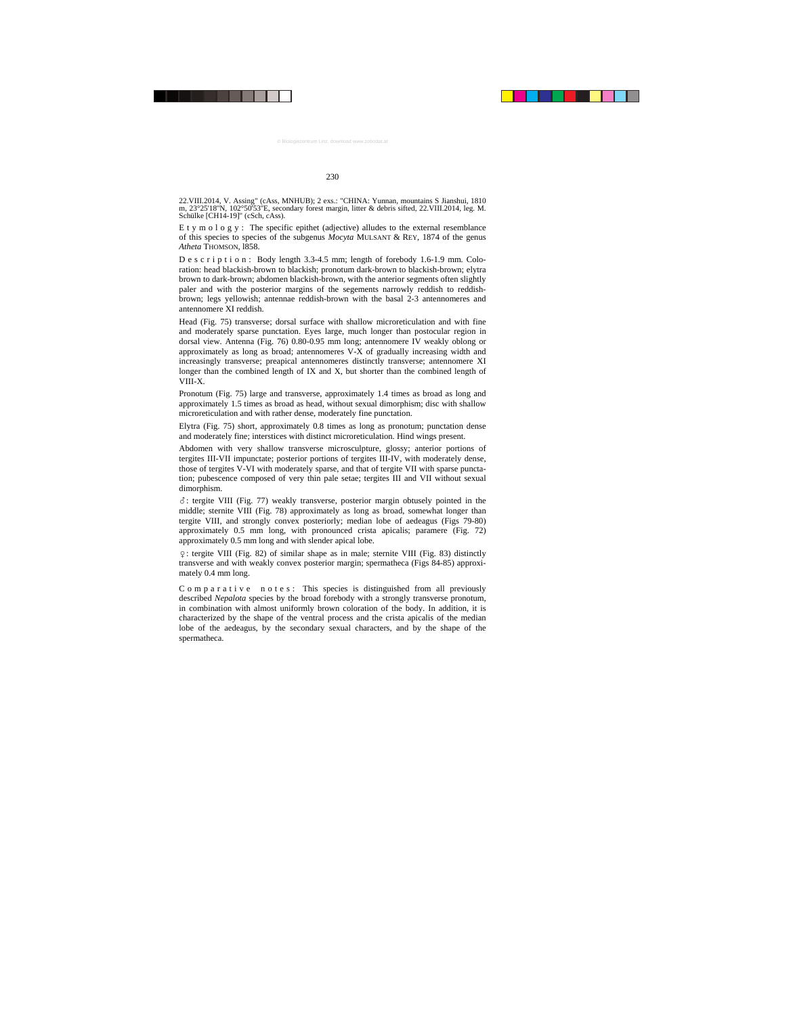22.VIII.2014, V. Assing" (cAss, MNHUB); 2 exs.: "CHINA: Yunnan, mountains S Jianshui, 1810 m, 23°25'18''N, 102°50'53''E, secondary forest margin, litter & debris sifted, 22.VIII.2014, leg. M. Schülke [CH14-19]" (cSch, cAss).

E t y m o l o g y : The specific epithet (adjective) alludes to the external resemblance of this species to species of the subgenus *Mocyta* MULSANT & REY, 1874 of the genus *Atheta* THOMSON, l858.

D e s c r i p t i o n : Body length 3.3-4.5 mm; length of forebody 1.6-1.9 mm. Coloration: head blackish-brown to blackish; pronotum dark-brown to blackish-brown; elytra brown to dark-brown; abdomen blackish-brown, with the anterior segments often slightly paler and with the posterior margins of the segements narrowly reddish to reddishbrown; legs yellowish; antennae reddish-brown with the basal 2-3 antennomeres and antennomere XI reddish.

Head (Fig. 75) transverse; dorsal surface with shallow microreticulation and with fine and moderately sparse punctation. Eyes large, much longer than postocular region in dorsal view. Antenna (Fig. 76) 0.80-0.95 mm long; antennomere IV weakly oblong or approximately as long as broad; antennomeres V-X of gradually increasing width and increasingly transverse; preapical antennomeres distinctly transverse; antennomere XI longer than the combined length of IX and X, but shorter than the combined length of VIII-X.

Pronotum (Fig. 75) large and transverse, approximately 1.4 times as broad as long and approximately 1.5 times as broad as head, without sexual dimorphism; disc with shallow microreticulation and with rather dense, moderately fine punctation.

Elytra (Fig. 75) short, approximately 0.8 times as long as pronotum; punctation dense and moderately fine; interstices with distinct microreticulation. Hind wings present.

Abdomen with very shallow transverse microsculpture, glossy; anterior portions of tergites III-VII impunctate; posterior portions of tergites III-IV, with moderately dense, those of tergites V-VI with moderately sparse, and that of tergite VII with sparse punctation; pubescence composed of very thin pale setae; tergites III and VII without sexual dimorphism.

-: tergite VIII (Fig. 77) weakly transverse, posterior margin obtusely pointed in the middle; sternite VIII (Fig. 78) approximately as long as broad, somewhat longer than tergite VIII, and strongly convex posteriorly; median lobe of aedeagus (Figs 79-80) approximately 0.5 mm long, with pronounced crista apicalis; paramere (Fig. 72) approximately 0.5 mm long and with slender apical lobe.

: tergite VIII (Fig. 82) of similar shape as in male; sternite VIII (Fig. 83) distinctly transverse and with weakly convex posterior margin; spermatheca (Figs 84-85) approximately 0.4 mm long.

C o m p a r a t i v e n o t e s : This species is distinguished from all previously described *Nepalota* species by the broad forebody with a strongly transverse pronotum, in combination with almost uniformly brown coloration of the body. In addition, it is characterized by the shape of the ventral process and the crista apicalis of the median lobe of the aedeagus, by the secondary sexual characters, and by the shape of the spermatheca.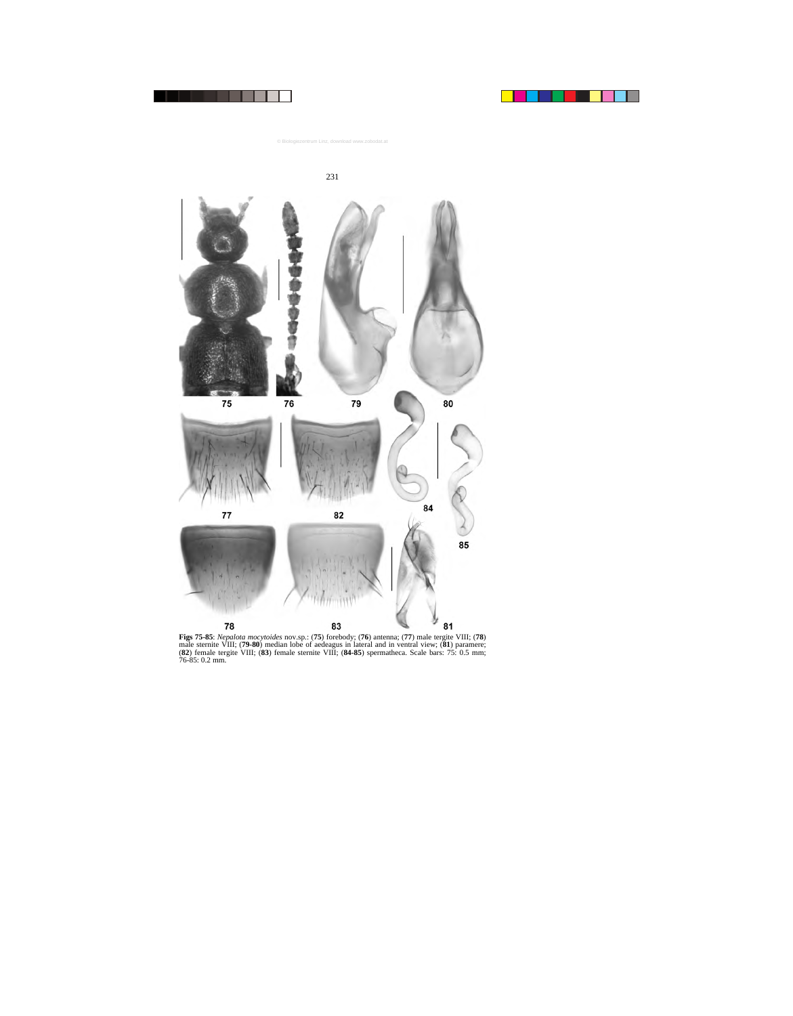

**Figs 75-85**: *Nepalota mocytoides* nov.sp.: (**75**) forebody; (**76**) antenna; (**77**) male tergite VIII; (**78**) male sternite VIII; (**79-80**) median lobe of aedeagus in lateral and in ventral view; (**81**) paramere; (**82**) female tergite VIII; (**83**) female sternite VIII; (**84-85**) spermatheca. Scale bars: 75: 0.5 mm; 76-85: 0.2 mm.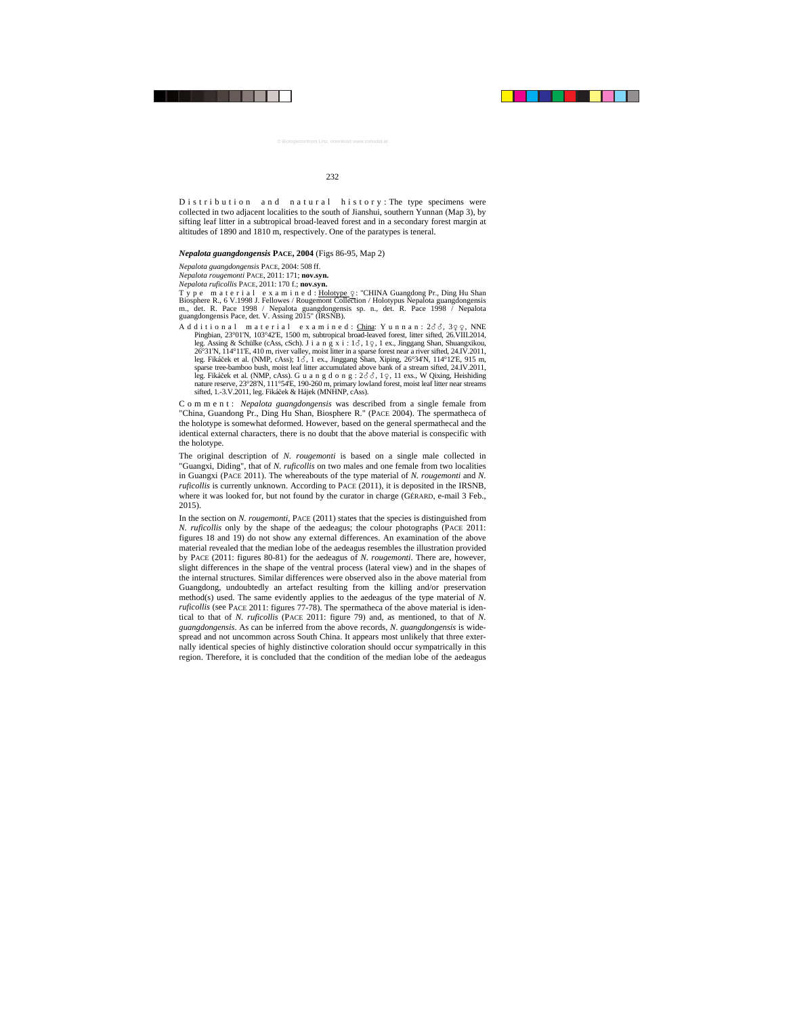D is tribution and natural history: The type specimens were collected in two adjacent localities to the south of Jianshui, southern Yunnan (Map 3), by sifting leaf litter in a subtropical broad-leaved forest and in a secondary forest margin at altitudes of 1890 and 1810 m, respectively. One of the paratypes is teneral.

#### *Nepalota guangdongensis* **PACE, 2004** (Figs 86-95, Map 2)

*Nepalota guangdongensis* PACE, 2004: 508 ff.

*Nepalota rougemonti* PACE, 2011: 171; **nov.syn.**

*Nepalota ruficollis* PACE, 2011: 170 f.; **nov.syn.**

Type material examined: Holotype Q: "CHINA Guangdong Pr., Ding Hu Shan Biosphere R., 6 V.1998 J. Fellowes / Rougemont Collection / Holotypus Nepalota guangdongensis m., det. R. Pace 1998 / Nepalota guangdongensis sp. n., det. R. Pace 1998 / Nepalota guangdongensis Pace, det. V. Assing 2015" (IRSNB).

A d d i t i o n a l m a t e r i a l e x a m i n e d : China: Y u n n a n :  $2\delta\delta$ ,  $3\varphi\varphi$ , NNE Pingbian,  $23^{\circ}01^{\circ}$ N,  $103^{\circ}42^{\circ}$ E,  $1500$  m, subtropical broad-leaved forest, litter sifted,  $26$ VIII.2014, leg. Assing & Schülke (cAss, cSch). J i a n g x i :  $1\delta$ ,  $1\varphi$ ,  $1$  ex., Jinggang Shan, Shuangxikou, 26°31'N, 114°11'E, 410 m, river valley, moist litter in a sparse forest near a river sifted, 24.IV.2011, leg. Fikáček et al. (NMP, cAss); 1 $\delta$ , 1 ex., Jinggang Shan, Xiping, 26°34'N, 114°12'E, 915 m, sparse tree-bamboo bush, moist leaf litter accumulated above bank of a stream sifted, 24.IV.2011, leg. Fikáček et al. (NMP, cAss). G u a n g d o n g :  $2\delta\delta$ , 10, 11 exs., W Qixing, Heishiding nature reserve, 23°28'N, 111°54'E, 190-260 m, primary lowland forest, moist leaf litter near streams sifted, 1.-3.V.2011, leg. Fikáček & Hájek (MNHNP, cAss).

Comment: *Nepalota guangdongensis* was described from a single female from "China, Guandong Pr., Ding Hu Shan, Biosphere R." (PACE 2004). The spermatheca of the holotype is somewhat deformed. However, based on the general spermathecal and the identical external characters, there is no doubt that the above material is conspecific with the holotype.

The original description of *N. rougemonti* is based on a single male collected in "Guangxi, Diding", that of *N. ruficollis* on two males and one female from two localities in Guangxi (PACE 2011). The whereabouts of the type material of *N. rougemonti* and *N. ruficollis* is currently unknown. According to PACE (2011), it is deposited in the IRSNB, where it was looked for, but not found by the curator in charge (GÉRARD, e-mail 3 Feb., 2015).

In the section on *N. rougemonti*, PACE (2011) states that the species is distinguished from *N. ruficollis* only by the shape of the aedeagus; the colour photographs (PACE 2011: figures 18 and 19) do not show any external differences. An examination of the above material revealed that the median lobe of the aedeagus resembles the illustration provided by PACE (2011: figures 80-81) for the aedeagus of *N. rougemonti*. There are, however, slight differences in the shape of the ventral process (lateral view) and in the shapes of the internal structures. Similar differences were observed also in the above material from Guangdong, undoubtedly an artefact resulting from the killing and/or preservation method(s) used. The same evidently applies to the aedeagus of the type material of *N. ruficollis* (see PACE 2011: figures 77-78). The spermatheca of the above material is identical to that of *N. ruficollis* (PACE 2011: figure 79) and, as mentioned, to that of *N. guangdongensis*. As can be inferred from the above records, *N. guangdongensis* is widespread and not uncommon across South China. It appears most unlikely that three externally identical species of highly distinctive coloration should occur sympatrically in this region. Therefore, it is concluded that the condition of the median lobe of the aedeagus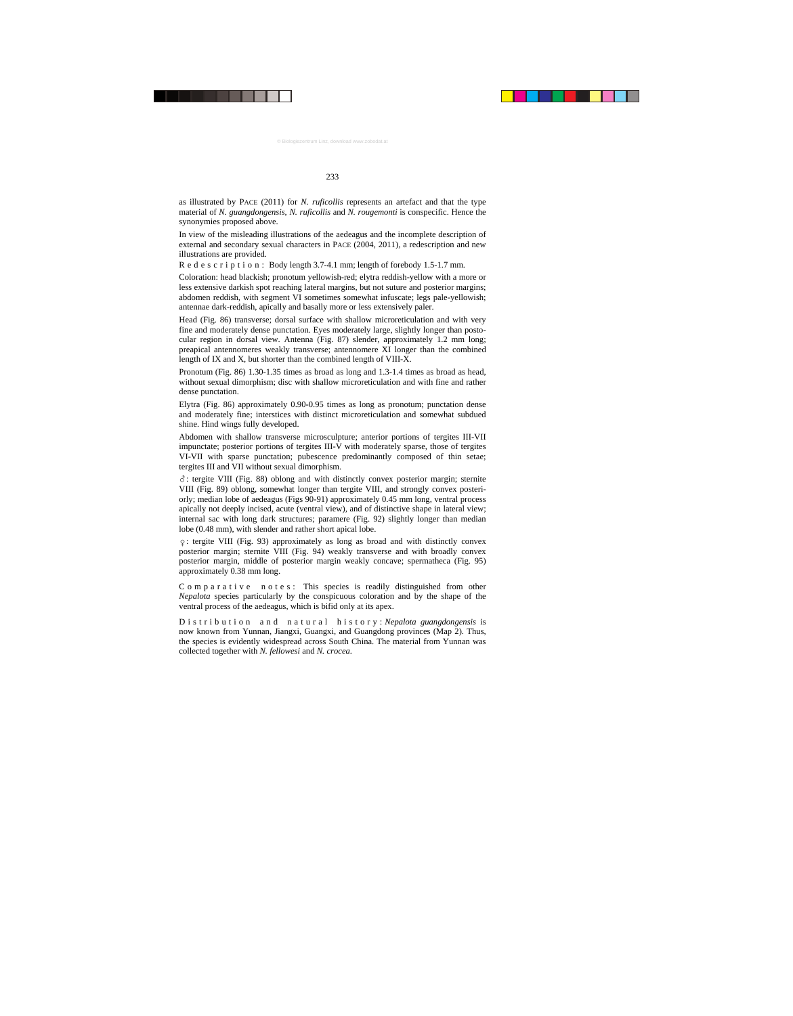as illustrated by PACE (2011) for *N. ruficollis* represents an artefact and that the type material of *N. guangdongensis*, *N. ruficollis* and *N. rougemonti* is conspecific. Hence the synonymies proposed above.

In view of the misleading illustrations of the aedeagus and the incomplete description of external and secondary sexual characters in PACE (2004, 2011), a redescription and new illustrations are provided.

R e d e s c r i p t i o n : Body length 3.7-4.1 mm; length of forebody 1.5-1.7 mm.

Coloration: head blackish; pronotum yellowish-red; elytra reddish-yellow with a more or less extensive darkish spot reaching lateral margins, but not suture and posterior margins; abdomen reddish, with segment VI sometimes somewhat infuscate; legs pale-yellowish; antennae dark-reddish, apically and basally more or less extensively paler.

Head (Fig. 86) transverse; dorsal surface with shallow microreticulation and with very fine and moderately dense punctation. Eyes moderately large, slightly longer than postocular region in dorsal view. Antenna (Fig. 87) slender, approximately 1.2 mm long; preapical antennomeres weakly transverse; antennomere XI longer than the combined length of IX and X, but shorter than the combined length of VIII-X.

Pronotum (Fig. 86) 1.30-1.35 times as broad as long and 1.3-1.4 times as broad as head, without sexual dimorphism; disc with shallow microreticulation and with fine and rather dense punctation.

Elytra (Fig. 86) approximately 0.90-0.95 times as long as pronotum; punctation dense and moderately fine; interstices with distinct microreticulation and somewhat subdued shine. Hind wings fully developed.

Abdomen with shallow transverse microsculpture; anterior portions of tergites III-VII impunctate; posterior portions of tergites III-V with moderately sparse, those of tergites VI-VII with sparse punctation; pubescence predominantly composed of thin setae; tergites III and VII without sexual dimorphism.

-: tergite VIII (Fig. 88) oblong and with distinctly convex posterior margin; sternite VIII (Fig. 89) oblong, somewhat longer than tergite VIII, and strongly convex posteriorly; median lobe of aedeagus (Figs 90-91) approximately 0.45 mm long, ventral process apically not deeply incised, acute (ventral view), and of distinctive shape in lateral view; internal sac with long dark structures; paramere (Fig. 92) slightly longer than median lobe (0.48 mm), with slender and rather short apical lobe.

: tergite VIII (Fig. 93) approximately as long as broad and with distinctly convex posterior margin; sternite VIII (Fig. 94) weakly transverse and with broadly convex posterior margin, middle of posterior margin weakly concave; spermatheca (Fig. 95) approximately 0.38 mm long.

C o m p a r a t i v e n o t e s : This species is readily distinguished from other *Nepalota* species particularly by the conspicuous coloration and by the shape of the ventral process of the aedeagus, which is bifid only at its apex.

Distribution and natural history: *Nepalota guangdongensis* is now known from Yunnan, Jiangxi, Guangxi, and Guangdong provinces (Map 2). Thus, the species is evidently widespread across South China. The material from Yunnan was collected together with *N. fellowesi* and *N. crocea*.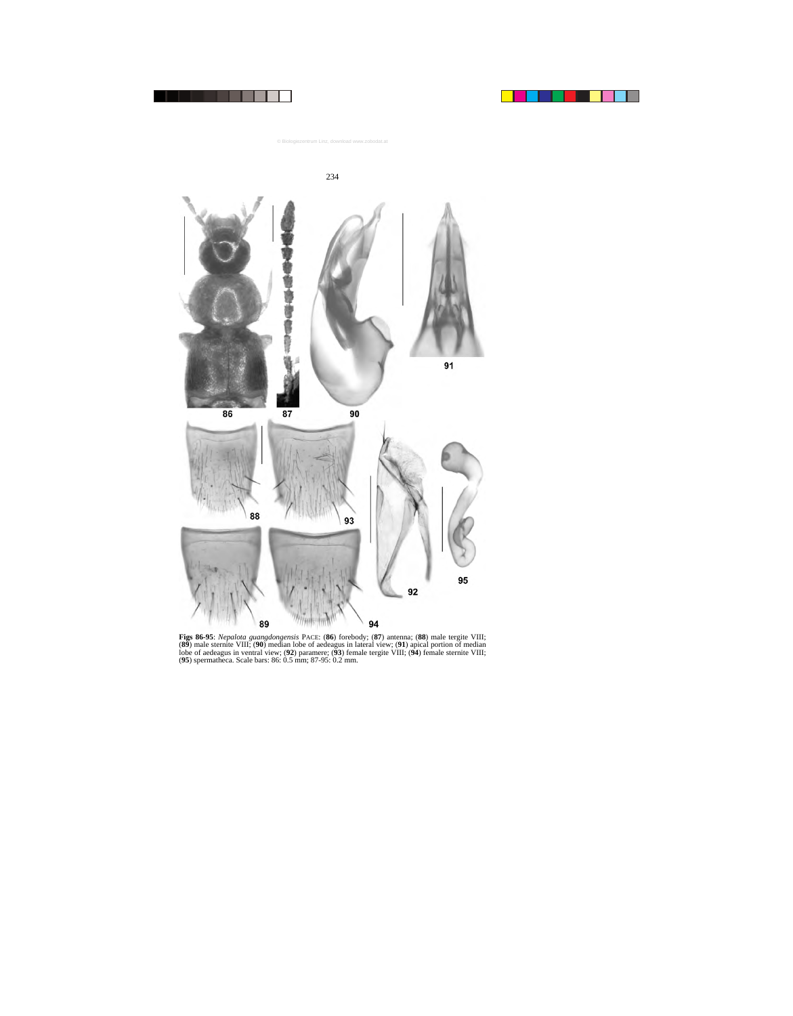

**Figs 86-95**: *Nepalota guangdongensis* PACE: (**86**) forebody; (**87**) antenna; (**88**) male tergite VIII; (**89**) male sternite VIII; (**90**) median lobe of aedeagus in lateral view; (**91**) apical portion of median lobe of aedeagus in ventral view; (**92**) paramere; (**93**) female tergite VIII; (**94**) female sternite VIII; (**95**) spermatheca. Scale bars: 86: 0.5 mm; 87-95: 0.2 mm.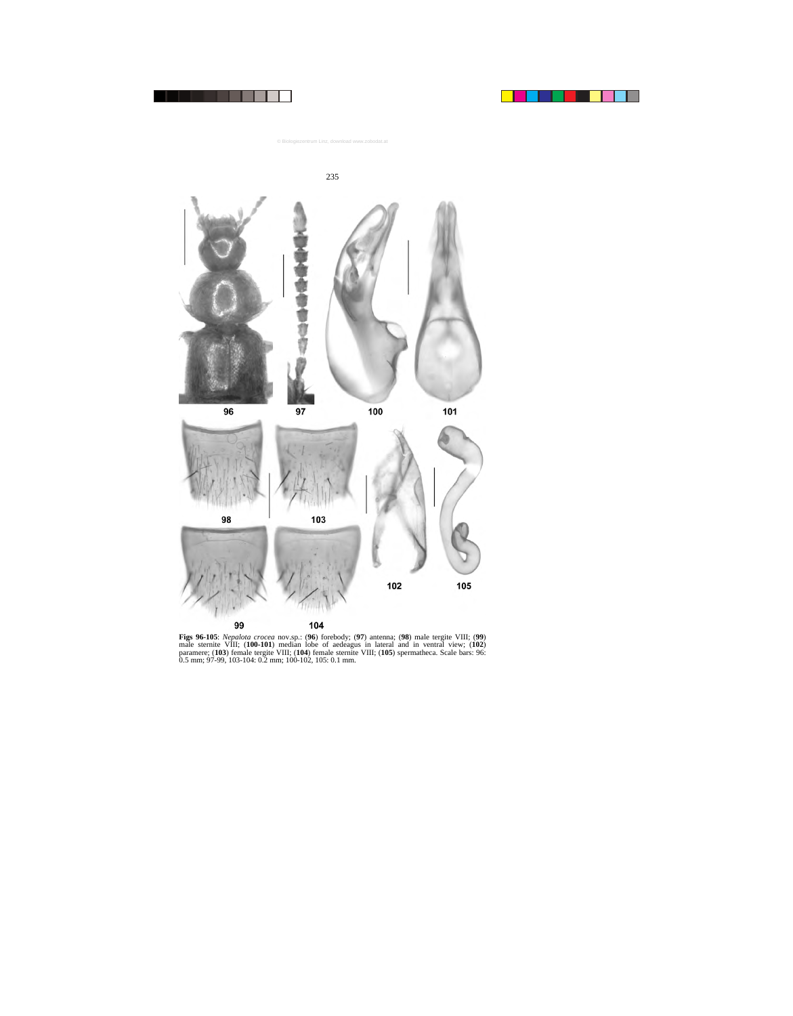



**Figs 96-105**: *Nepalota crocea* nov.sp.: (**96**) forebody; (**97**) antenna; (**98**) male tergite VIII; (**99**) male sternite VIII; (**100-101**) median lobe of aedeagus in lateral and in ventral view; (**102**) paramere; (**103**) female tergite VIII; (**104**) female sternite VIII; (**105**) spermatheca. Scale bars: 96: 0.5 mm; 97-99, 103-104: 0.2 mm; 100-102, 105: 0.1 mm.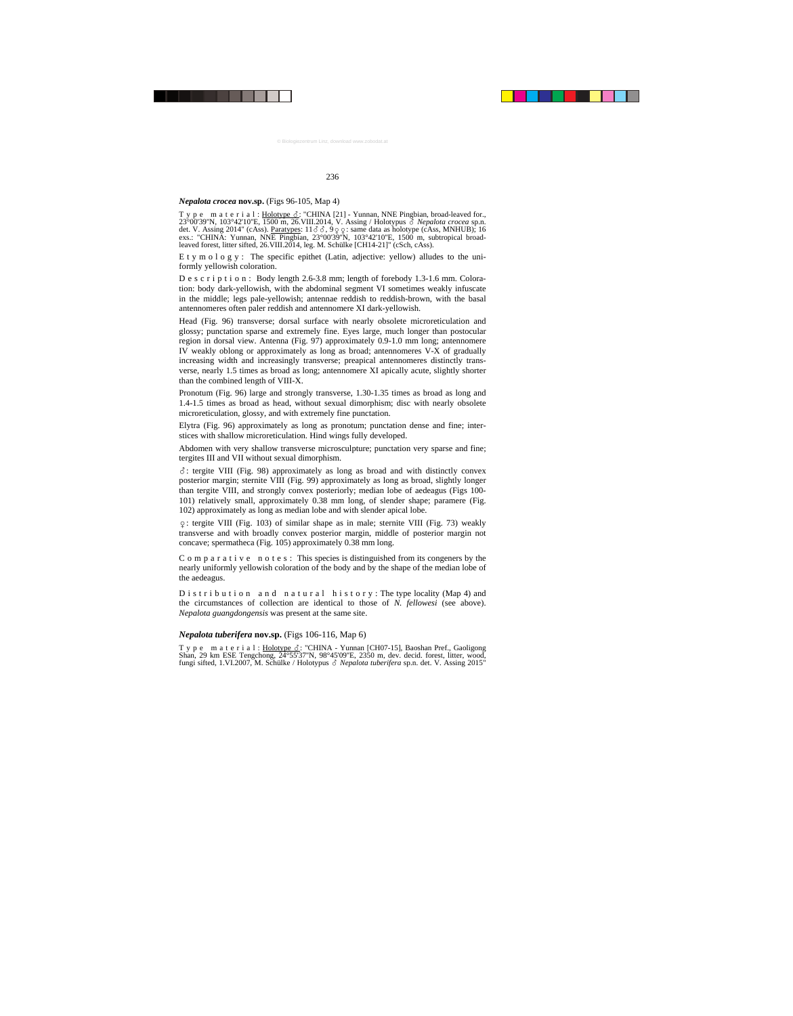### *Nepalota crocea* **nov.sp.** (Figs 96-105, Map 4)

T y p e m a t e r i a l :  $\underline{\text{Holotype}}\Delta$ : "CHINA [21] - Yunnan, NNE Pingbian, broad-leaved for., 23°00'39''N, 103°42'10''E, 1500 m, 26.VIII.2014, V. Assing / Holotypus - *Nepalota crocea* sp.n. det. V. Assing 2014" (cAss). Paratypes: 11  $\delta$   $\delta$ , 9  $\varphi$  : same data as holotype (cAss, MNHUB); 16 exs.: "CHINA: Yunnan, NNE Pingbian, 23°00'39"N, 103°42'10"E, 1500 m, subtropical broadleaved forest, litter sifted, 26.VIII.2014, leg. M. Schülke [CH14-21]" (cSch, cAss).

E t y m o l o g y : The specific epithet (Latin, adjective: yellow) alludes to the uniformly yellowish coloration.

D e s c r i p t i o n : Body length 2.6-3.8 mm; length of forebody 1.3-1.6 mm. Coloration: body dark-yellowish, with the abdominal segment VI sometimes weakly infuscate in the middle; legs pale-yellowish; antennae reddish to reddish-brown, with the basal antennomeres often paler reddish and antennomere XI dark-yellowish.

Head (Fig. 96) transverse; dorsal surface with nearly obsolete microreticulation and glossy; punctation sparse and extremely fine. Eyes large, much longer than postocular region in dorsal view. Antenna (Fig. 97) approximately 0.9-1.0 mm long; antennomere IV weakly oblong or approximately as long as broad; antennomeres V-X of gradually increasing width and increasingly transverse; preapical antennomeres distinctly transverse, nearly 1.5 times as broad as long; antennomere XI apically acute, slightly shorter than the combined length of VIII-X.

Pronotum (Fig. 96) large and strongly transverse, 1.30-1.35 times as broad as long and 1.4-1.5 times as broad as head, without sexual dimorphism; disc with nearly obsolete microreticulation, glossy, and with extremely fine punctation.

Elytra (Fig. 96) approximately as long as pronotum; punctation dense and fine; interstices with shallow microreticulation. Hind wings fully developed.

Abdomen with very shallow transverse microsculpture; punctation very sparse and fine; tergites III and VII without sexual dimorphism.

-: tergite VIII (Fig. 98) approximately as long as broad and with distinctly convex posterior margin; sternite VIII (Fig. 99) approximately as long as broad, slightly longer than tergite VIII, and strongly convex posteriorly; median lobe of aedeagus (Figs 100- 101) relatively small, approximately 0.38 mm long, of slender shape; paramere (Fig. 102) approximately as long as median lobe and with slender apical lobe.

: tergite VIII (Fig. 103) of similar shape as in male; sternite VIII (Fig. 73) weakly transverse and with broadly convex posterior margin, middle of posterior margin not concave; spermatheca (Fig. 105) approximately 0.38 mm long.

 $C$  o m p a r a t i v e n o t e s : This species is distinguished from its congeners by the nearly uniformly yellowish coloration of the body and by the shape of the median lobe of the aedeagus.

D is t r i b u t i o n a n d n a t u r a l h is t o r y : The type locality (Map 4) and the circumstances of collection are identical to those of *N. fellowesi* (see above). *Nepalota guangdongensis* was present at the same site.

## *Nepalota tuberifera* **nov.sp.** (Figs 106-116, Map 6)

Type material: Holotype  $\delta$ : "CHINA - Yunnan [CH07-15], Baoshan Pref., Gaoligong Shan, 29 km ESE Tengchong, 24°55'37''N, 98°45'09''E, 2350 m, dev. decid. forest, litter, wood, fungi sifted, 1.VI.2007, M. Schülke / Holotypus & Nepalota tuberifera sp.n. det. V. Assing 2015"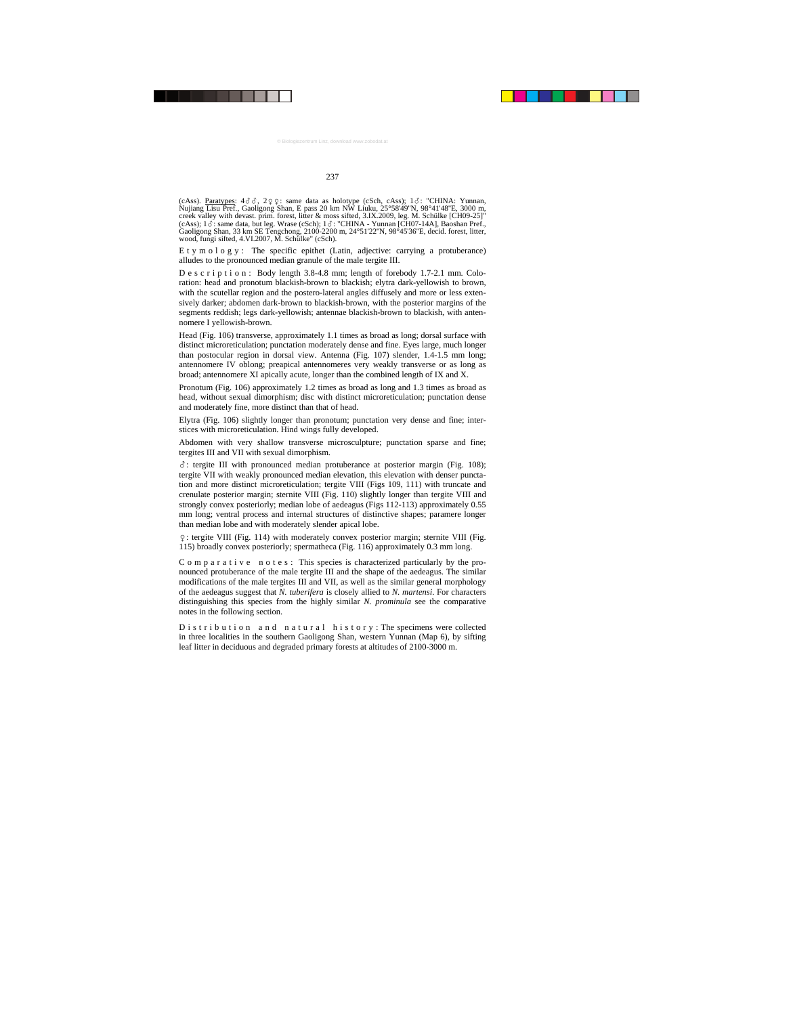$(\text{cAss})$ . Paratypes:  $4\delta \delta$ ,  $2\varphi \varphi$ : same data as holotype (cSch, cAss);  $1\delta$ : "CHINA: Yunnan, Nujiang Lisu Pref., Gaoligong Shan, E pass 20 km NW Liuku, 25°58'49''N, 98°41'48''E, 3000 m, creek valley with devast. prim. forest, litter & moss sifted, 3.IX.2009, leg. M. Schülke [CH09-25]"  $(cAss)$ ; 1 $\delta$ : same data, but leg. Wrase  $(cSch)$ ; 1 $\delta$ : "CHINA - Yunnan [CH07-14A], Baoshan Pref., Gaoligong Shan, 33 km SE Tengchong, 2100-2200 m, 24°51'22''N, 98°45'36''E, decid. forest, litter, wood, fungi sifted, 4.VI.2007, M. Schülke" (cSch).

E t y m o l o g y : The specific epithet (Latin, adjective: carrying a protuberance) alludes to the pronounced median granule of the male tergite III.

D e s c r i p t i o n : Body length 3.8-4.8 mm; length of forebody 1.7-2.1 mm. Coloration: head and pronotum blackish-brown to blackish; elytra dark-yellowish to brown, with the scutellar region and the postero-lateral angles diffusely and more or less extensively darker; abdomen dark-brown to blackish-brown, with the posterior margins of the segments reddish; legs dark-yellowish; antennae blackish-brown to blackish, with antennomere I yellowish-brown.

Head (Fig. 106) transverse, approximately 1.1 times as broad as long; dorsal surface with distinct microreticulation; punctation moderately dense and fine. Eyes large, much longer than postocular region in dorsal view. Antenna (Fig. 107) slender, 1.4-1.5 mm long; antennomere IV oblong; preapical antennomeres very weakly transverse or as long as broad; antennomere XI apically acute, longer than the combined length of IX and X.

Pronotum (Fig. 106) approximately 1.2 times as broad as long and 1.3 times as broad as head, without sexual dimorphism; disc with distinct microreticulation; punctation dense and moderately fine, more distinct than that of head.

Elytra (Fig. 106) slightly longer than pronotum; punctation very dense and fine; interstices with microreticulation. Hind wings fully developed.

Abdomen with very shallow transverse microsculpture; punctation sparse and fine; tergites III and VII with sexual dimorphism.

-: tergite III with pronounced median protuberance at posterior margin (Fig. 108); tergite VII with weakly pronounced median elevation, this elevation with denser punctation and more distinct microreticulation; tergite VIII (Figs 109, 111) with truncate and crenulate posterior margin; sternite VIII (Fig. 110) slightly longer than tergite VIII and strongly convex posteriorly; median lobe of aedeagus (Figs 112-113) approximately 0.55 mm long; ventral process and internal structures of distinctive shapes; paramere longer than median lobe and with moderately slender apical lobe.

: tergite VIII (Fig. 114) with moderately convex posterior margin; sternite VIII (Fig. 115) broadly convex posteriorly; spermatheca (Fig. 116) approximately 0.3 mm long.

C o m p a r a t i v e n o t e s : This species is characterized particularly by the pronounced protuberance of the male tergite III and the shape of the aedeagus. The similar modifications of the male tergites III and VII, as well as the similar general morphology of the aedeagus suggest that *N. tuberifera* is closely allied to *N. martensi*. For characters distinguishing this species from the highly similar *N. prominula* see the comparative notes in the following section.

D is tribution and natural history: The specimens were collected in three localities in the southern Gaoligong Shan, western Yunnan (Map 6), by sifting leaf litter in deciduous and degraded primary forests at altitudes of 2100-3000 m.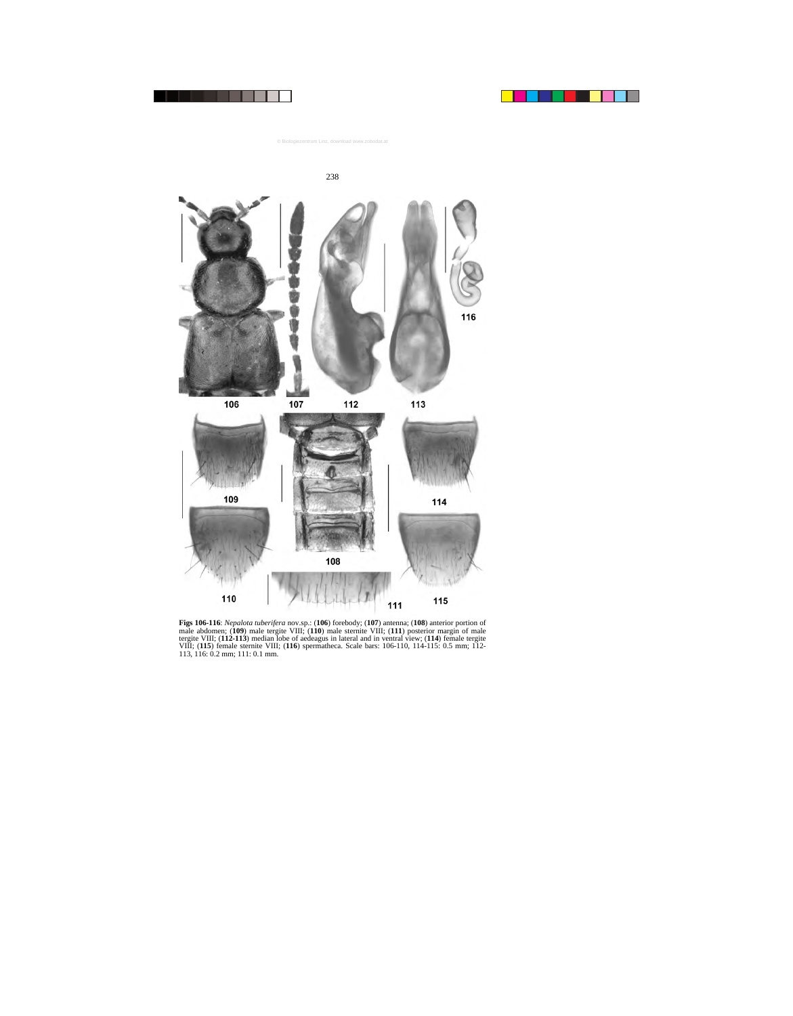

**Figs 106-116**: *Nepalota tuberifera* nov.sp.: (**106**) forebody; (**107**) antenna; (**108**) anterior portion of male abdomen; (**109**) male tergite VIII; (**110**) male sternite VIII; (**111**) posterior margin of male tergite VIII; (**112-113**) median lobe of aedeagus in lateral and in ventral view; (**114**) female tergite VIII; (**115**) female sternite VIII; (**116**) spermatheca. Scale bars: 106-110, 114-115: 0.5 mm; 112- 113, 116: 0.2 mm; 111: 0.1 mm.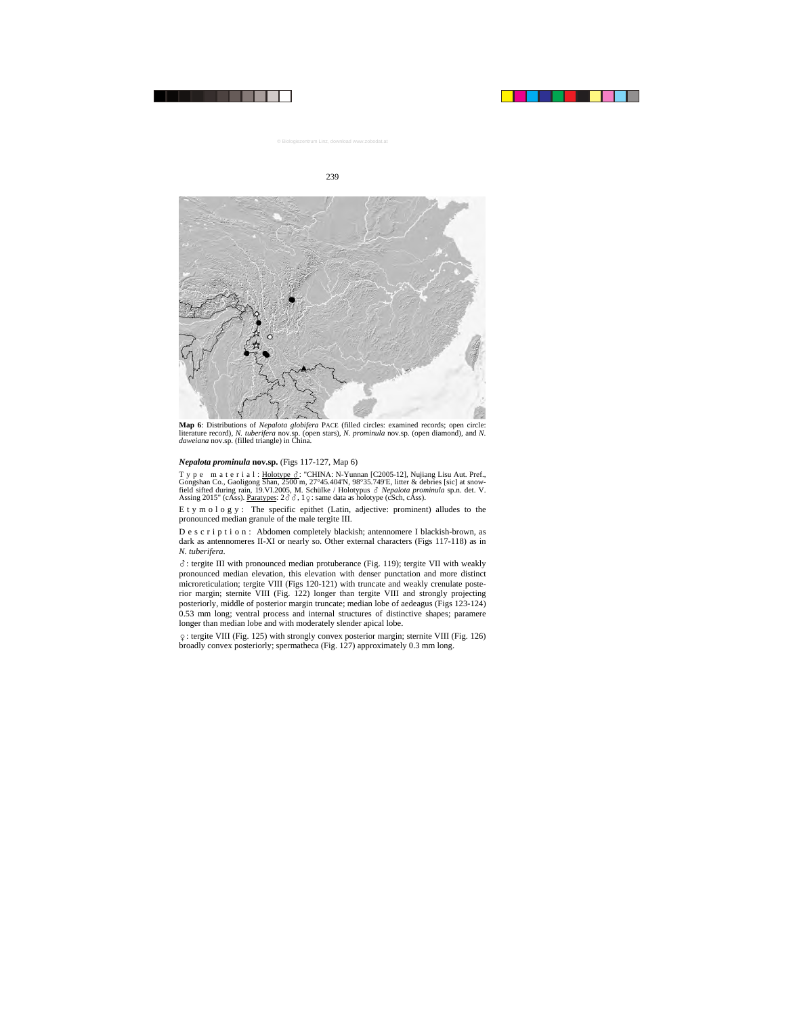

**Map 6**: Distributions of *Nepalota globifera* PACE (filled circles: examined records; open circle: literature record), *N. tuberifera* nov.sp. (open stars), *N. prominula* nov.sp. (open diamond), and *N. daweiana* nov.sp. (filled triangle) in China.

## *Nepalota prominula* **nov.sp.** (Figs 117-127, Map 6)

Type material: Holotype &: "CHINA: N-Yunnan [C2005-12], Nujiang Lisu Aut. Pref., Gongshan Co., Gaoligong Shan, 2500 m, 27°45.404'N, 98°35.749'E, litter & debries [sic] at snowfield sifted during rain, 19.VI.2005, M. Schülke / Holotypus & Nepalota prominula sp.n. det. V. Assing 2015" (cAss). Paratypes:  $2\delta \delta$ , 1  $\varphi$ : same data as holotype (cSch, cAss).

E t y m o l o g y : The specific epithet (Latin, adjective: prominent) alludes to the pronounced median granule of the male tergite III.

D e s c r i p t i o n : Abdomen completely blackish; antennomere I blackish-brown, as dark as antennomeres II-XI or nearly so. Other external characters (Figs 117-118) as in *N. tuberifera*.

-: tergite III with pronounced median protuberance (Fig. 119); tergite VII with weakly pronounced median elevation, this elevation with denser punctation and more distinct microreticulation; tergite VIII (Figs 120-121) with truncate and weakly crenulate posterior margin; sternite VIII (Fig. 122) longer than tergite VIII and strongly projecting posteriorly, middle of posterior margin truncate; median lobe of aedeagus (Figs 123-124) 0.53 mm long; ventral process and internal structures of distinctive shapes; paramere longer than median lobe and with moderately slender apical lobe.

: tergite VIII (Fig. 125) with strongly convex posterior margin; sternite VIII (Fig. 126) broadly convex posteriorly; spermatheca (Fig. 127) approximately 0.3 mm long.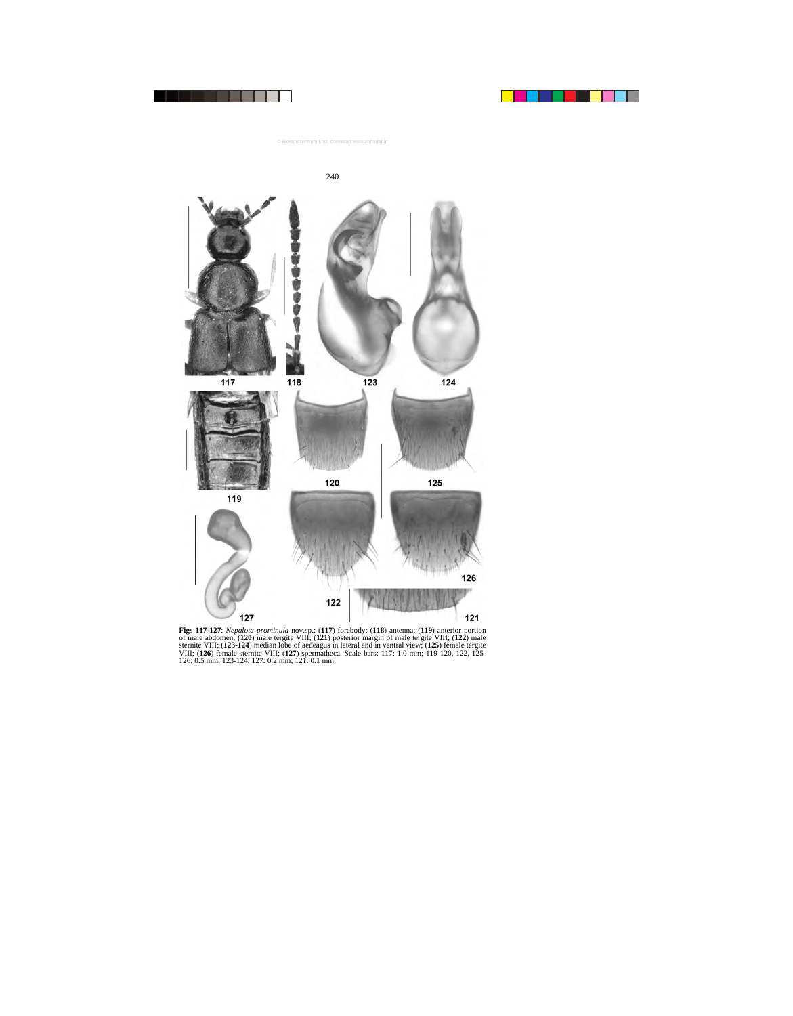



**Figs 117-127**: *Nepalota prominula* nov.sp.: (**117**) forebody; (**118**) antenna; (**119**) anterior portion of male abdomen; (**120**) male tergite VIII; (**121**) posterior margin of male tergite VIII; (**122**) male sternite VIII; (**123-124**) median lobe of aedeagus in lateral and in ventral view; (**125**) female tergite VIII; (**126**) female sternite VIII; (**127**) spermatheca. Scale bars: 117: 1.0 mm; 119-120, 122, 125- 126: 0.5 mm; 123-124, 127: 0.2 mm; 121: 0.1 mm.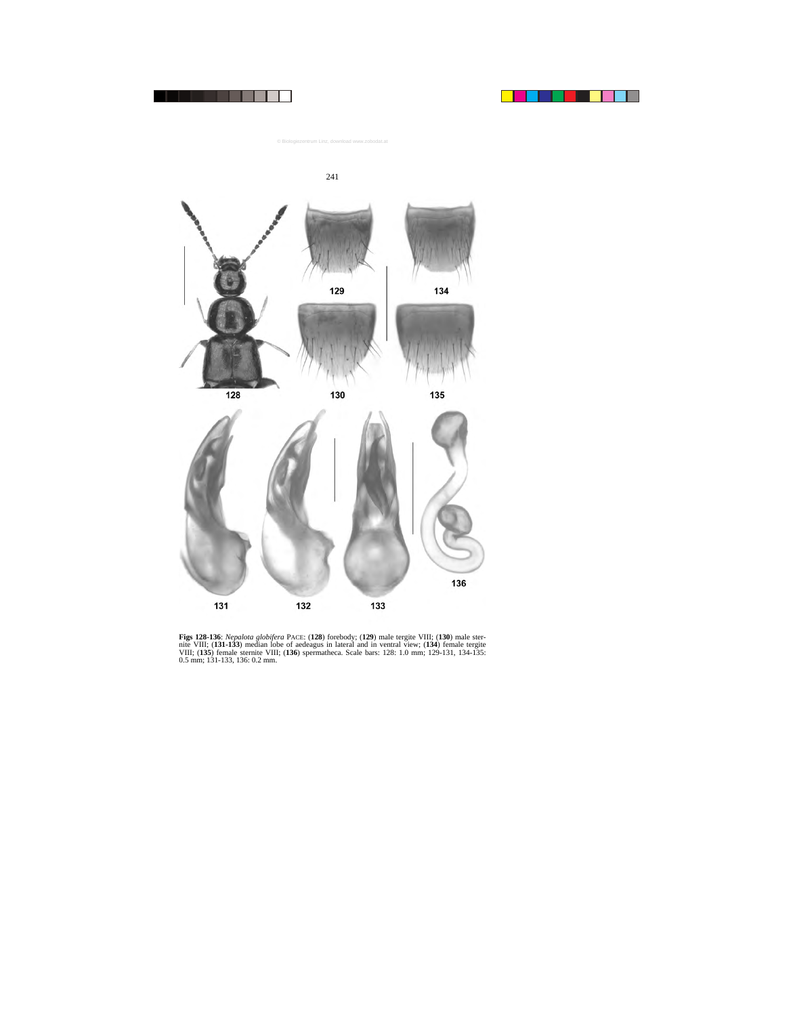



**Figs 128-136**: *Nepalota globifera* PACE: (**128**) forebody; (**129**) male tergite VIII; (**130**) male sternite VIII; (**131-133**) median lobe of aedeagus in lateral and in ventral view; (**134**) female tergite VIII; (**135**) female sternite VIII; (**136**) spermatheca. Scale bars: 128: 1.0 mm; 129-131, 134-135: 0.5 mm; 131-133, 136: 0.2 mm.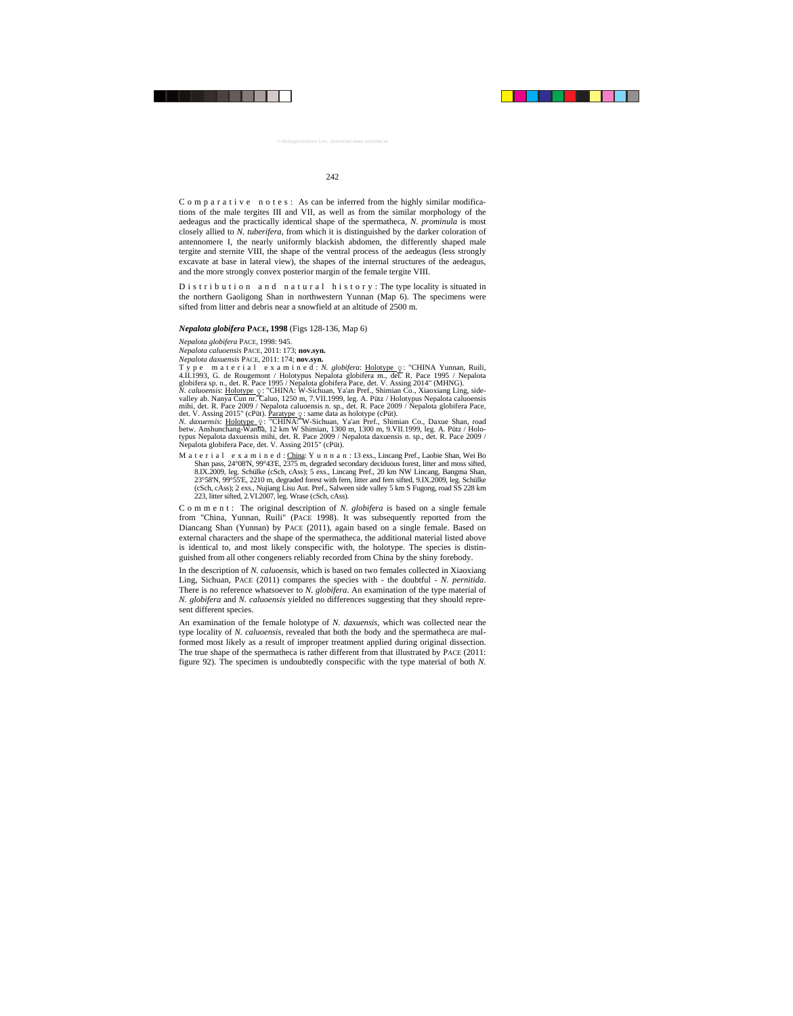C o m p a r a t i v e n o t e s : As can be inferred from the highly similar modifications of the male tergites III and VII, as well as from the similar morphology of the aedeagus and the practically identical shape of the spermatheca, *N. prominula* is most closely allied to *N. tuberifera*, from which it is distinguished by the darker coloration of antennomere I, the nearly uniformly blackish abdomen, the differently shaped male tergite and sternite VIII, the shape of the ventral process of the aedeagus (less strongly excavate at base in lateral view), the shapes of the internal structures of the aedeagus, and the more strongly convex posterior margin of the female tergite VIII.

D is t r i b u t i o n a n d n a t u r a l h is t o r y : The type locality is situated in the northern Gaoligong Shan in northwestern Yunnan (Map 6). The specimens were sifted from litter and debris near a snowfield at an altitude of 2500 m.

#### *Nepalota globifera* **PACE, 1998** (Figs 128-136, Map 6)

*Nepalota globifera* PACE, 1998: 945.

*Nepalota caluoensis* PACE, 2011: 173; **nov.syn.**

*Nepalota daxuensis* PACE, 2011: 174; **nov.syn.**

T y p e m a t e r i a l e x a m i n e d : *N. globifera*: <u>Holotype ç</u> : "CHINA Yunnan, Ruili,<br>4.II.1993, G. de Rougemont / Holotypus Nepalota globifera m., det. R. Pace 1995 / Nepalota globifera sp. n., det. R. Pace 1995 / Nepalota globifera Pace, det. V. Assing 2014" (MHNG).

*N. caluoensis*: <u>Holotype ♀</u>: "CHINA: W-Sichuan, Ya'an Pref., Shimian Co., Xiaoxiang Ling, side-<br>valley ab. Nanya Cun nr. Caluo, 1250 m, 7.VII.1999, leg. A. Pütz / Holotypus Nepalota caluoensis mihi, det. R. Pace 2009 / Nepalota caluoensis n. sp., det. R. Pace 2009 / Nepalota globifera Pace, det. V. Assing 2015" (cPüt). Paratype  $\frac{1}{2}$ : same data as holotype (cPüt).

*N. daxuensis*: <u>Holotype ♀</u>: "CHINA: W-Sichuan, Ya'an Pref., Shimian Co., Daxue Shan, road<br>betw. Anshunchang-Wanba, 12 km W Shimian, 1300 m, 1300 m, 9.VII.1999, leg. A. Pütz / Holotypus Nepalota daxuensis mihi, det. R. Pace 2009 / Nepalota daxuensis n. sp., det. R. Pace 2009 / Nepalota globifera Pace, det. V. Assing 2015" (cPüt).

M a t e r i a l e x a m i n e d : China: Y u n n a n : 13 exs., Lincang Pref., Laobie Shan, Wei Bo Shan pass, 24°08'N, 99°43'E, 2375 m, degraded secondary deciduous forest, litter and moss sifted, 8.IX.2009, leg. Schülke (cSch, cAss); 5 exs., Lincang Pref., 20 km NW Lincang, Bangma Shan, 23°58'N, 99°55'E, 2210 m, degraded forest with fern, litter and fern sifted, 9.IX.2009, leg. Schülke (cSch, cAss); 2 exs., Nujiang Lisu Aut. Pref., Salween side valley 5 km S Fugong, road SS 228 km 223, litter sifted, 2.VI.2007, leg. Wrase (cSch, cAss).

C o m m e n t : The original description of *N. globifera* is based on a single female from "China, Yunnan, Ruili" (PACE 1998). It was subsequently reported from the Diancang Shan (Yunnan) by PACE (2011), again based on a single female. Based on external characters and the shape of the spermatheca, the additional material listed above is identical to, and most likely conspecific with, the holotype. The species is distinguished from all other congeners reliably recorded from China by the shiny forebody.

In the description of *N. caluoensis*, which is based on two females collected in Xiaoxiang Ling, Sichuan, PACE (2011) compares the species with - the doubtful - *N. pernitida*. There is no reference whatsoever to *N. globifera*. An examination of the type material of *N. globifera* and *N. caluoensis* yielded no differences suggesting that they should represent different species.

An examination of the female holotype of *N. daxuensis*, which was collected near the type locality of *N. caluoensis*, revealed that both the body and the spermatheca are malformed most likely as a result of improper treatment applied during original dissection. The true shape of the spermatheca is rather different from that illustrated by PACE (2011: figure 92). The specimen is undoubtedly conspecific with the type material of both *N.*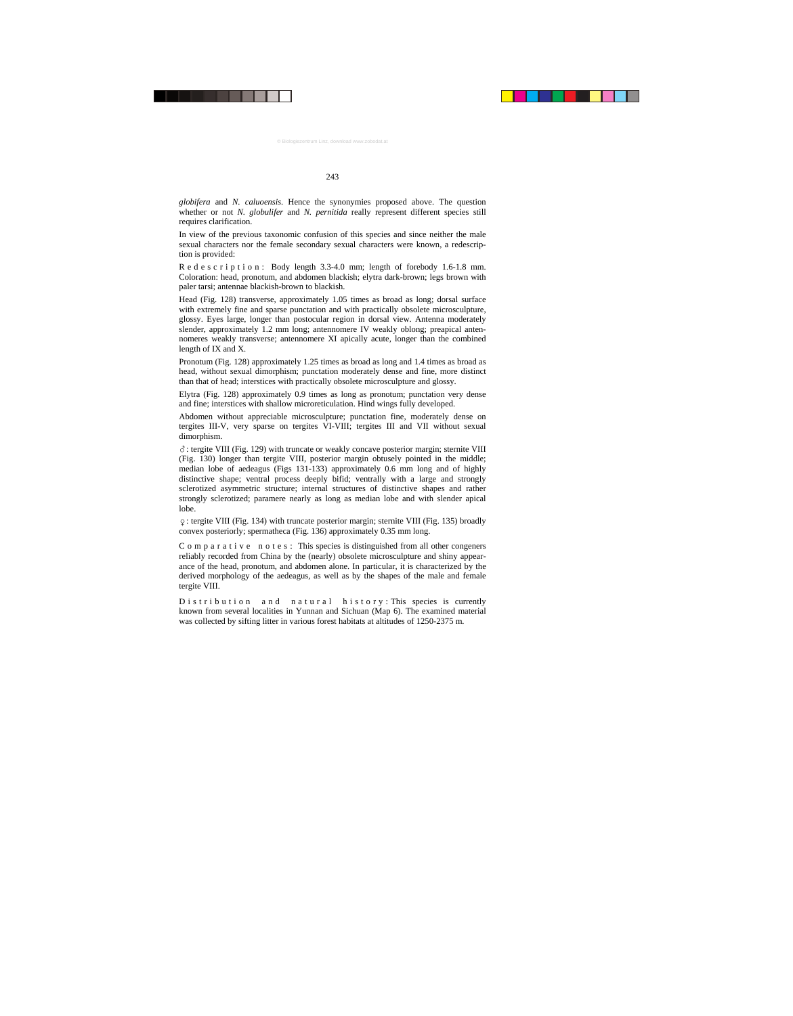*globifera* and *N. caluoensis*. Hence the synonymies proposed above. The question whether or not *N. globulifer* and *N. pernitida* really represent different species still requires clarification.

In view of the previous taxonomic confusion of this species and since neither the male sexual characters nor the female secondary sexual characters were known, a redescription is provided:

R e d e s c r i p t i o n : Body length 3.3-4.0 mm; length of forebody 1.6-1.8 mm. Coloration: head, pronotum, and abdomen blackish; elytra dark-brown; legs brown with paler tarsi; antennae blackish-brown to blackish.

Head (Fig. 128) transverse, approximately 1.05 times as broad as long; dorsal surface with extremely fine and sparse punctation and with practically obsolete microsculpture, glossy. Eyes large, longer than postocular region in dorsal view. Antenna moderately slender, approximately 1.2 mm long; antennomere IV weakly oblong; preapical antennomeres weakly transverse; antennomere XI apically acute, longer than the combined length of IX and X.

Pronotum (Fig. 128) approximately 1.25 times as broad as long and 1.4 times as broad as head, without sexual dimorphism; punctation moderately dense and fine, more distinct than that of head; interstices with practically obsolete microsculpture and glossy.

Elytra (Fig. 128) approximately 0.9 times as long as pronotum; punctation very dense and fine; interstices with shallow microreticulation. Hind wings fully developed.

Abdomen without appreciable microsculpture; punctation fine, moderately dense on tergites III-V, very sparse on tergites VI-VIII; tergites III and VII without sexual dimorphism.

-: tergite VIII (Fig. 129) with truncate or weakly concave posterior margin; sternite VIII (Fig. 130) longer than tergite VIII, posterior margin obtusely pointed in the middle; median lobe of aedeagus (Figs 131-133) approximately 0.6 mm long and of highly distinctive shape; ventral process deeply bifid; ventrally with a large and strongly sclerotized asymmetric structure; internal structures of distinctive shapes and rather strongly sclerotized; paramere nearly as long as median lobe and with slender apical lobe.

: tergite VIII (Fig. 134) with truncate posterior margin; sternite VIII (Fig. 135) broadly convex posteriorly; spermatheca (Fig. 136) approximately 0.35 mm long.

 $C$  o m p a r a t i v e n o t e s : This species is distinguished from all other congeners reliably recorded from China by the (nearly) obsolete microsculpture and shiny appearance of the head, pronotum, and abdomen alone. In particular, it is characterized by the derived morphology of the aedeagus, as well as by the shapes of the male and female tergite VIII.

D is tribution and natural history: This species is currently known from several localities in Yunnan and Sichuan (Map 6). The examined material was collected by sifting litter in various forest habitats at altitudes of 1250-2375 m.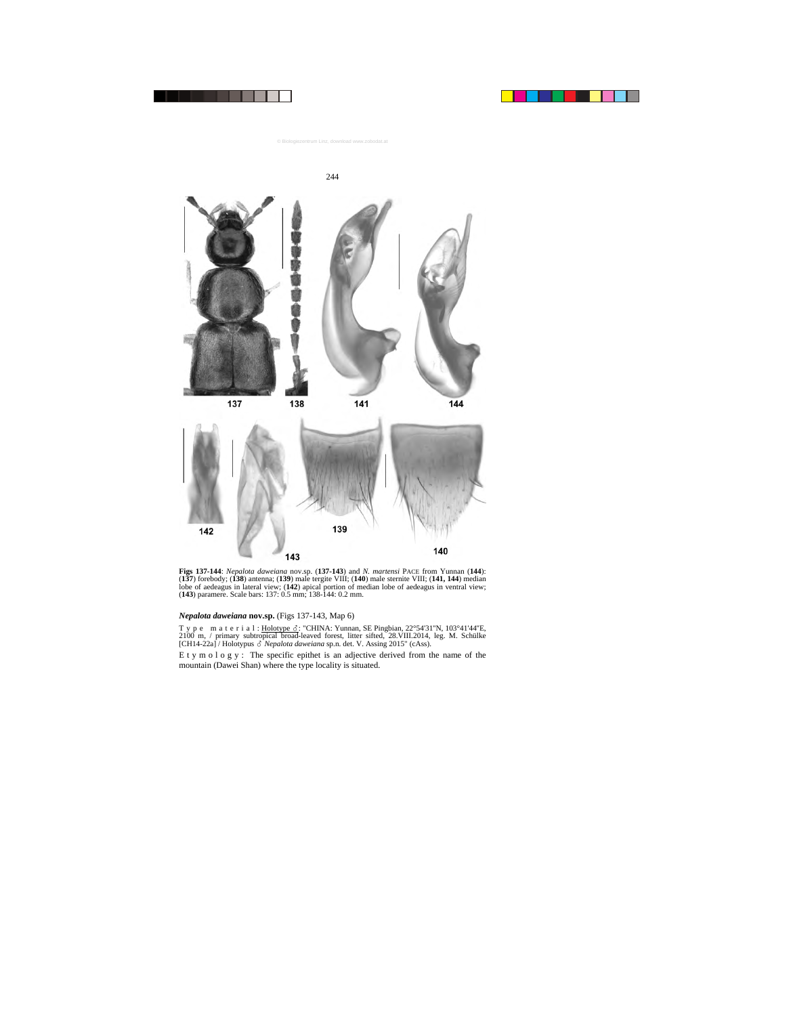



**Figs 137-144**: *Nepalota daweiana* nov.sp. (**137-143**) and *N. martensi* PACE from Yunnan (**144**): (**137**) forebody; (**138**) antenna; (**139**) male tergite VIII; (**140**) male sternite VIII; (**141, 144**) median lobe of aedeagus in lateral view; (**142**) apical portion of median lobe of aedeagus in ventral view; (**143**) paramere. Scale bars: 137: 0.5 mm; 138-144: 0.2 mm.

## *Nepalota daweiana* **nov.sp.** (Figs 137-143, Map 6)

T y p e m a t e r i a l : Holotype  $\delta$ : "CHINA: Yunnan, SE Pingbian, 22°54'31"N, 103°41'44"E, 2100 m, / primary subtropical broad-leaved forest, litter sifted, 28.VIII.2014, leg. M. Schülke [CH14-22a] / Holotypus  $\delta$  *Nepalota daweiana* sp.n. det. V. Assing 2015" (cAss).

E t y m o l o g y : The specific epithet is an adjective derived from the name of the mountain (Dawei Shan) where the type locality is situated.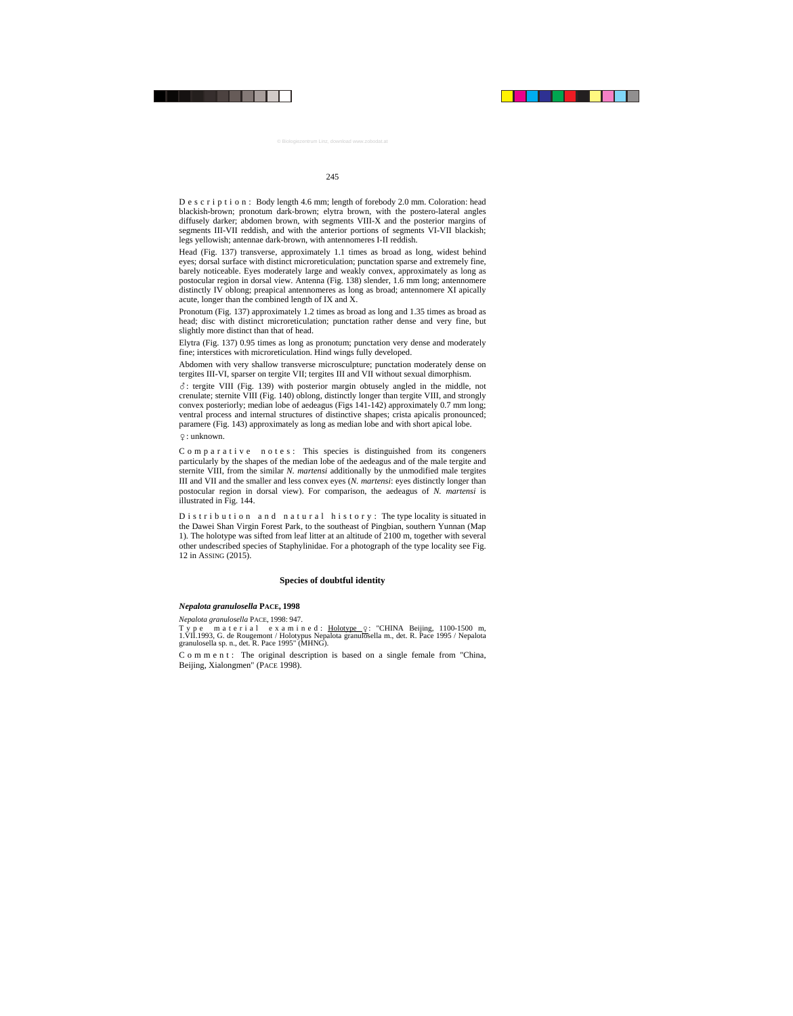D e s c r i p t i o n : Body length 4.6 mm; length of forebody 2.0 mm. Coloration: head blackish-brown; pronotum dark-brown; elytra brown, with the postero-lateral angles diffusely darker; abdomen brown, with segments VIII-X and the posterior margins of segments III-VII reddish, and with the anterior portions of segments VI-VII blackish; legs yellowish; antennae dark-brown, with antennomeres I-II reddish.

Head (Fig. 137) transverse, approximately 1.1 times as broad as long, widest behind eyes; dorsal surface with distinct microreticulation; punctation sparse and extremely fine, barely noticeable. Eyes moderately large and weakly convex, approximately as long as postocular region in dorsal view. Antenna (Fig. 138) slender, 1.6 mm long; antennomere distinctly IV oblong; preapical antennomeres as long as broad; antennomere XI apically acute, longer than the combined length of IX and X.

Pronotum (Fig. 137) approximately 1.2 times as broad as long and 1.35 times as broad as head; disc with distinct microreticulation; punctation rather dense and very fine, but slightly more distinct than that of head.

Elytra (Fig. 137) 0.95 times as long as pronotum; punctation very dense and moderately fine; interstices with microreticulation. Hind wings fully developed.

Abdomen with very shallow transverse microsculpture; punctation moderately dense on tergites III-VI, sparser on tergite VII; tergites III and VII without sexual dimorphism.

 $\delta$ : tergite VIII (Fig. 139) with posterior margin obtusely angled in the middle, not crenulate; sternite VIII (Fig. 140) oblong, distinctly longer than tergite VIII, and strongly convex posteriorly; median lobe of aedeagus (Figs 141-142) approximately 0.7 mm long; ventral process and internal structures of distinctive shapes; crista apicalis pronounced; paramere (Fig. 143) approximately as long as median lobe and with short apical lobe.

: unknown.

 $C$  o m p a r a t i v e n o t e s : This species is distinguished from its congeners particularly by the shapes of the median lobe of the aedeagus and of the male tergite and sternite VIII, from the similar *N. martensi* additionally by the unmodified male tergites III and VII and the smaller and less convex eyes (*N. martensi*: eyes distinctly longer than postocular region in dorsal view). For comparison, the aedeagus of *N. martensi* is illustrated in Fig. 144.

D is t r i b u t i o n a n d n a t u r a l h is t o r y : The type locality is situated in the Dawei Shan Virgin Forest Park, to the southeast of Pingbian, southern Yunnan (Map 1). The holotype was sifted from leaf litter at an altitude of 2100 m, together with several other undescribed species of Staphylinidae. For a photograph of the type locality see Fig. 12 in ASSING (2015).

## **Species of doubtful identity**

#### *Nepalota granulosella* **PACE, 1998**

*Nepalota granulosella* PACE, 1998: 947.

Type material examined: Holotype  $Q$ : "CHINA Beijing, 1100-1500 m, 1.VII.1993, G. de Rougemont / Holotypus Nepalota granulosella m., det. R. Pace 1995 / Nepalota granulosella sp. n., det. R. Pace 1995" (MHNG).

C o m m e n t : The original description is based on a single female from "China, Beijing, Xialongmen" (PACE 1998).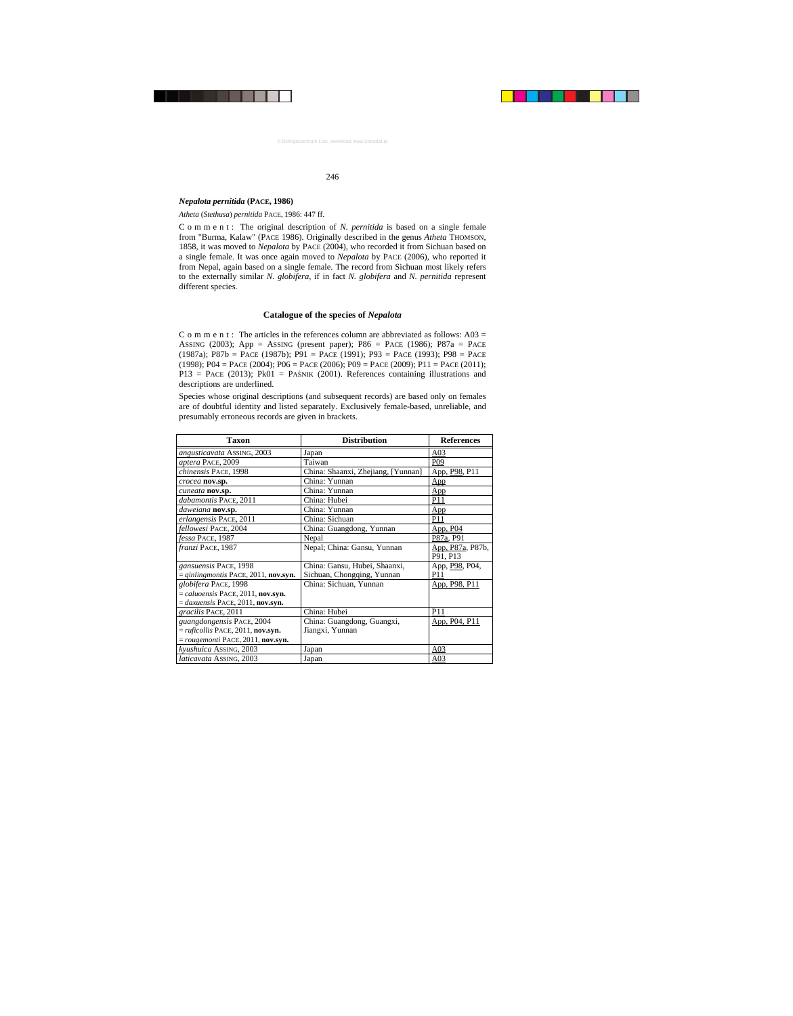## *Nepalota pernitida* **(PACE, 1986)**

*Atheta* (*Stethusa*) *pernitida* PACE, 1986: 447 ff.

C o m m e n t : The original description of *N. pernitida* is based on a single female from "Burma, Kalaw" (PACE 1986). Originally described in the genus *Atheta* THOMSON, 1858, it was moved to *Nepalota* by PACE (2004), who recorded it from Sichuan based on a single female. It was once again moved to *Nepalota* by PACE (2006), who reported it from Nepal, again based on a single female. The record from Sichuan most likely refers to the externally similar *N. globifera*, if in fact *N. globifera* and *N. pernitida* represent different species.

## **Catalogue of the species of** *Nepalota*

C o m m e n t : The articles in the references column are abbreviated as follows:  $A03 =$ ASSING (2003); App = ASSING (present paper); P86 = PACE (1986); P87a = PACE (1987a); P87b = PACE (1987b); P91 = PACE (1991); P93 = PACE (1993); P98 = PACE (1998); P04 = PACE (2004); P06 = PACE (2006); P09 = PACE (2009); P11 = PACE (2011);  $P13 = PACE (2013); PK01 = PA$NIK (2001). References containing illustrations and$ descriptions are underlined.

Species whose original descriptions (and subsequent records) are based only on females are of doubtful identity and listed separately. Exclusively female-based, unreliable, and presumably erroneous records are given in brackets.

| Taxon                                             | <b>Distribution</b>                | <b>References</b>                        |
|---------------------------------------------------|------------------------------------|------------------------------------------|
| <i>angusticavata</i> ASSING, 2003                 | Japan                              | A <sub>03</sub>                          |
| aptera PACE, 2009                                 | Taiwan                             | P <sub>09</sub>                          |
| chinensis PACE, 1998                              | China: Shaanxi, Zhejiang, [Yunnan] | App, P98, P11                            |
| crocea nov.sp.                                    | China: Yunnan                      | App                                      |
| cuneata nov.sp.                                   | China: Yunnan                      | App                                      |
| dabamontis PACE, 2011                             | China: Hubei                       | P11                                      |
| daweiana nov.sp.                                  | China: Yunnan                      | App                                      |
| erlangensis PACE, 2011                            | China: Sichuan                     | P <sub>11</sub>                          |
| fellowesi PACE, 2004                              | China: Guangdong, Yunnan           | App, P04                                 |
| fessa PACE, 1987                                  | Nepal                              | P87a, P91                                |
| franzi PACE, 1987                                 | Nepal; China: Gansu, Yunnan        | App, P87a, P87b,                         |
|                                                   |                                    | P91. P13                                 |
| gansuensis PACE, 1998                             | China: Gansu, Hubei, Shaanxi,      | App, P <sub>98</sub> , P <sub>04</sub> , |
| $=$ qinlingmontis PACE, 2011, nov.syn.            | Sichuan, Chongqing, Yunnan         | P11                                      |
| globifera PACE, 1998                              | China: Sichuan, Yunnan             | App, P98, P11                            |
| $=$ <i>caluoensis</i> PACE, 2011, <b>nov.syn.</b> |                                    |                                          |
| $=$ daxuensis PACE, 2011, nov.syn.                |                                    |                                          |
| gracilis PACE, 2011                               | China: Hubei                       | <b>P11</b>                               |
| guangdongensis PACE, 2004                         | China: Guangdong, Guangxi,         | App, P04, P11                            |
| $= ruficollis$ PACE, 2011, nov.syn.               | Jiangxi, Yunnan                    |                                          |
| $=$ rougemonti PACE, 2011, nov.syn.               |                                    |                                          |
| kyushuica ASSING, 2003                            | Japan                              | A03                                      |
| <i>laticavata</i> ASSING, 2003                    | Japan                              | A <sub>03</sub>                          |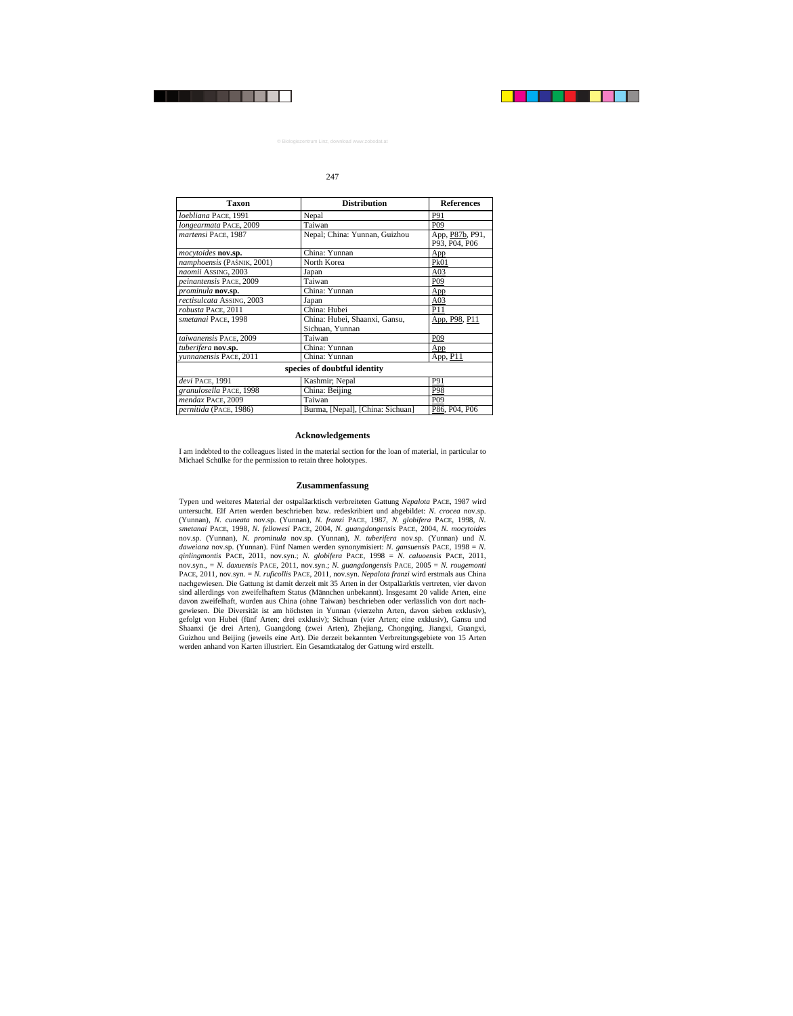| <b>Taxon</b>                 | <b>Distribution</b>                              | <b>References</b>                |  |  |
|------------------------------|--------------------------------------------------|----------------------------------|--|--|
| loebliana PACE, 1991         | Nepal                                            | P91                              |  |  |
| longearmata PACE, 2009       | Taiwan                                           | P <sub>09</sub>                  |  |  |
| martensi PACE, 1987          | Nepal; China: Yunnan, Guizhou                    | App, P87b, P91,<br>P93, P04, P06 |  |  |
| <i>mocytoides</i> nov.sp.    | China: Yunnan                                    | App                              |  |  |
| namphoensis (PAŚNIK, 2001)   | North Korea                                      | Pk01                             |  |  |
| naomii ASSING, 2003          | Japan                                            | A <sub>03</sub>                  |  |  |
| peinantensis PACE, 2009      | Taiwan                                           | P09                              |  |  |
| <i>prominula</i> nov.sp.     | China: Yunnan                                    | App                              |  |  |
| rectisulcata ASSING, 2003    | Japan                                            | A <sub>03</sub>                  |  |  |
| robusta PACE, 2011           | China: Hubei                                     | P <sub>11</sub>                  |  |  |
| smetanai PACE, 1998          | China: Hubei, Shaanxi, Gansu,<br>Sichuan, Yunnan | App, P98, P11                    |  |  |
| taiwanensis PACE, 2009       | Taiwan                                           | P <sub>09</sub>                  |  |  |
| tuberifera <b>nov.sp.</b>    | China: Yunnan                                    | App                              |  |  |
| yunnanensis PACE, 2011       | China: Yunnan                                    | App, P11                         |  |  |
| species of doubtful identity |                                                  |                                  |  |  |
| devi PACE, 1991              | Kashmir; Nepal                                   | P91                              |  |  |
| granulosella PACE, 1998      | China: Beijing                                   | P98                              |  |  |
| mendax PACE, 2009            | Taiwan                                           | P <sub>09</sub>                  |  |  |
| pernitida (PACE, 1986)       | Burma, [Nepal], [China: Sichuan]                 | P86, P04, P06                    |  |  |

## **Acknowledgements**

I am indebted to the colleagues listed in the material section for the loan of material, in particular to Michael Schülke for the permission to retain three holotypes.

## **Zusammenfassung**

Typen und weiteres Material der ostpaläarktisch verbreiteten Gattung *Nepalota* PACE, 1987 wird untersucht. Elf Arten werden beschrieben bzw. redeskribiert und abgebildet: *N. crocea* nov.sp. (Yunnan), *N. cuneata* nov.sp. (Yunnan), *N. franzi* PACE, 1987, *N. globifera* PACE, 1998, *N. smetanai* PACE, 1998, *N. fellowesi* PACE, 2004, *N. guangdongensis* PACE, 2004, *N. mocytoides* nov.sp. (Yunnan), *N. prominula* nov.sp. (Yunnan), *N. tuberifera* nov.sp. (Yunnan) und *N. daweiana* nov.sp. (Yunnan). Fünf Namen werden synonymisiert: *N. gansuensis* PACE, 1998 = *N. qinlingmontis* PACE, 2011, nov.syn.; *N. globifera* PACE, 1998 = *N. caluoensis* PACE, 2011, nov.syn., = *N. daxuensis* PACE, 2011, nov.syn.; *N. guangdongensis* PACE, 2005 = *N. rougemonti* PACE, 2011, nov.syn. = *N. ruficollis* PACE, 2011, nov.syn. *Nepalota franzi* wird erstmals aus China nachgewiesen. Die Gattung ist damit derzeit mit 35 Arten in der Ostpaläarktis vertreten, vier davon sind allerdings von zweifelhaftem Status (Männchen unbekannt). Insgesamt 20 valide Arten, eine davon zweifelhaft, wurden aus China (ohne Taiwan) beschrieben oder verlässlich von dort nachgewiesen. Die Diversität ist am höchsten in Yunnan (vierzehn Arten, davon sieben exklusiv), gefolgt von Hubei (fünf Arten; drei exklusiv); Sichuan (vier Arten; eine exklusiv), Gansu und Shaanxi (je drei Arten), Guangdong (zwei Arten), Zhejiang, Chongqing, Jiangxi, Guangxi, Guizhou und Beijing (jeweils eine Art). Die derzeit bekannten Verbreitungsgebiete von 15 Arten werden anhand von Karten illustriert. Ein Gesamtkatalog der Gattung wird erstellt.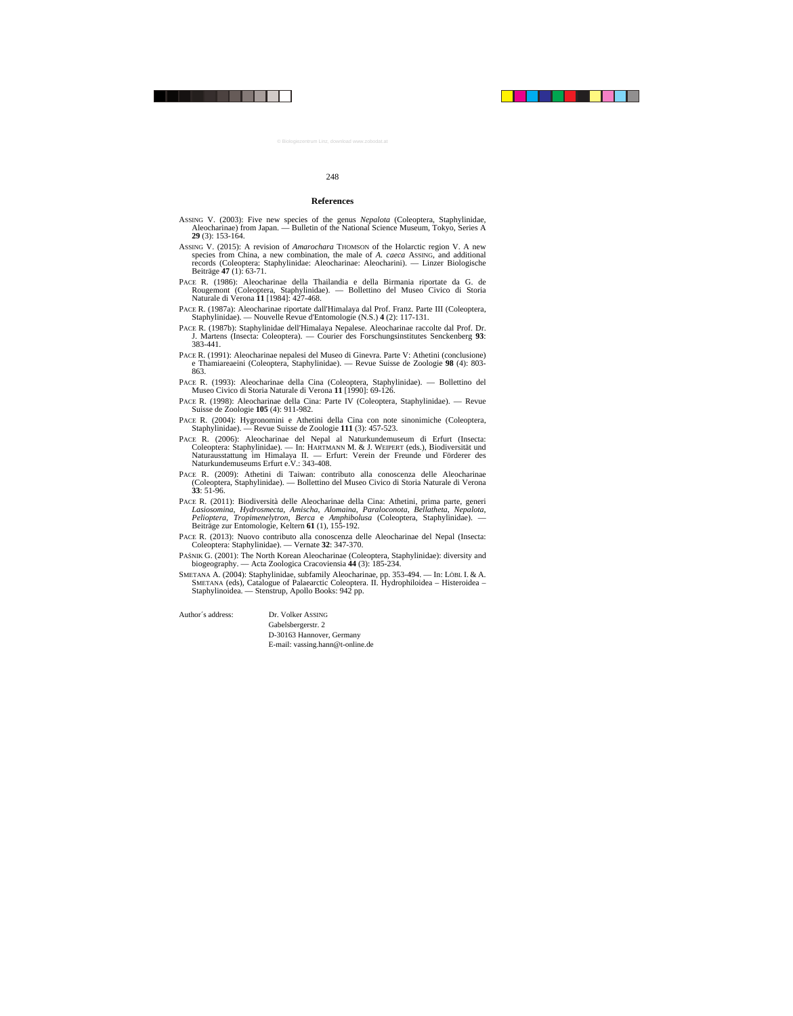#### **References**

- ASSING V. (2003): Five new species of the genus *Nepalota* (Coleoptera, Staphylinidae, Aleocharinae) from Japan. — Bulletin of the National Science Museum, Tokyo, Series A **29** (3): 153-164.
- ASSING V. (2015): A revision of *Amarochara* THOMSON of the Holarctic region V. A new species from China, a new combination, the male of *A. caeca* ASSING, and additional records (Coleoptera: Staphylinidae: Aleocharinae: Aleocharini). — Linzer Biologische Beiträge **47** (1): 63-71.
- PACE R. (1986): Aleocharinae della Thailandia e della Birmania riportate da G. de Rougemont (Coleoptera, Staphylinidae). — Bollettino del Museo Civico di Storia Naturale di Verona **11** [1984]: 427-468.
- PACE R. (1987a): Aleocharinae riportate dall'Himalaya dal Prof. Franz. Parte III (Coleoptera, Staphylinidae). — Nouvelle Revue d'Entomologie (N.S.) **4** (2): 117-131.
- PACE R. (1987b): Staphylinidae dell'Himalaya Nepalese. Aleocharinae raccolte dal Prof. Dr. J. Martens (Insecta: Coleoptera). — Courier des Forschungsinstitutes Senckenberg **93**: 383-441.
- PACE R. (1991): Aleocharinae nepalesi del Museo di Ginevra. Parte V: Athetini (conclusione) e Thamiareaeini (Coleoptera, Staphylinidae). — Revue Suisse de Zoologie **98** (4): 803- 863.
- PACE R. (1993): Aleocharinae della Cina (Coleoptera, Staphylinidae). Bollettino del Museo Civico di Storia Naturale di Verona **11** [1990]: 69-126.
- PACE R. (1998): Aleocharinae della Cina: Parte IV (Coleoptera, Staphylinidae). Revue Suisse de Zoologie **105** (4): 911-982.
- PACE R. (2004): Hygronomini e Athetini della Cina con note sinonimiche (Coleoptera, Staphylinidae). — Revue Suisse de Zoologie **111** (3): 457-523.
- PACE R. (2006): Aleocharinae del Nepal al Naturkundemuseum di Erfurt (Insecta: Coleoptera: Staphylinidae). — In: HARTMANN M. & J. WEIPERT (eds.), Biodiversität und Naturausstattung im Himalaya II. — Erfurt: Verein der Freunde und Förderer des Naturkundemuseums Erfurt e.V.: 343-408.
- PACE R. (2009): Athetini di Taiwan: contributo alla conoscenza delle Aleocharinae (Coleoptera, Staphylinidae). — Bollettino del Museo Civico di Storia Naturale di Verona **33**: 51-96.
- PACE R. (2011): Biodiversità delle Aleocharinae della Cina: Athetini, prima parte, generi *Lasiosomina*, *Hydrosmecta*, *Amischa*, *Alomaina*, *Paraloconota*, *Bellatheta*, *Nepalota*, *Pelioptera*, *Tropimenelytron*, *Berca* e *Amphibolusa* (Coleoptera, Staphylinidae). — Beiträge zur Entomologie, Keltern **61** (1), 155-192.
- PACE R. (2013): Nuovo contributo alla conoscenza delle Aleocharinae del Nepal (Insecta: Coleoptera: Staphylinidae). — Vernate **32**: 347-370.
- PAŚNIK G. (2001): The North Korean Aleocharinae (Coleoptera, Staphylinidae): diversity and biogeography. — Acta Zoologica Cracoviensia **44** (3): 185-234.
- SMETANA A. (2004): Staphylinidae, subfamily Aleocharinae, pp. 353-494. In: LÖBL I. & A. SMETANA (eds), Catalogue of Palaearctic Coleoptera. II. Hydrophiloidea – Histeroidea – Staphylinoidea. — Stenstrup, Apollo Books: 942 pp.

Author´s address: Dr. Volker ASSING Gabelsbergerstr. 2 D-30163 Hannover, Germany E-mail: vassing.hann@t-online.de